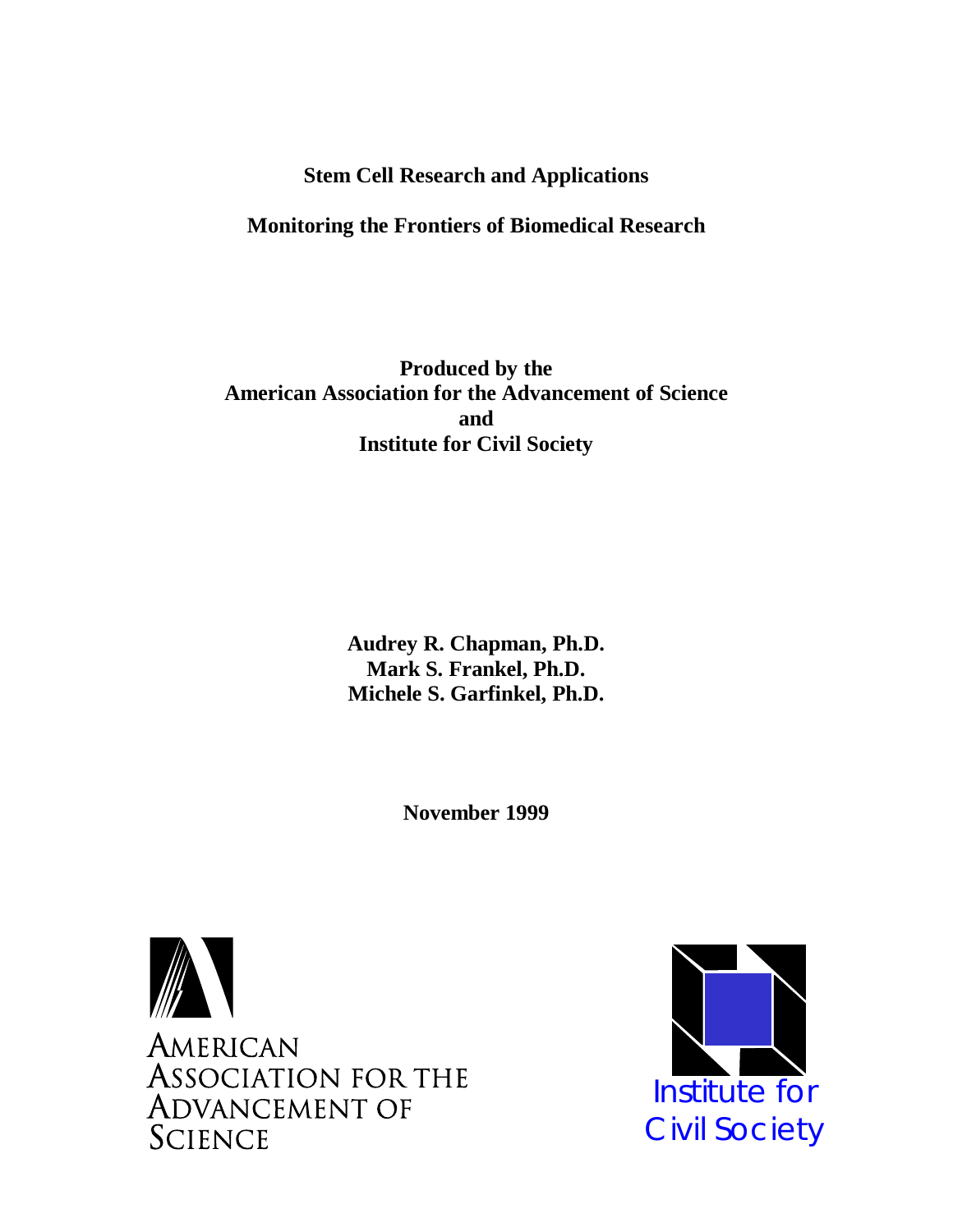# **Stem Cell Research and Applications**

# **Monitoring the Frontiers of Biomedical Research**

# **Produced by the American Association for the Advancement of Science and Institute for Civil Society**

**Audrey R. Chapman, Ph.D. Mark S. Frankel, Ph.D. Michele S. Garfinkel, Ph.D.**

**November 1999**



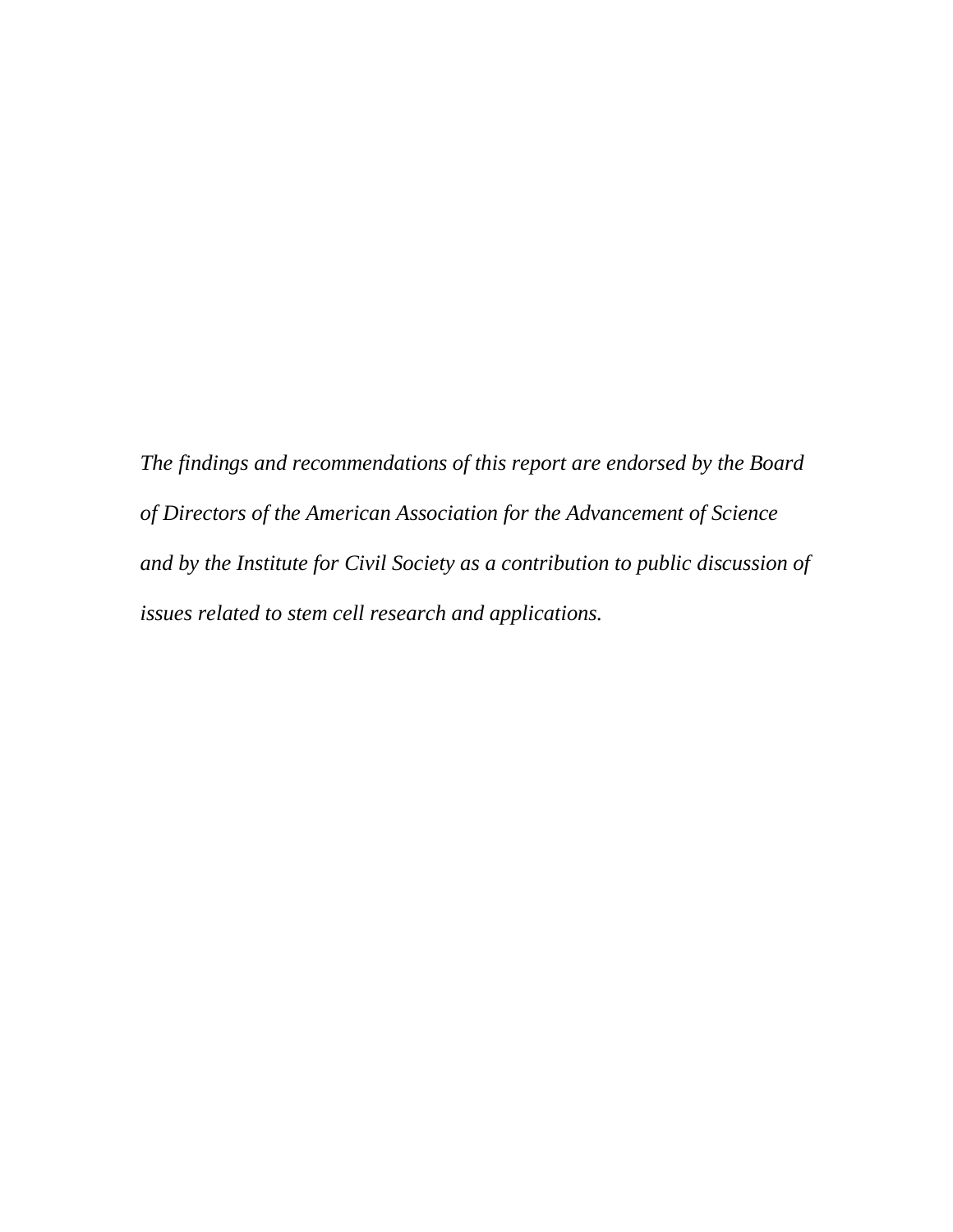*The findings and recommendations of this report are endorsed by the Board of Directors of the American Association for the Advancement of Science and by the Institute for Civil Society as a contribution to public discussion of issues related to stem cell research and applications.*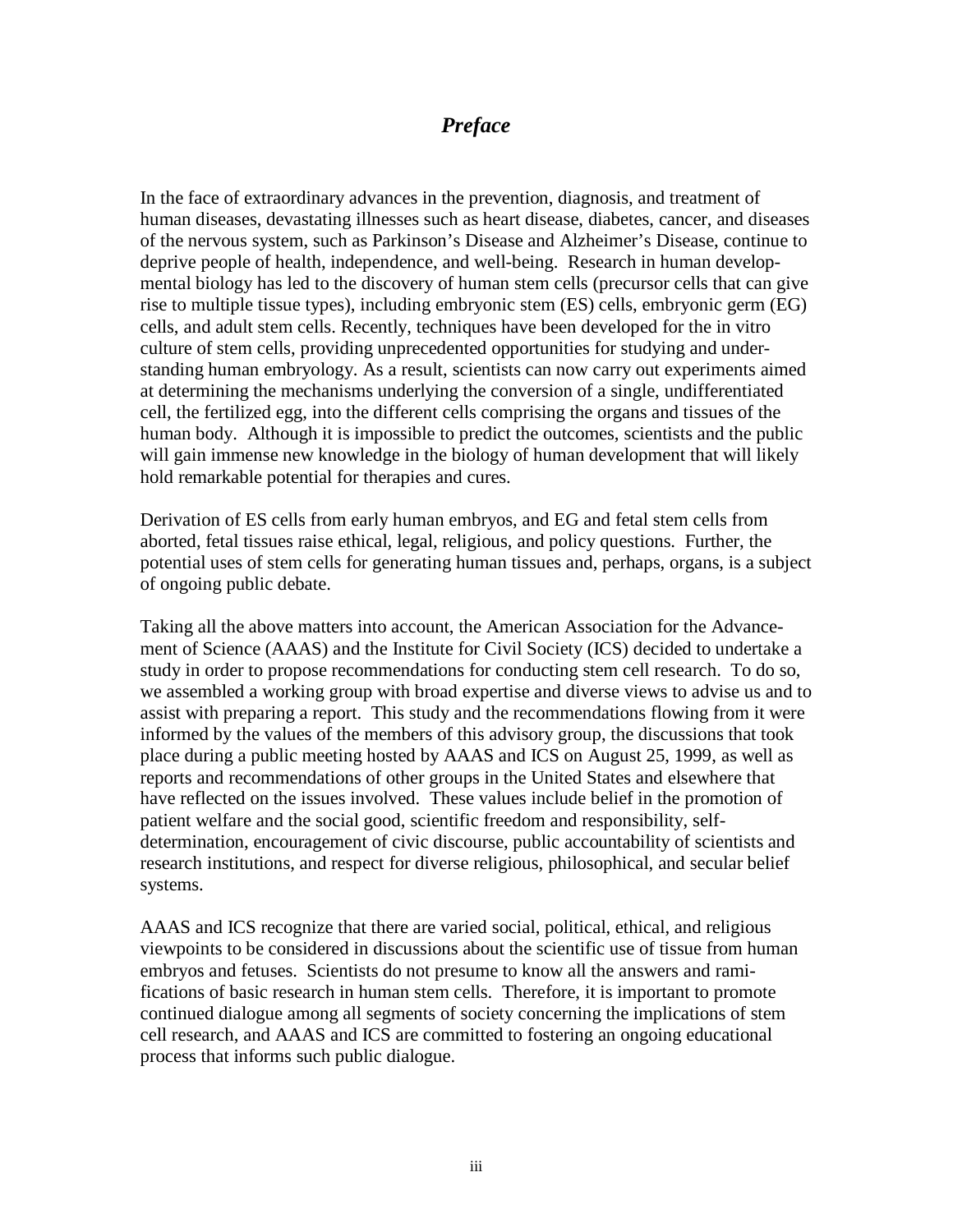# *Preface*

In the face of extraordinary advances in the prevention, diagnosis, and treatment of human diseases, devastating illnesses such as heart disease, diabetes, cancer, and diseases of the nervous system, such as Parkinson's Disease and Alzheimer's Disease, continue to deprive people of health, independence, and well-being. Research in human developmental biology has led to the discovery of human stem cells (precursor cells that can give rise to multiple tissue types), including embryonic stem (ES) cells, embryonic germ (EG) cells, and adult stem cells. Recently, techniques have been developed for the in vitro culture of stem cells, providing unprecedented opportunities for studying and understanding human embryology. As a result, scientists can now carry out experiments aimed at determining the mechanisms underlying the conversion of a single, undifferentiated cell, the fertilized egg, into the different cells comprising the organs and tissues of the human body. Although it is impossible to predict the outcomes, scientists and the public will gain immense new knowledge in the biology of human development that will likely hold remarkable potential for therapies and cures.

Derivation of ES cells from early human embryos, and EG and fetal stem cells from aborted, fetal tissues raise ethical, legal, religious, and policy questions. Further, the potential uses of stem cells for generating human tissues and, perhaps, organs, is a subject of ongoing public debate.

Taking all the above matters into account, the American Association for the Advancement of Science (AAAS) and the Institute for Civil Society (ICS) decided to undertake a study in order to propose recommendations for conducting stem cell research. To do so, we assembled a working group with broad expertise and diverse views to advise us and to assist with preparing a report. This study and the recommendations flowing from it were informed by the values of the members of this advisory group, the discussions that took place during a public meeting hosted by AAAS and ICS on August 25, 1999, as well as reports and recommendations of other groups in the United States and elsewhere that have reflected on the issues involved. These values include belief in the promotion of patient welfare and the social good, scientific freedom and responsibility, selfdetermination, encouragement of civic discourse, public accountability of scientists and research institutions, and respect for diverse religious, philosophical, and secular belief systems.

AAAS and ICS recognize that there are varied social, political, ethical, and religious viewpoints to be considered in discussions about the scientific use of tissue from human embryos and fetuses. Scientists do not presume to know all the answers and ramifications of basic research in human stem cells. Therefore, it is important to promote continued dialogue among all segments of society concerning the implications of stem cell research, and AAAS and ICS are committed to fostering an ongoing educational process that informs such public dialogue.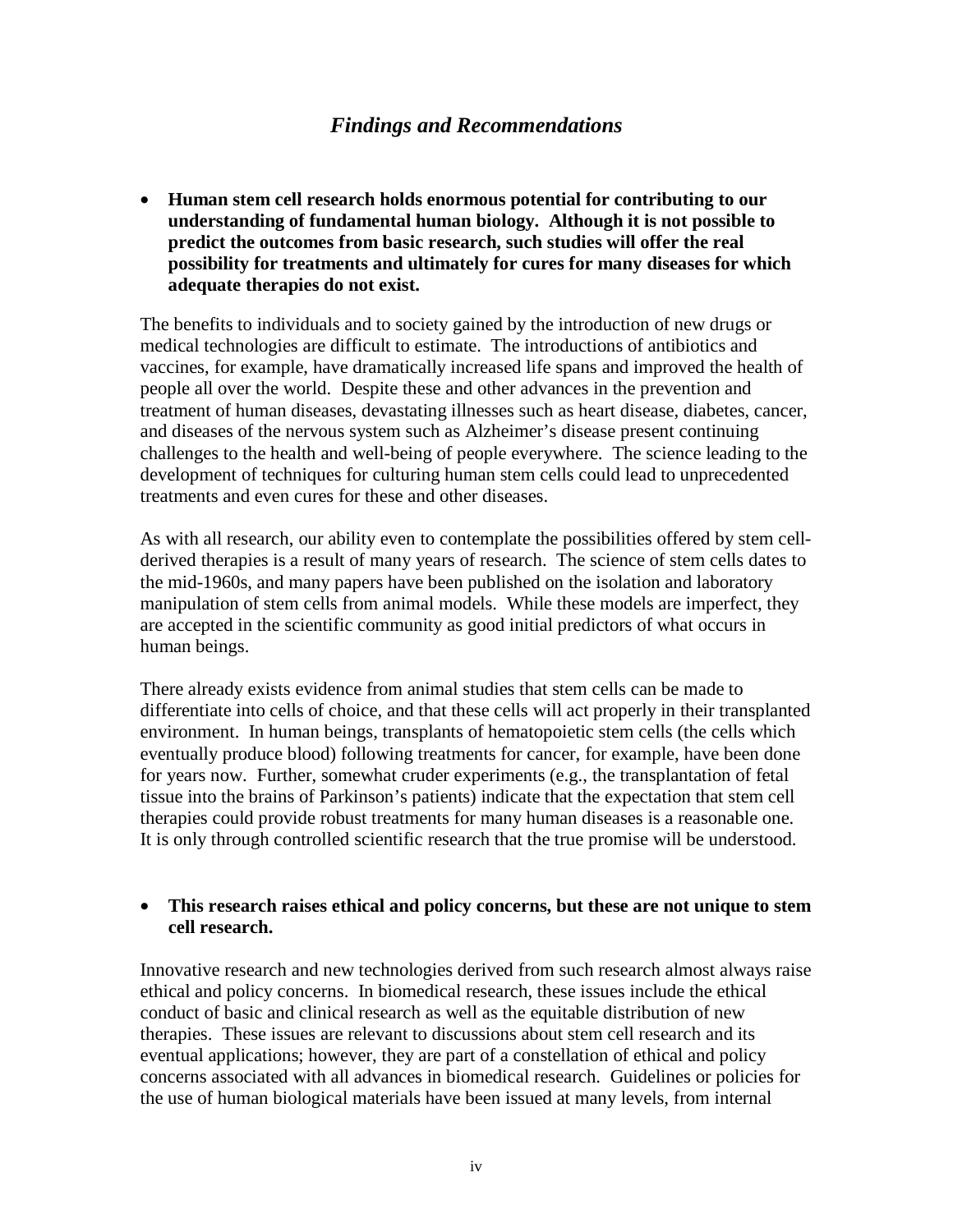## *Findings and Recommendations*

• **Human stem cell research holds enormous potential for contributing to our understanding of fundamental human biology. Although it is not possible to predict the outcomes from basic research, such studies will offer the real possibility for treatments and ultimately for cures for many diseases for which adequate therapies do not exist.**

The benefits to individuals and to society gained by the introduction of new drugs or medical technologies are difficult to estimate. The introductions of antibiotics and vaccines, for example, have dramatically increased life spans and improved the health of people all over the world. Despite these and other advances in the prevention and treatment of human diseases, devastating illnesses such as heart disease, diabetes, cancer, and diseases of the nervous system such as Alzheimer's disease present continuing challenges to the health and well-being of people everywhere. The science leading to the development of techniques for culturing human stem cells could lead to unprecedented treatments and even cures for these and other diseases.

As with all research, our ability even to contemplate the possibilities offered by stem cellderived therapies is a result of many years of research. The science of stem cells dates to the mid-1960s, and many papers have been published on the isolation and laboratory manipulation of stem cells from animal models. While these models are imperfect, they are accepted in the scientific community as good initial predictors of what occurs in human beings.

There already exists evidence from animal studies that stem cells can be made to differentiate into cells of choice, and that these cells will act properly in their transplanted environment. In human beings, transplants of hematopoietic stem cells (the cells which eventually produce blood) following treatments for cancer, for example, have been done for years now. Further, somewhat cruder experiments (e.g., the transplantation of fetal tissue into the brains of Parkinson's patients) indicate that the expectation that stem cell therapies could provide robust treatments for many human diseases is a reasonable one. It is only through controlled scientific research that the true promise will be understood.

#### • **This research raises ethical and policy concerns, but these are not unique to stem cell research.**

Innovative research and new technologies derived from such research almost always raise ethical and policy concerns. In biomedical research, these issues include the ethical conduct of basic and clinical research as well as the equitable distribution of new therapies. These issues are relevant to discussions about stem cell research and its eventual applications; however, they are part of a constellation of ethical and policy concerns associated with all advances in biomedical research. Guidelines or policies for the use of human biological materials have been issued at many levels, from internal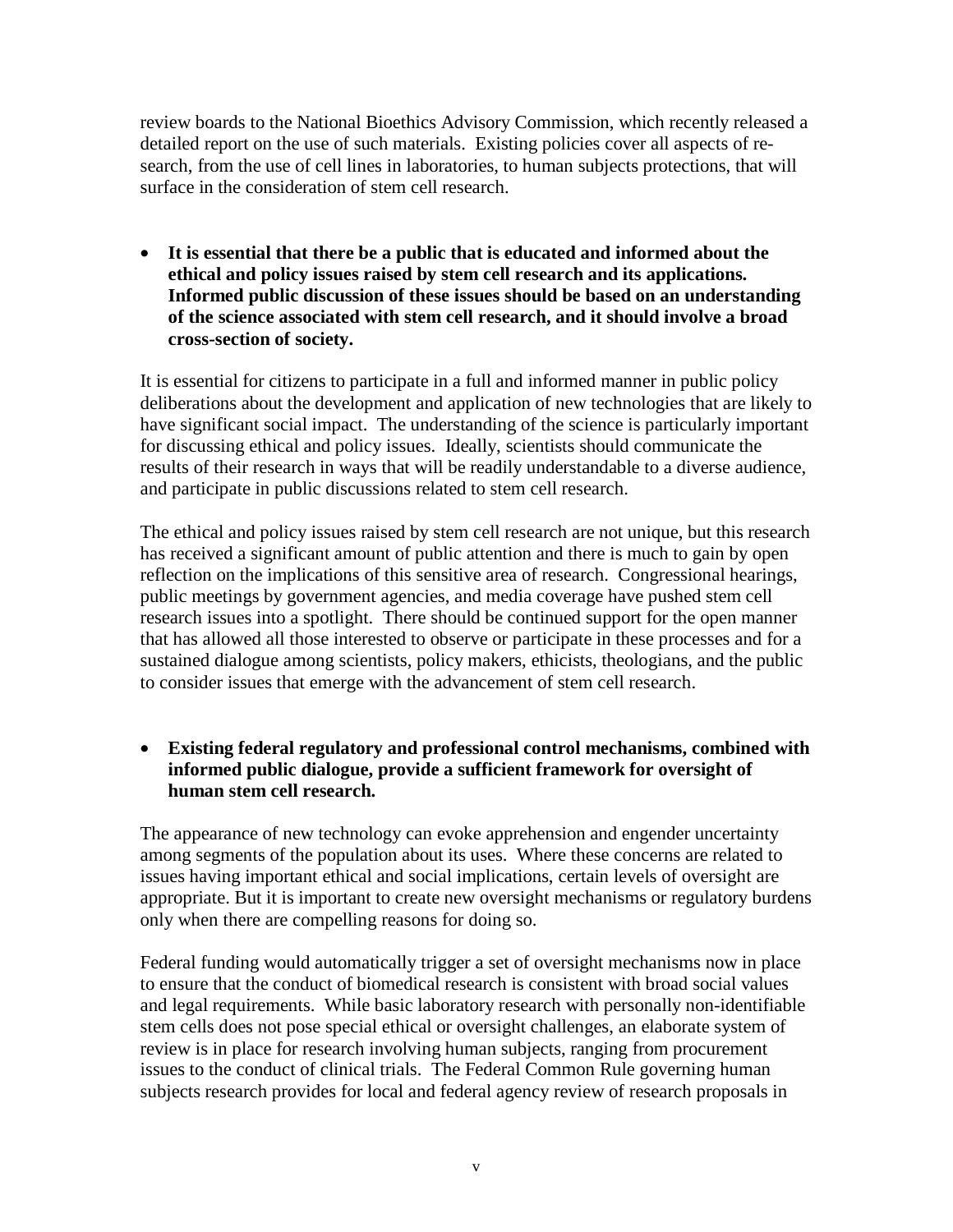review boards to the National Bioethics Advisory Commission, which recently released a detailed report on the use of such materials. Existing policies cover all aspects of research, from the use of cell lines in laboratories, to human subjects protections, that will surface in the consideration of stem cell research.

• **It is essential that there be a public that is educated and informed about the ethical and policy issues raised by stem cell research and its applications. Informed public discussion of these issues should be based on an understanding of the science associated with stem cell research, and it should involve a broad cross-section of society.**

It is essential for citizens to participate in a full and informed manner in public policy deliberations about the development and application of new technologies that are likely to have significant social impact. The understanding of the science is particularly important for discussing ethical and policy issues. Ideally, scientists should communicate the results of their research in ways that will be readily understandable to a diverse audience, and participate in public discussions related to stem cell research.

The ethical and policy issues raised by stem cell research are not unique, but this research has received a significant amount of public attention and there is much to gain by open reflection on the implications of this sensitive area of research. Congressional hearings, public meetings by government agencies, and media coverage have pushed stem cell research issues into a spotlight. There should be continued support for the open manner that has allowed all those interested to observe or participate in these processes and for a sustained dialogue among scientists, policy makers, ethicists, theologians, and the public to consider issues that emerge with the advancement of stem cell research.

### • **Existing federal regulatory and professional control mechanisms, combined with informed public dialogue, provide a sufficient framework for oversight of human stem cell research.**

The appearance of new technology can evoke apprehension and engender uncertainty among segments of the population about its uses. Where these concerns are related to issues having important ethical and social implications, certain levels of oversight are appropriate. But it is important to create new oversight mechanisms or regulatory burdens only when there are compelling reasons for doing so.

Federal funding would automatically trigger a set of oversight mechanisms now in place to ensure that the conduct of biomedical research is consistent with broad social values and legal requirements. While basic laboratory research with personally non-identifiable stem cells does not pose special ethical or oversight challenges, an elaborate system of review is in place for research involving human subjects, ranging from procurement issues to the conduct of clinical trials. The Federal Common Rule governing human subjects research provides for local and federal agency review of research proposals in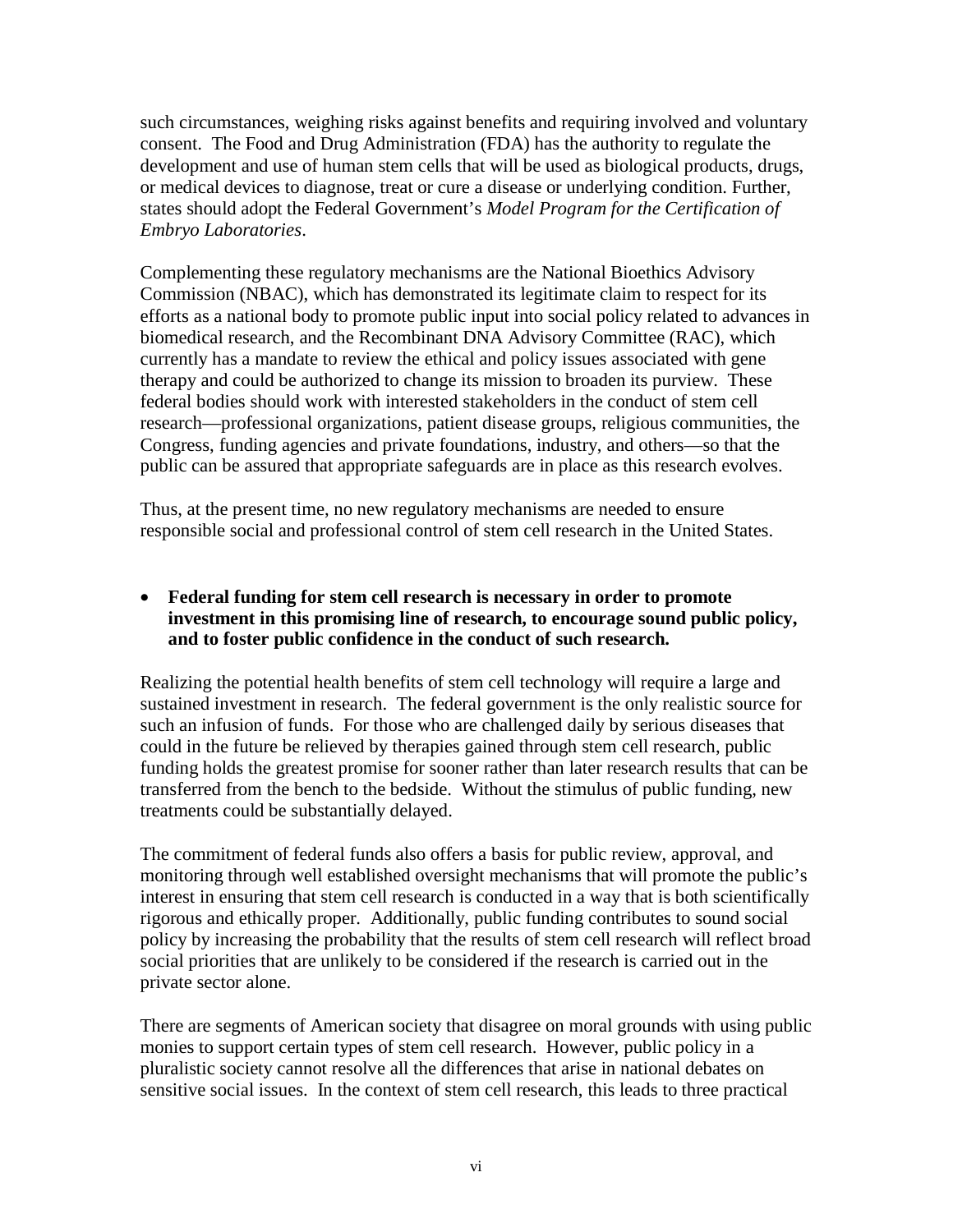such circumstances, weighing risks against benefits and requiring involved and voluntary consent. The Food and Drug Administration (FDA) has the authority to regulate the development and use of human stem cells that will be used as biological products, drugs, or medical devices to diagnose, treat or cure a disease or underlying condition. Further, states should adopt the Federal Government's *Model Program for the Certification of Embryo Laboratories*.

Complementing these regulatory mechanisms are the National Bioethics Advisory Commission (NBAC), which has demonstrated its legitimate claim to respect for its efforts as a national body to promote public input into social policy related to advances in biomedical research, and the Recombinant DNA Advisory Committee (RAC), which currently has a mandate to review the ethical and policy issues associated with gene therapy and could be authorized to change its mission to broaden its purview. These federal bodies should work with interested stakeholders in the conduct of stem cell research—professional organizations, patient disease groups, religious communities, the Congress, funding agencies and private foundations, industry, and others—so that the public can be assured that appropriate safeguards are in place as this research evolves.

Thus, at the present time, no new regulatory mechanisms are needed to ensure responsible social and professional control of stem cell research in the United States.

### • **Federal funding for stem cell research is necessary in order to promote investment in this promising line of research, to encourage sound public policy, and to foster public confidence in the conduct of such research.**

Realizing the potential health benefits of stem cell technology will require a large and sustained investment in research. The federal government is the only realistic source for such an infusion of funds. For those who are challenged daily by serious diseases that could in the future be relieved by therapies gained through stem cell research, public funding holds the greatest promise for sooner rather than later research results that can be transferred from the bench to the bedside. Without the stimulus of public funding, new treatments could be substantially delayed.

The commitment of federal funds also offers a basis for public review, approval, and monitoring through well established oversight mechanisms that will promote the public's interest in ensuring that stem cell research is conducted in a way that is both scientifically rigorous and ethically proper. Additionally, public funding contributes to sound social policy by increasing the probability that the results of stem cell research will reflect broad social priorities that are unlikely to be considered if the research is carried out in the private sector alone.

There are segments of American society that disagree on moral grounds with using public monies to support certain types of stem cell research. However, public policy in a pluralistic society cannot resolve all the differences that arise in national debates on sensitive social issues. In the context of stem cell research, this leads to three practical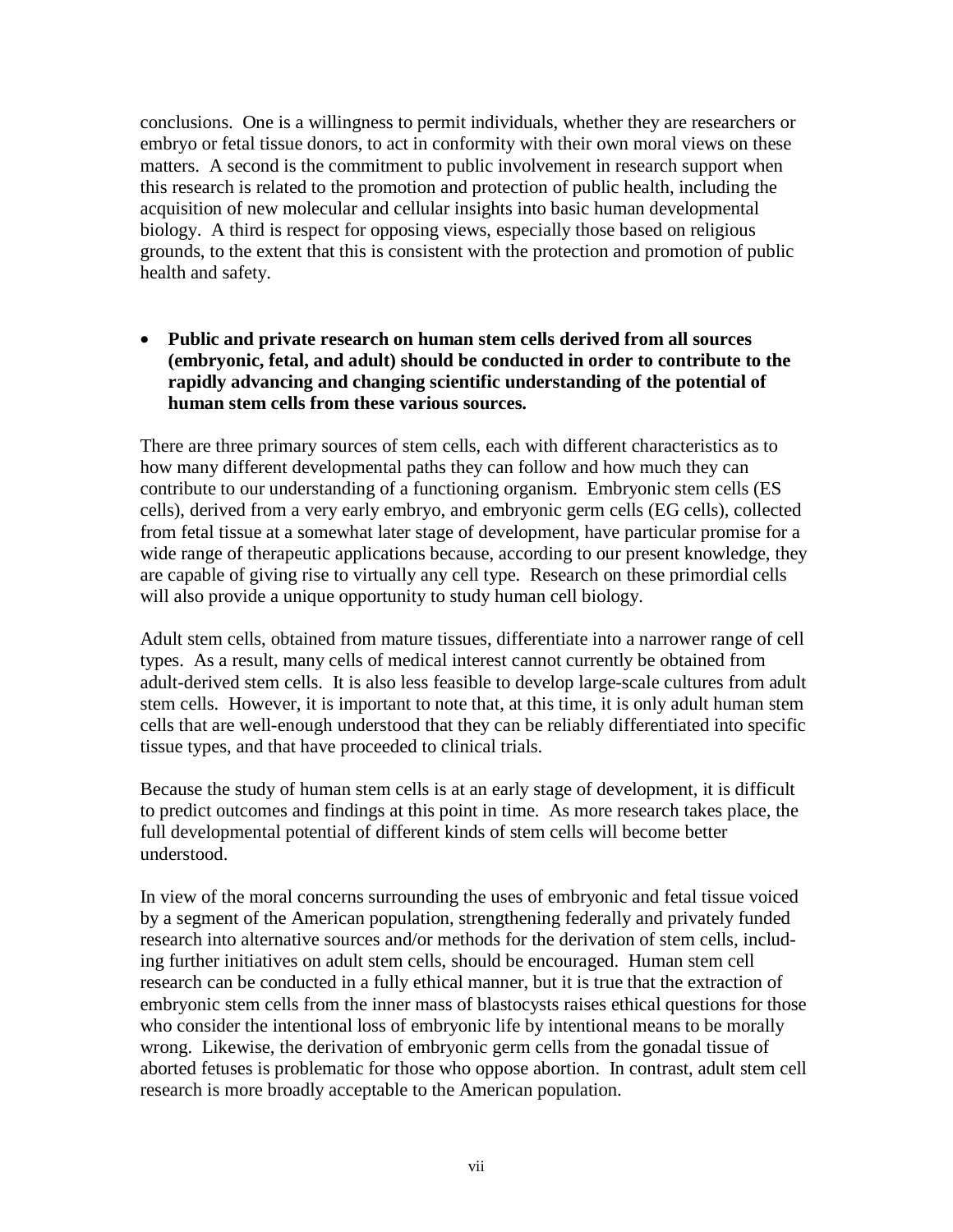conclusions. One is a willingness to permit individuals, whether they are researchers or embryo or fetal tissue donors, to act in conformity with their own moral views on these matters. A second is the commitment to public involvement in research support when this research is related to the promotion and protection of public health, including the acquisition of new molecular and cellular insights into basic human developmental biology. A third is respect for opposing views, especially those based on religious grounds, to the extent that this is consistent with the protection and promotion of public health and safety.

• **Public and private research on human stem cells derived from all sources (embryonic, fetal, and adult) should be conducted in order to contribute to the rapidly advancing and changing scientific understanding of the potential of human stem cells from these various sources.**

There are three primary sources of stem cells, each with different characteristics as to how many different developmental paths they can follow and how much they can contribute to our understanding of a functioning organism. Embryonic stem cells (ES cells), derived from a very early embryo, and embryonic germ cells (EG cells), collected from fetal tissue at a somewhat later stage of development, have particular promise for a wide range of therapeutic applications because, according to our present knowledge, they are capable of giving rise to virtually any cell type. Research on these primordial cells will also provide a unique opportunity to study human cell biology.

Adult stem cells, obtained from mature tissues, differentiate into a narrower range of cell types. As a result, many cells of medical interest cannot currently be obtained from adult-derived stem cells. It is also less feasible to develop large-scale cultures from adult stem cells. However, it is important to note that, at this time, it is only adult human stem cells that are well-enough understood that they can be reliably differentiated into specific tissue types, and that have proceeded to clinical trials.

Because the study of human stem cells is at an early stage of development, it is difficult to predict outcomes and findings at this point in time. As more research takes place, the full developmental potential of different kinds of stem cells will become better understood.

In view of the moral concerns surrounding the uses of embryonic and fetal tissue voiced by a segment of the American population, strengthening federally and privately funded research into alternative sources and/or methods for the derivation of stem cells, including further initiatives on adult stem cells, should be encouraged.Human stem cell research can be conducted in a fully ethical manner, but it is true that the extraction of embryonic stem cells from the inner mass of blastocysts raises ethical questions for those who consider the intentional loss of embryonic life by intentional means to be morally wrong. Likewise, the derivation of embryonic germ cells from the gonadal tissue of aborted fetuses is problematic for those who oppose abortion. In contrast, adult stem cell research is more broadly acceptable to the American population.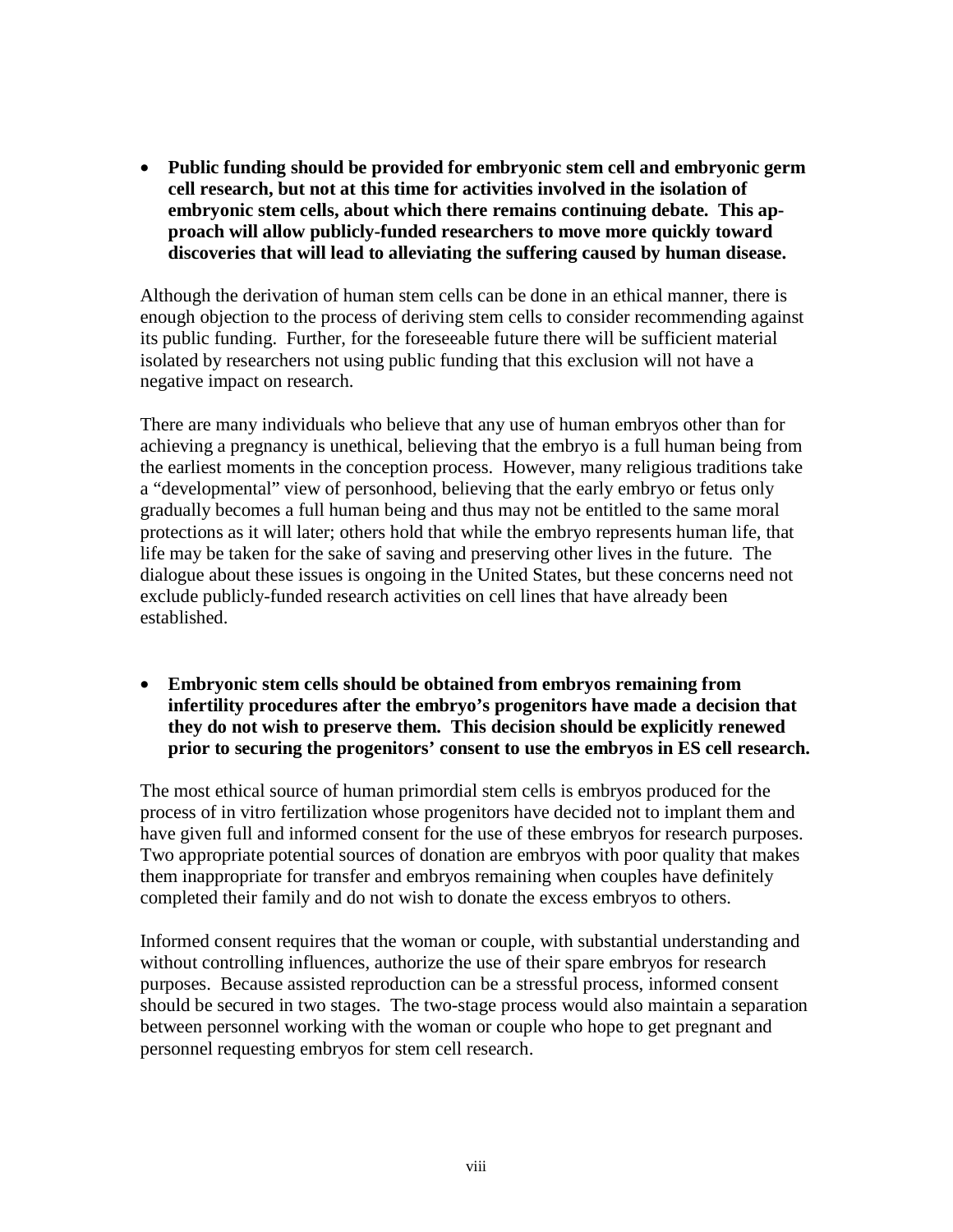• **Public funding should be provided for embryonic stem cell and embryonic germ cell research, but not at this time for activities involved in the isolation of embryonic stem cells, about which there remains continuing debate. This approach will allow publicly-funded researchers to move more quickly toward discoveries that will lead to alleviating the suffering caused by human disease.**

Although the derivation of human stem cells can be done in an ethical manner, there is enough objection to the process of deriving stem cells to consider recommending against its public funding. Further, for the foreseeable future there will be sufficient material isolated by researchers not using public funding that this exclusion will not have a negative impact on research.

There are many individuals who believe that any use of human embryos other than for achieving a pregnancy is unethical, believing that the embryo is a full human being from the earliest moments in the conception process. However, many religious traditions take a "developmental" view of personhood, believing that the early embryo or fetus only gradually becomes a full human being and thus may not be entitled to the same moral protections as it will later; others hold that while the embryo represents human life, that life may be taken for the sake of saving and preserving other lives in the future. The dialogue about these issues is ongoing in the United States, but these concerns need not exclude publicly-funded research activities on cell lines that have already been established.

• **Embryonic stem cells should be obtained from embryos remaining from infertility procedures after the embryo's progenitors have made a decision that they do not wish to preserve them. This decision should be explicitly renewed prior to securing the progenitors' consent to use the embryos in ES cell research.**

The most ethical source of human primordial stem cells is embryos produced for the process of in vitro fertilization whose progenitors have decided not to implant them and have given full and informed consent for the use of these embryos for research purposes. Two appropriate potential sources of donation are embryos with poor quality that makes them inappropriate for transfer and embryos remaining when couples have definitely completed their family and do not wish to donate the excess embryos to others.

Informed consent requires that the woman or couple, with substantial understanding and without controlling influences, authorize the use of their spare embryos for research purposes. Because assisted reproduction can be a stressful process, informed consent should be secured in two stages. The two-stage process would also maintain a separation between personnel working with the woman or couple who hope to get pregnant and personnel requesting embryos for stem cell research.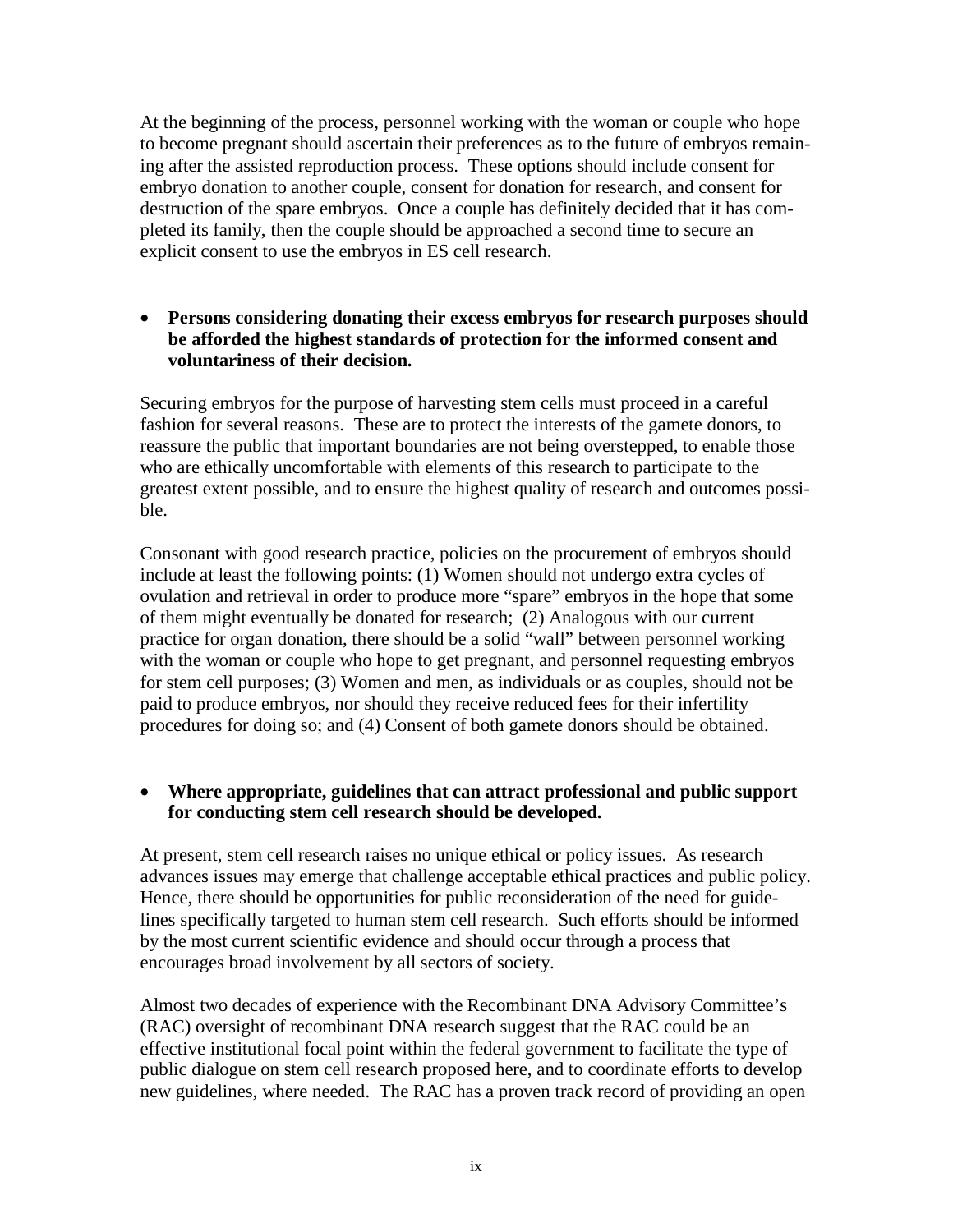At the beginning of the process, personnel working with the woman or couple who hope to become pregnant should ascertain their preferences as to the future of embryos remaining after the assisted reproduction process. These options should include consent for embryo donation to another couple, consent for donation for research, and consent for destruction of the spare embryos. Once a couple has definitely decided that it has completed its family, then the couple should be approached a second time to secure an explicit consent to use the embryos in ES cell research.

### • **Persons considering donating their excess embryos for research purposes should be afforded the highest standards of protection for the informed consent and voluntariness of their decision.**

Securing embryos for the purpose of harvesting stem cells must proceed in a careful fashion for several reasons. These are to protect the interests of the gamete donors, to reassure the public that important boundaries are not being overstepped, to enable those who are ethically uncomfortable with elements of this research to participate to the greatest extent possible, and to ensure the highest quality of research and outcomes possible.

Consonant with good research practice, policies on the procurement of embryos should include at least the following points: (1) Women should not undergo extra cycles of ovulation and retrieval in order to produce more "spare" embryos in the hope that some of them might eventually be donated for research; (2) Analogous with our current practice for organ donation, there should be a solid "wall" between personnel working with the woman or couple who hope to get pregnant, and personnel requesting embryos for stem cell purposes; (3) Women and men, as individuals or as couples, should not be paid to produce embryos, nor should they receive reduced fees for their infertility procedures for doing so; and (4) Consent of both gamete donors should be obtained.

### • **Where appropriate, guidelines that can attract professional and public support for conducting stem cell research should be developed.**

At present, stem cell research raises no unique ethical or policy issues. As research advances issues may emerge that challenge acceptable ethical practices and public policy. Hence, there should be opportunities for public reconsideration of the need for guidelines specifically targeted to human stem cell research. Such efforts should be informed by the most current scientific evidence and should occur through a process that encourages broad involvement by all sectors of society.

Almost two decades of experience with the Recombinant DNA Advisory Committee's (RAC) oversight of recombinant DNA research suggest that the RAC could be an effective institutional focal point within the federal government to facilitate the type of public dialogue on stem cell research proposed here, and to coordinate efforts to develop new guidelines, where needed. The RAC has a proven track record of providing an open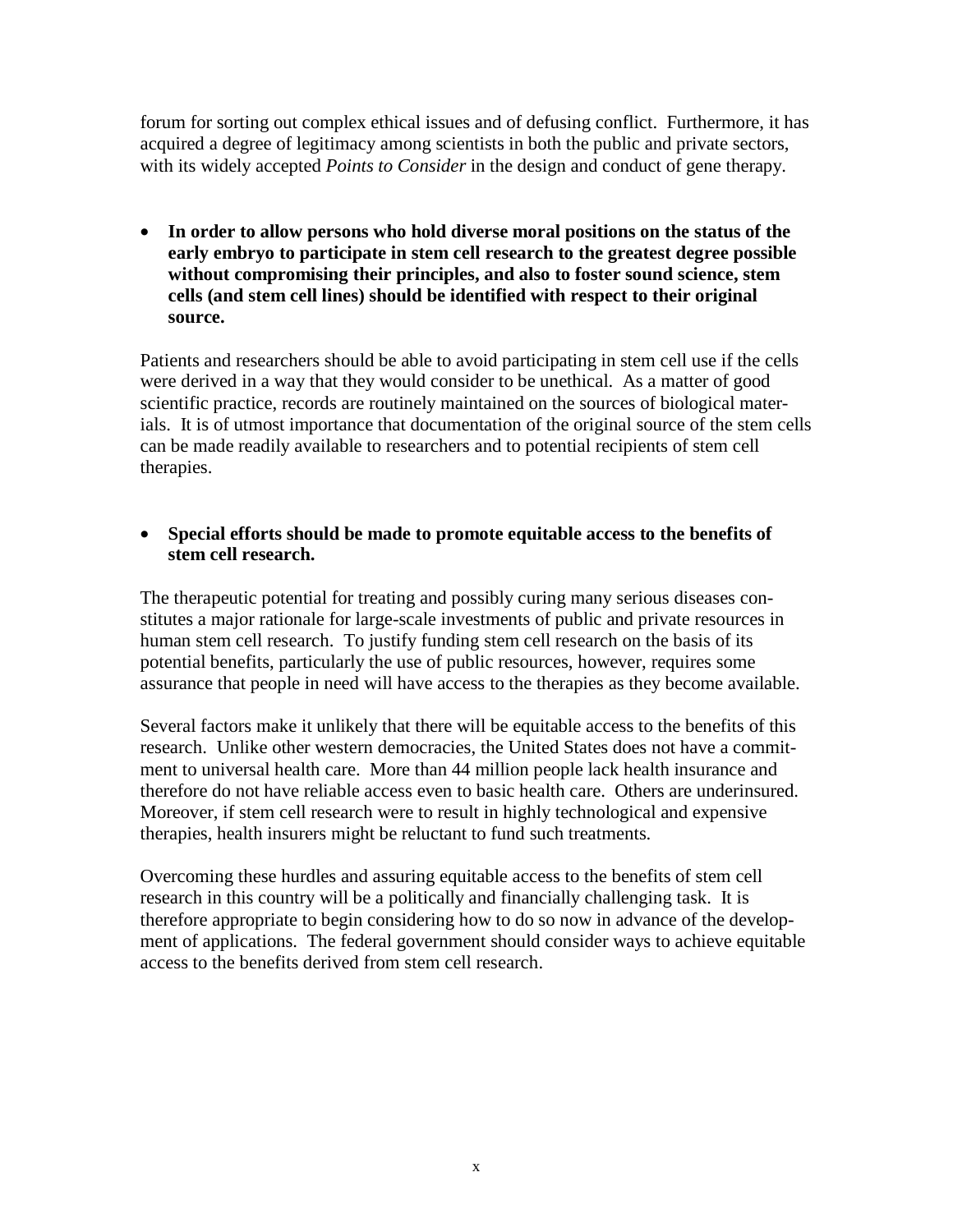forum for sorting out complex ethical issues and of defusing conflict. Furthermore, it has acquired a degree of legitimacy among scientists in both the public and private sectors, with its widely accepted *Points to Consider* in the design and conduct of gene therapy.

• **In order to allow persons who hold diverse moral positions on the status of the early embryo to participate in stem cell research to the greatest degree possible without compromising their principles, and also to foster sound science, stem cells (and stem cell lines) should be identified with respect to their original source.**

Patients and researchers should be able to avoid participating in stem cell use if the cells were derived in a way that they would consider to be unethical. As a matter of good scientific practice, records are routinely maintained on the sources of biological materials. It is of utmost importance that documentation of the original source of the stem cells can be made readily available to researchers and to potential recipients of stem cell therapies.

### • **Special efforts should be made to promote equitable access to the benefits of stem cell research.**

The therapeutic potential for treating and possibly curing many serious diseases constitutes a major rationale for large-scale investments of public and private resources in human stem cell research. To justify funding stem cell research on the basis of its potential benefits, particularly the use of public resources, however, requires some assurance that people in need will have access to the therapies as they become available.

Several factors make it unlikely that there will be equitable access to the benefits of this research. Unlike other western democracies, the United States does not have a commitment to universal health care. More than 44 million people lack health insurance and therefore do not have reliable access even to basic health care. Others are underinsured. Moreover, if stem cell research were to result in highly technological and expensive therapies, health insurers might be reluctant to fund such treatments.

Overcoming these hurdles and assuring equitable access to the benefits of stem cell research in this country will be a politically and financially challenging task. It is therefore appropriate to begin considering how to do so now in advance of the development of applications. The federal government should consider ways to achieve equitable access to the benefits derived from stem cell research.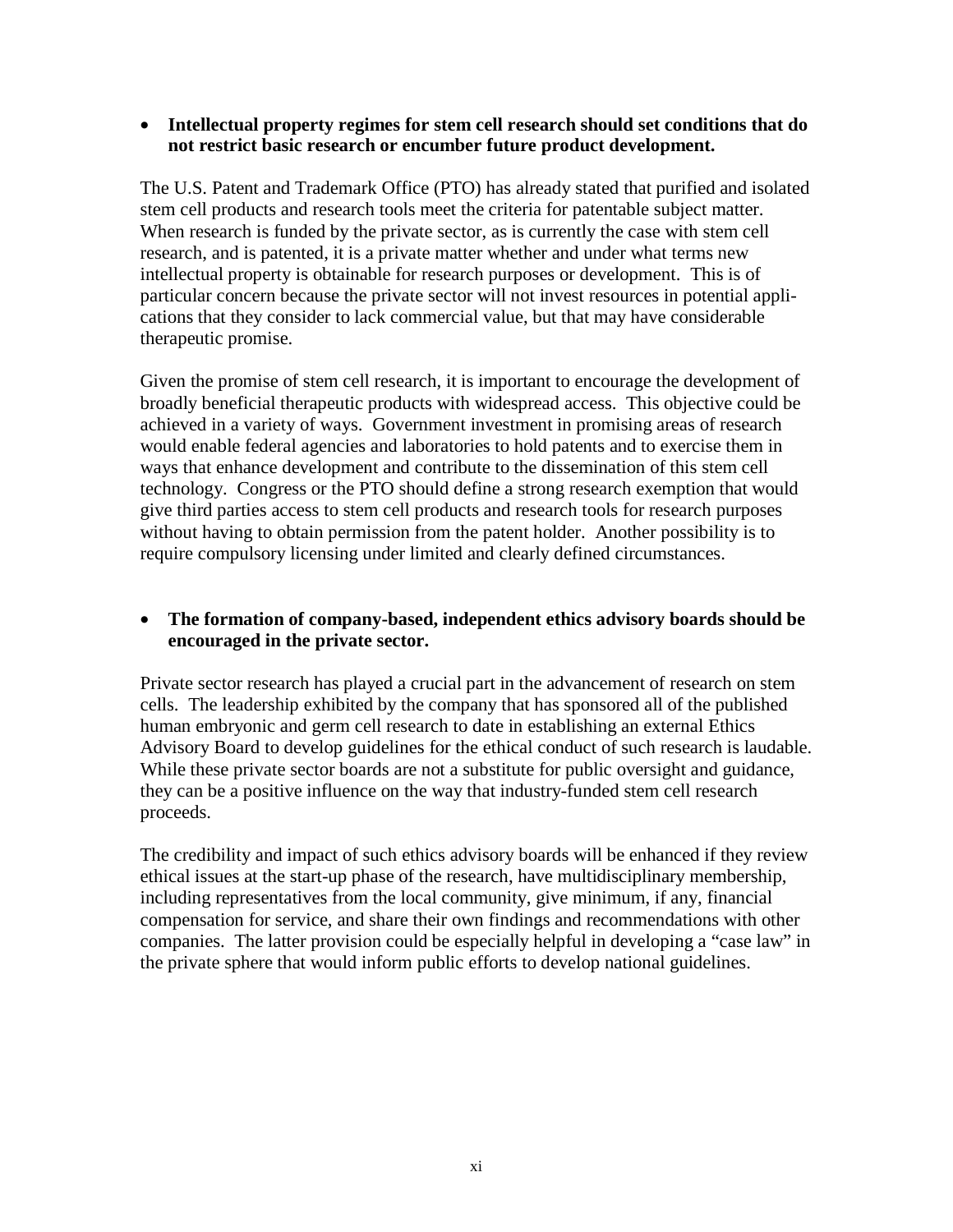### • **Intellectual property regimes for stem cell research should set conditions that do not restrict basic research or encumber future product development.**

The U.S. Patent and Trademark Office (PTO) has already stated that purified and isolated stem cell products and research tools meet the criteria for patentable subject matter. When research is funded by the private sector, as is currently the case with stem cell research, and is patented, it is a private matter whether and under what terms new intellectual property is obtainable for research purposes or development. This is of particular concern because the private sector will not invest resources in potential applications that they consider to lack commercial value, but that may have considerable therapeutic promise.

Given the promise of stem cell research, it is important to encourage the development of broadly beneficial therapeutic products with widespread access. This objective could be achieved in a variety of ways. Government investment in promising areas of research would enable federal agencies and laboratories to hold patents and to exercise them in ways that enhance development and contribute to the dissemination of this stem cell technology. Congress or the PTO should define a strong research exemption that would give third parties access to stem cell products and research tools for research purposes without having to obtain permission from the patent holder. Another possibility is to require compulsory licensing under limited and clearly defined circumstances.

### • **The formation of company-based, independent ethics advisory boards should be encouraged in the private sector.**

Private sector research has played a crucial part in the advancement of research on stem cells. The leadership exhibited by the company that has sponsored all of the published human embryonic and germ cell research to date in establishing an external Ethics Advisory Board to develop guidelines for the ethical conduct of such research is laudable. While these private sector boards are not a substitute for public oversight and guidance, they can be a positive influence on the way that industry-funded stem cell research proceeds.

The credibility and impact of such ethics advisory boards will be enhanced if they review ethical issues at the start-up phase of the research, have multidisciplinary membership, including representatives from the local community, give minimum, if any, financial compensation for service, and share their own findings and recommendations with other companies. The latter provision could be especially helpful in developing a "case law" in the private sphere that would inform public efforts to develop national guidelines.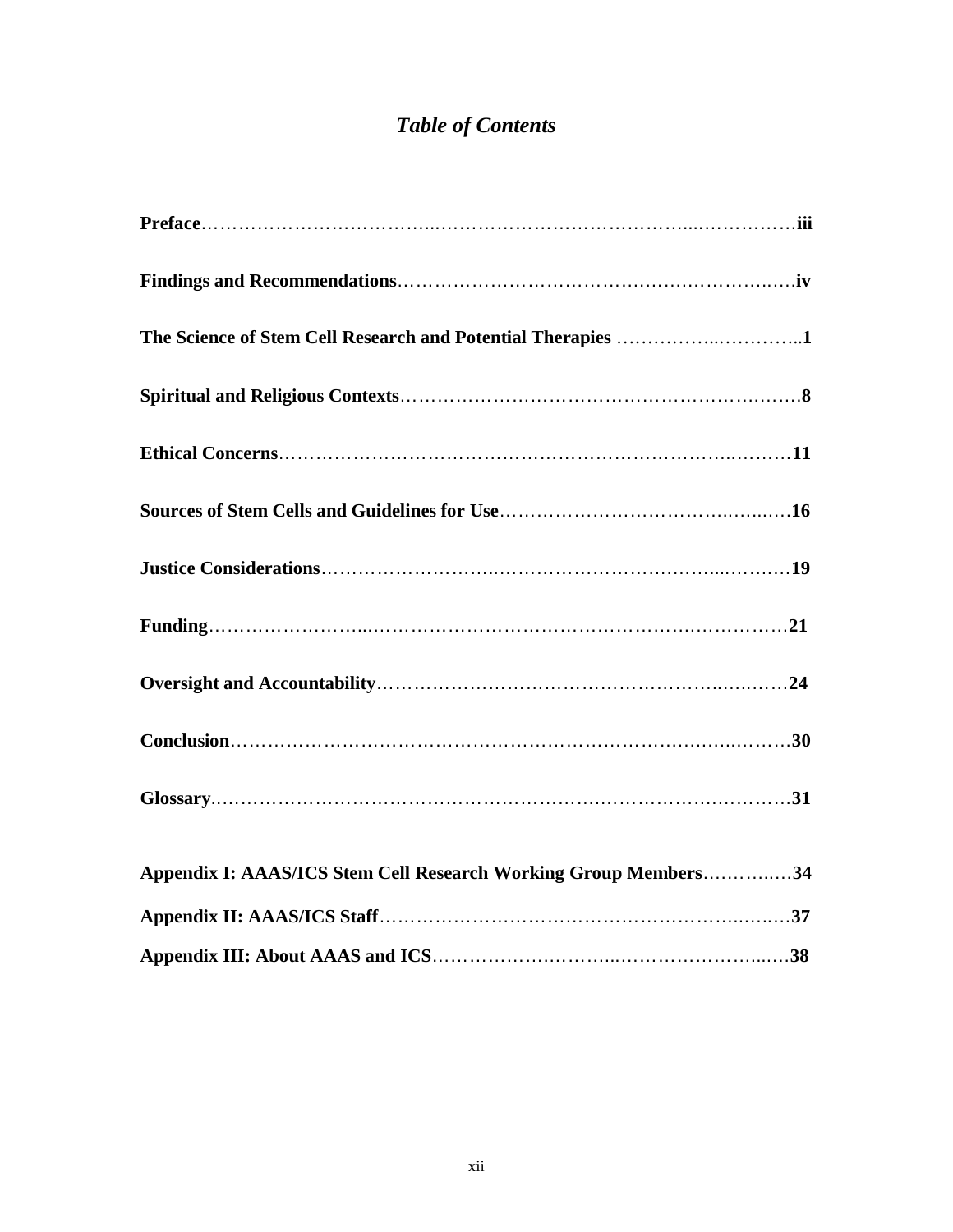# *Table of Contents*

| Appendix I: AAAS/ICS Stem Cell Research Working Group Members34 |  |
|-----------------------------------------------------------------|--|
|                                                                 |  |
|                                                                 |  |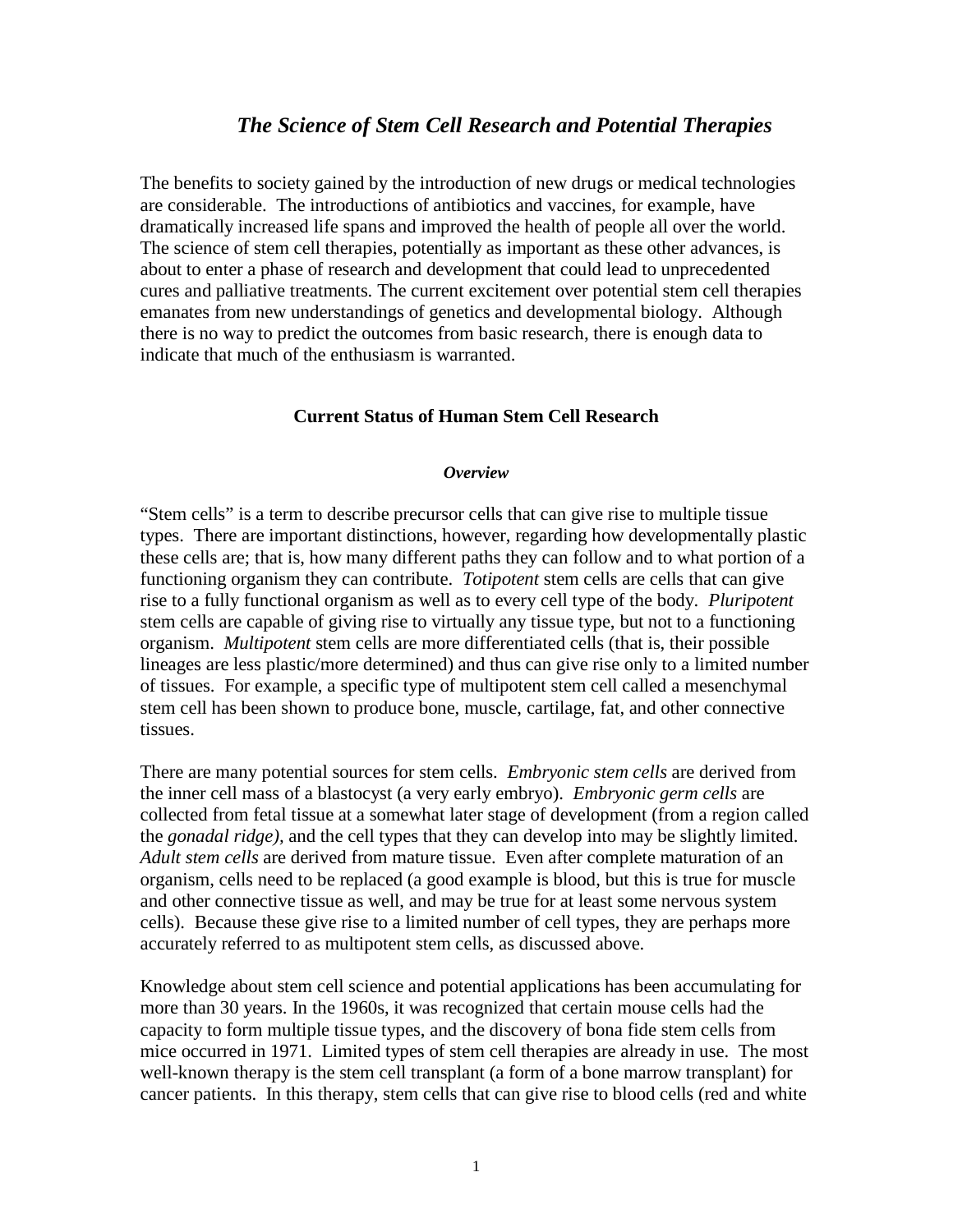### *The Science of Stem Cell Research and Potential Therapies*

The benefits to society gained by the introduction of new drugs or medical technologies are considerable. The introductions of antibiotics and vaccines, for example, have dramatically increased life spans and improved the health of people all over the world. The science of stem cell therapies, potentially as important as these other advances, is about to enter a phase of research and development that could lead to unprecedented cures and palliative treatments. The current excitement over potential stem cell therapies emanates from new understandings of genetics and developmental biology. Although there is no way to predict the outcomes from basic research, there is enough data to indicate that much of the enthusiasm is warranted.

#### **Current Status of Human Stem Cell Research**

#### *Overview*

"Stem cells" is a term to describe precursor cells that can give rise to multiple tissue types. There are important distinctions, however, regarding how developmentally plastic these cells are; that is, how many different paths they can follow and to what portion of a functioning organism they can contribute. *Totipotent* stem cells are cells that can give rise to a fully functional organism as well as to every cell type of the body. *Pluripotent* stem cells are capable of giving rise to virtually any tissue type, but not to a functioning organism. *Multipotent* stem cells are more differentiated cells (that is, their possible lineages are less plastic/more determined) and thus can give rise only to a limited number of tissues. For example, a specific type of multipotent stem cell called a mesenchymal stem cell has been shown to produce bone, muscle, cartilage, fat, and other connective tissues.

There are many potential sources for stem cells. *Embryonic stem cells* are derived from the inner cell mass of a blastocyst (a very early embryo). *Embryonic germ cells* are collected from fetal tissue at a somewhat later stage of development (from a region called the *gonadal ridge),* and the cell types that they can develop into may be slightly limited. *Adult stem cells* are derived from mature tissue. Even after complete maturation of an organism, cells need to be replaced (a good example is blood, but this is true for muscle and other connective tissue as well, and may be true for at least some nervous system cells). Because these give rise to a limited number of cell types, they are perhaps more accurately referred to as multipotent stem cells, as discussed above.

Knowledge about stem cell science and potential applications has been accumulating for more than 30 years. In the 1960s, it was recognized that certain mouse cells had the capacity to form multiple tissue types, and the discovery of bona fide stem cells from mice occurred in 1971. Limited types of stem cell therapies are already in use. The most well-known therapy is the stem cell transplant (a form of a bone marrow transplant) for cancer patients. In this therapy, stem cells that can give rise to blood cells (red and white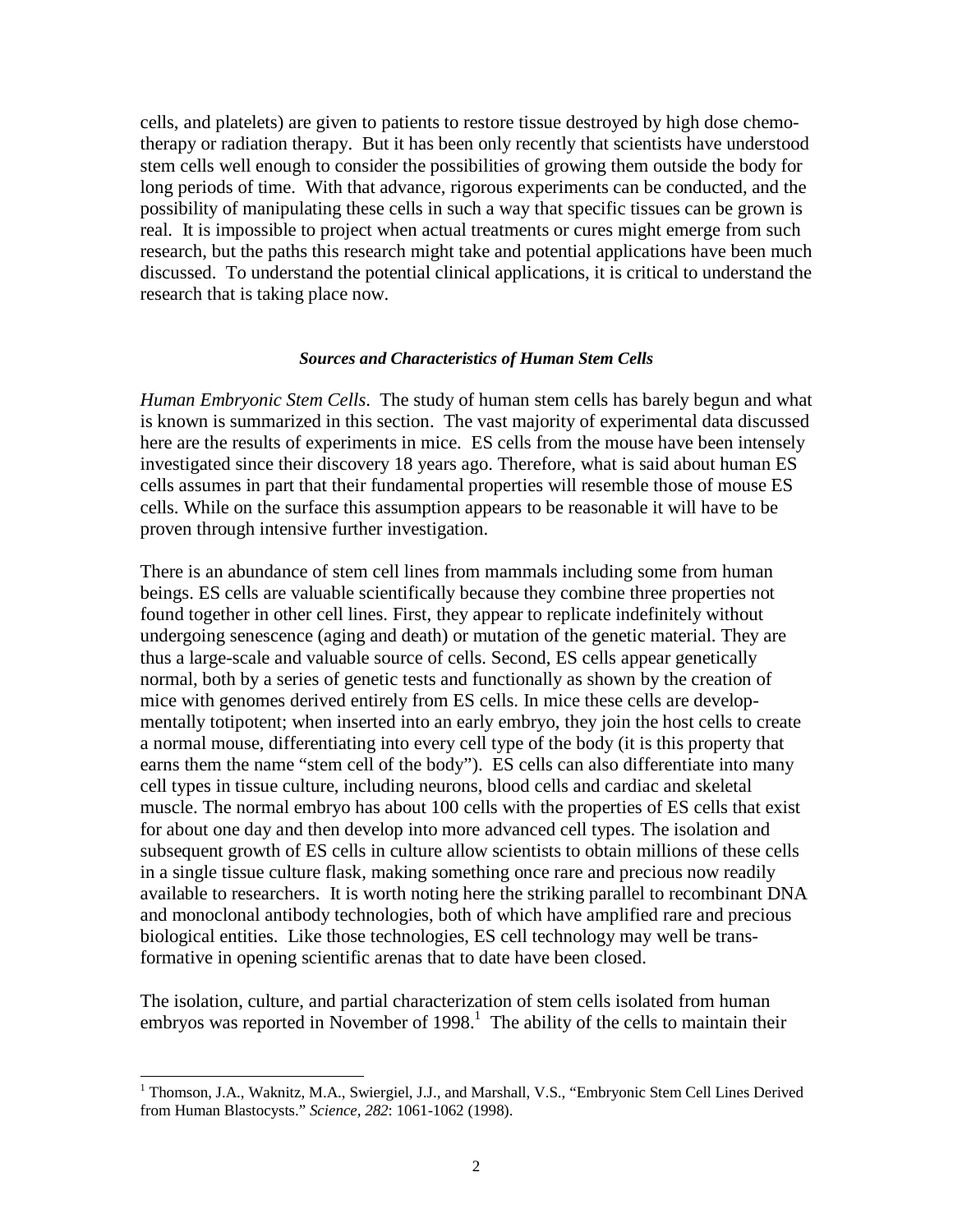cells, and platelets) are given to patients to restore tissue destroyed by high dose chemotherapy or radiation therapy. But it has been only recently that scientists have understood stem cells well enough to consider the possibilities of growing them outside the body for long periods of time. With that advance, rigorous experiments can be conducted, and the possibility of manipulating these cells in such a way that specific tissues can be grown is real. It is impossible to project when actual treatments or cures might emerge from such research, but the paths this research might take and potential applications have been much discussed. To understand the potential clinical applications, it is critical to understand the research that is taking place now.

#### *Sources and Characteristics of Human Stem Cells*

*Human Embryonic Stem Cells*.The study of human stem cells has barely begun and what is known is summarized in this section. The vast majority of experimental data discussed here are the results of experiments in mice. ES cells from the mouse have been intensely investigated since their discovery 18 years ago. Therefore, what is said about human ES cells assumes in part that their fundamental properties will resemble those of mouse ES cells. While on the surface this assumption appears to be reasonable it will have to be proven through intensive further investigation.

There is an abundance of stem cell lines from mammals including some from human beings. ES cells are valuable scientifically because they combine three properties not found together in other cell lines. First, they appear to replicate indefinitely without undergoing senescence (aging and death) or mutation of the genetic material. They are thus a large-scale and valuable source of cells. Second, ES cells appear genetically normal, both by a series of genetic tests and functionally as shown by the creation of mice with genomes derived entirely from ES cells. In mice these cells are developmentally totipotent; when inserted into an early embryo, they join the host cells to create a normal mouse, differentiating into every cell type of the body (it is this property that earns them the name "stem cell of the body"). ES cells can also differentiate into many cell types in tissue culture, including neurons, blood cells and cardiac and skeletal muscle. The normal embryo has about 100 cells with the properties of ES cells that exist for about one day and then develop into more advanced cell types. The isolation and subsequent growth of ES cells in culture allow scientists to obtain millions of these cells in a single tissue culture flask, making something once rare and precious now readily available to researchers. It is worth noting here the striking parallel to recombinant DNA and monoclonal antibody technologies, both of which have amplified rare and precious biological entities. Like those technologies, ES cell technology may well be transformative in opening scientific arenas that to date have been closed.

The isolation, culture, and partial characterization of stem cells isolated from human embryos was reported in November of  $1998<sup>1</sup>$ . The ability of the cells to maintain their

<sup>&</sup>lt;sup>1</sup> Thomson, J.A., Waknitz, M.A., Swiergiel, J.J., and Marshall, V.S., "Embryonic Stem Cell Lines Derived from Human Blastocysts." *Science, 282*: 1061-1062 (1998).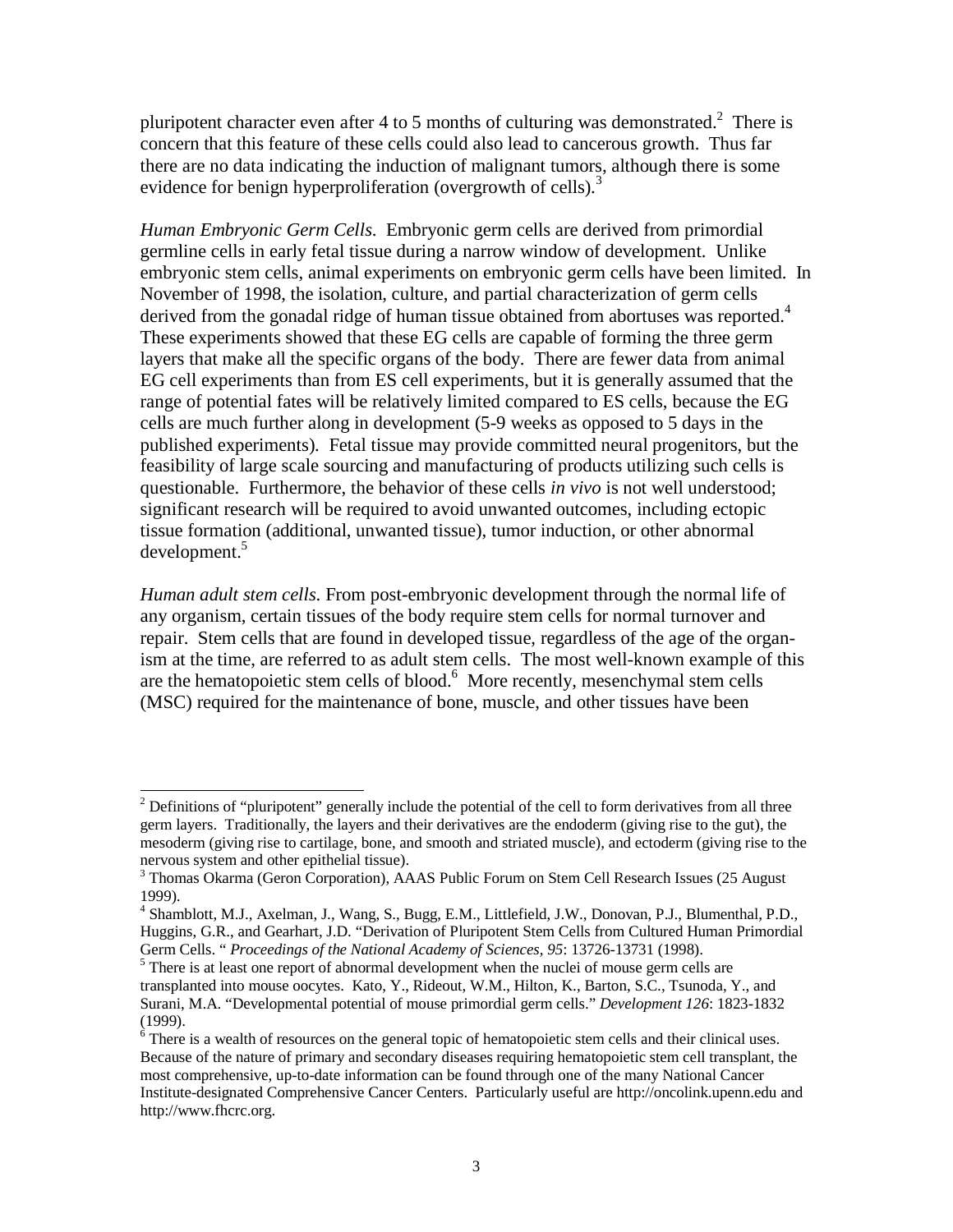pluripotent character even after 4 to 5 months of culturing was demonstrated.<sup>2</sup> There is concern that this feature of these cells could also lead to cancerous growth. Thus far there are no data indicating the induction of malignant tumors, although there is some evidence for benign hyperproliferation (overgrowth of cells).<sup>3</sup>

*Human Embryonic Germ Cells*. Embryonic germ cells are derived from primordial germline cells in early fetal tissue during a narrow window of development. Unlike embryonic stem cells, animal experiments on embryonic germ cells have been limited. In November of 1998, the isolation, culture, and partial characterization of germ cells derived from the gonadal ridge of human tissue obtained from abortuses was reported.<sup>4</sup> These experiments showed that these EG cells are capable of forming the three germ layers that make all the specific organs of the body. There are fewer data from animal EG cell experiments than from ES cell experiments, but it is generally assumed that the range of potential fates will be relatively limited compared to ES cells, because the EG cells are much further along in development (5-9 weeks as opposed to 5 days in the published experiments). Fetal tissue may provide committed neural progenitors, but the feasibility of large scale sourcing and manufacturing of products utilizing such cells is questionable. Furthermore, the behavior of these cells *in vivo* is not well understood; significant research will be required to avoid unwanted outcomes, including ectopic tissue formation (additional, unwanted tissue), tumor induction, or other abnormal development.<sup>5</sup>

*Human adult stem cells*. From post-embryonic development through the normal life of any organism, certain tissues of the body require stem cells for normal turnover and repair. Stem cells that are found in developed tissue, regardless of the age of the organism at the time, are referred to as adult stem cells. The most well-known example of this are the hematopoietic stem cells of blood.<sup>6</sup> More recently, mesenchymal stem cells (MSC) required for the maintenance of bone, muscle, and other tissues have been

 $2^{2}$  Definitions of "pluripotent" generally include the potential of the cell to form derivatives from all three germ layers. Traditionally, the layers and their derivatives are the endoderm (giving rise to the gut), the mesoderm (giving rise to cartilage, bone, and smooth and striated muscle), and ectoderm (giving rise to the nervous system and other epithelial tissue).

<sup>&</sup>lt;sup>3</sup> Thomas Okarma (Geron Corporation), AAAS Public Forum on Stem Cell Research Issues (25 August 1999).

<sup>&</sup>lt;sup>4</sup> Shamblott, M.J., Axelman, J., Wang, S., Bugg, E.M., Littlefield, J.W., Donovan, P.J., Blumenthal, P.D., Huggins, G.R., and Gearhart, J.D. "Derivation of Pluripotent Stem Cells from Cultured Human Primordial Germ Cells. " *Proceedings of the National Academy of Sciences, 95*: 13726-13731 (1998). <sup>5</sup>

 $5$  There is at least one report of abnormal development when the nuclei of mouse germ cells are transplanted into mouse oocytes. Kato, Y., Rideout, W.M., Hilton, K., Barton, S.C., Tsunoda, Y., and Surani, M.A. "Developmental potential of mouse primordial germ cells." *Development 126*: 1823-1832 (1999).

 $6$  There is a wealth of resources on the general topic of hematopoietic stem cells and their clinical uses. Because of the nature of primary and secondary diseases requiring hematopoietic stem cell transplant, the most comprehensive, up-to-date information can be found through one of the many National Cancer Institute-designated Comprehensive Cancer Centers. Particularly useful are http://oncolink.upenn.edu and http://www.fhcrc.org.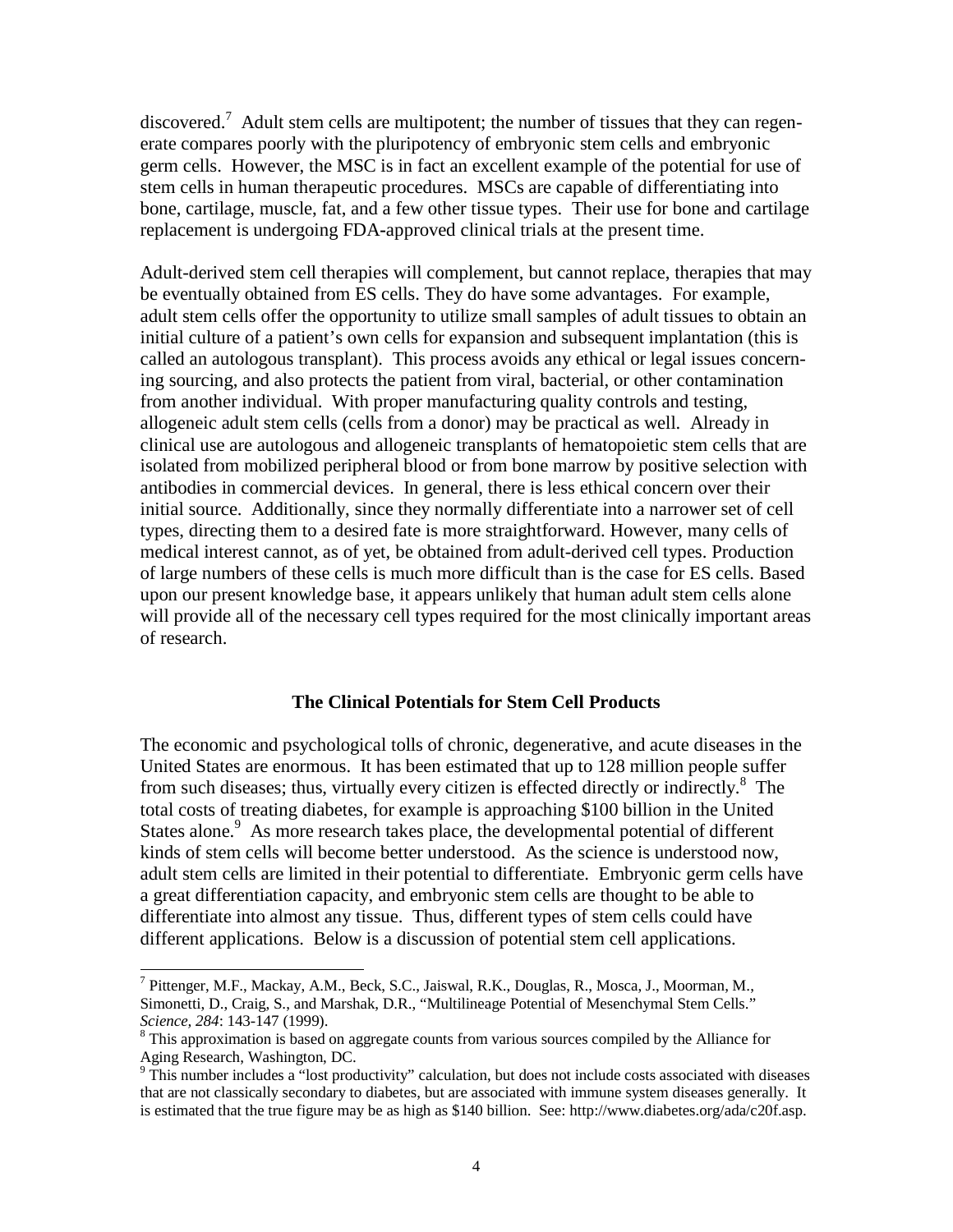discovered.<sup>7</sup> Adult stem cells are multipotent; the number of tissues that they can regenerate compares poorly with the pluripotency of embryonic stem cells and embryonic germ cells. However, the MSC is in fact an excellent example of the potential for use of stem cells in human therapeutic procedures. MSCs are capable of differentiating into bone, cartilage, muscle, fat, and a few other tissue types. Their use for bone and cartilage replacement is undergoing FDA**-**approved clinical trials at the present time.

Adult-derived stem cell therapies will complement, but cannot replace, therapies that may be eventually obtained from ES cells. They do have some advantages. For example, adult stem cells offer the opportunity to utilize small samples of adult tissues to obtain an initial culture of a patient's own cells for expansion and subsequent implantation (this is called an autologous transplant). This process avoids any ethical or legal issues concerning sourcing, and also protects the patient from viral, bacterial, or other contamination from another individual. With proper manufacturing quality controls and testing, allogeneic adult stem cells (cells from a donor) may be practical as well. Already in clinical use are autologous and allogeneic transplants of hematopoietic stem cells that are isolated from mobilized peripheral blood or from bone marrow by positive selection with antibodies in commercial devices. In general, there is less ethical concern over their initial source. Additionally, since they normally differentiate into a narrower set of cell types, directing them to a desired fate is more straightforward. However, many cells of medical interest cannot, as of yet, be obtained from adult-derived cell types. Production of large numbers of these cells is much more difficult than is the case for ES cells. Based upon our present knowledge base, it appears unlikely that human adult stem cells alone will provide all of the necessary cell types required for the most clinically important areas of research.

#### **The Clinical Potentials for Stem Cell Products**

The economic and psychological tolls of chronic, degenerative, and acute diseases in the United States are enormous. It has been estimated that up to 128 million people suffer from such diseases; thus, virtually every citizen is effected directly or indirectly.<sup>8</sup> The total costs of treating diabetes, for example is approaching \$100 billion in the United States alone.<sup>9</sup> As more research takes place, the developmental potential of different kinds of stem cells will become better understood. As the science is understood now, adult stem cells are limited in their potential to differentiate. Embryonic germ cells have a great differentiation capacity, and embryonic stem cells are thought to be able to differentiate into almost any tissue. Thus, different types of stem cells could have different applications. Below is a discussion of potential stem cell applications.

 7 Pittenger, M.F., Mackay, A.M., Beck, S.C., Jaiswal, R.K., Douglas, R., Mosca, J., Moorman, M., Simonetti, D., Craig, S., and Marshak, D.R., "Multilineage Potential of Mesenchymal Stem Cells." *Science, 284*: 143-147 (1999). <sup>8</sup>

<sup>&</sup>lt;sup>8</sup> This approximation is based on aggregate counts from various sources compiled by the Alliance for Aging Research, Washington, DC.

<sup>&</sup>lt;sup>9</sup> This number includes a "lost productivity" calculation, but does not include costs associated with diseases that are not classically secondary to diabetes, but are associated with immune system diseases generally. It is estimated that the true figure may be as high as \$140 billion. See: http://www.diabetes.org/ada/c20f.asp.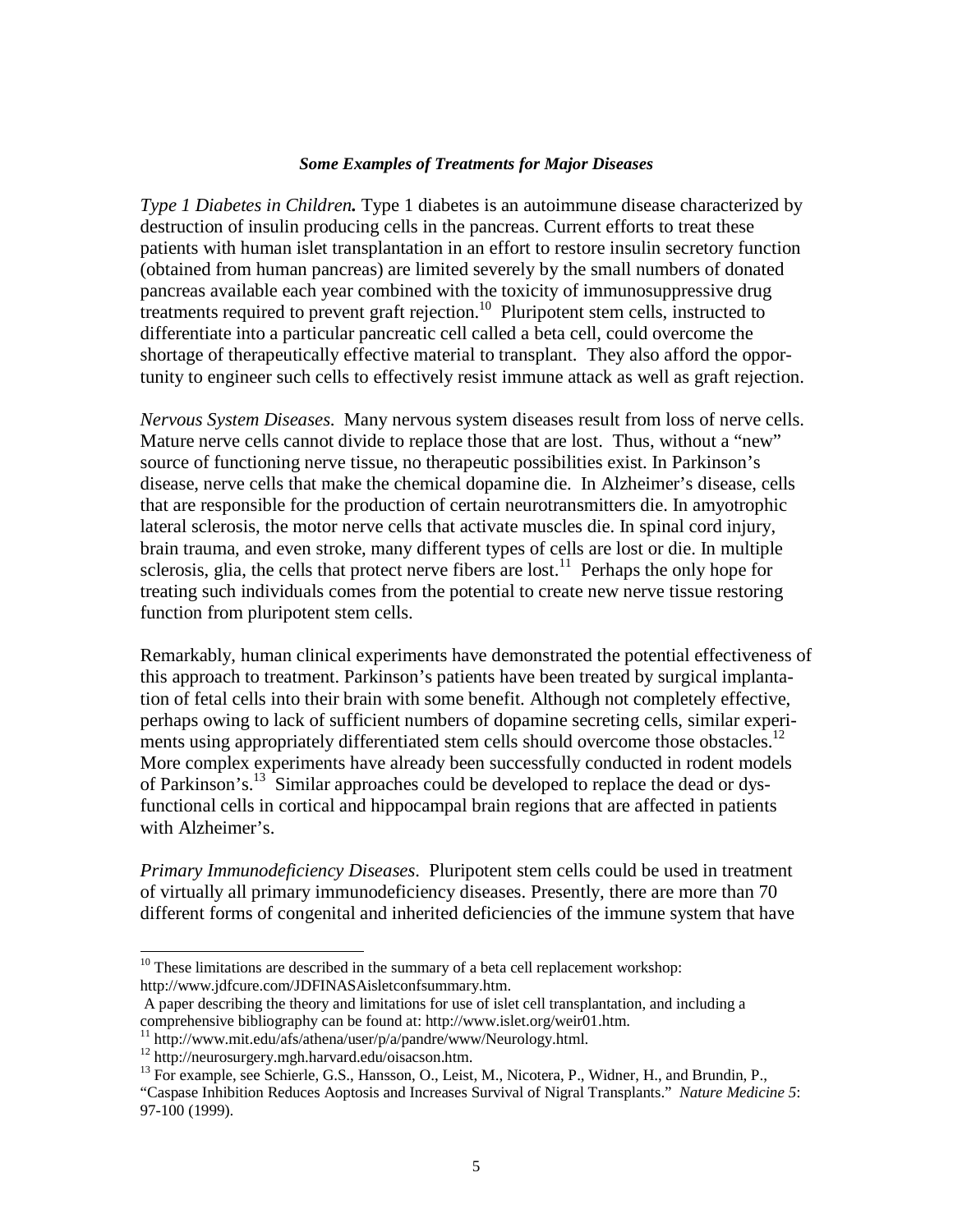#### *Some Examples of Treatments for Major Diseases*

*Type 1 Diabetes in Children.* Type 1 diabetes is an autoimmune disease characterized by destruction of insulin producing cells in the pancreas. Current efforts to treat these patients with human islet transplantation in an effort to restore insulin secretory function (obtained from human pancreas) are limited severely by the small numbers of donated pancreas available each year combined with the toxicity of immunosuppressive drug treatments required to prevent graft rejection.<sup>10</sup> Pluripotent stem cells, instructed to differentiate into a particular pancreatic cell called a beta cell, could overcome the shortage of therapeutically effective material to transplant. They also afford the opportunity to engineer such cells to effectively resist immune attack as well as graft rejection.

*Nervous System Diseases*. Many nervous system diseases result from loss of nerve cells. Mature nerve cells cannot divide to replace those that are lost. Thus, without a "new" source of functioning nerve tissue, no therapeutic possibilities exist. In Parkinson's disease, nerve cells that make the chemical dopamine die. In Alzheimer's disease, cells that are responsible for the production of certain neurotransmitters die. In amyotrophic lateral sclerosis, the motor nerve cells that activate muscles die. In spinal cord injury, brain trauma, and even stroke, many different types of cells are lost or die. In multiple sclerosis, glia, the cells that protect nerve fibers are lost.<sup>11</sup> Perhaps the only hope for treating such individuals comes from the potential to create new nerve tissue restoring function from pluripotent stem cells.

Remarkably, human clinical experiments have demonstrated the potential effectiveness of this approach to treatment. Parkinson's patients have been treated by surgical implantation of fetal cells into their brain with some benefit. Although not completely effective, perhaps owing to lack of sufficient numbers of dopamine secreting cells, similar experiments using appropriately differentiated stem cells should overcome those obstacles.<sup>12</sup> More complex experiments have already been successfully conducted in rodent models of Parkinson's.13 Similar approaches could be developed to replace the dead or dysfunctional cells in cortical and hippocampal brain regions that are affected in patients with Alzheimer's.

*Primary Immunodeficiency Diseases*. Pluripotent stem cells could be used in treatment of virtually all primary immunodeficiency diseases. Presently, there are more than 70 different forms of congenital and inherited deficiencies of the immune system that have

 $10$  These limitations are described in the summary of a beta cell replacement workshop: http://www.jdfcure.com/JDFINASAisletconfsummary.htm.

A paper describing the theory and limitations for use of islet cell transplantation, and including a comprehensive bibliography can be found at: http://www.islet.org/weir01.htm.

<sup>&</sup>lt;sup>11</sup> http://www.mit.edu/afs/athena/user/p/a/pandre/www/Neurology.html.

<sup>12</sup> http://neurosurgery.mgh.harvard.edu/oisacson.htm.

<sup>&</sup>lt;sup>13</sup> For example, see Schierle, G.S., Hansson, O., Leist, M., Nicotera, P., Widner, H., and Brundin, P.,

<sup>&</sup>quot;Caspase Inhibition Reduces Aoptosis and Increases Survival of Nigral Transplants." *Nature Medicine 5*: 97-100 (1999).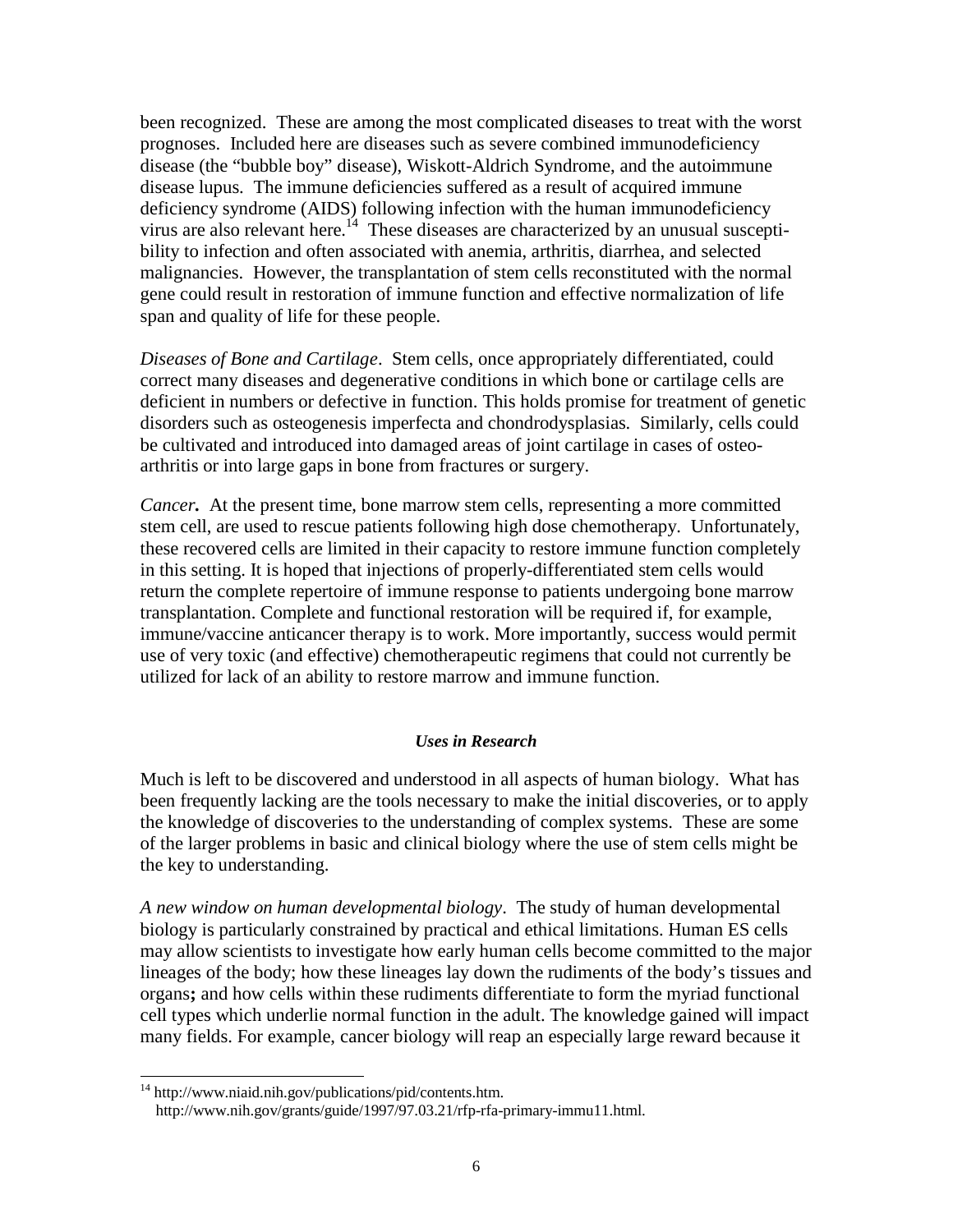been recognized. These are among the most complicated diseases to treat with the worst prognoses. Included here are diseases such as severe combined immunodeficiency disease (the "bubble boy" disease), Wiskott-Aldrich Syndrome, and the autoimmune disease lupus. The immune deficiencies suffered as a result of acquired immune deficiency syndrome (AIDS) following infection with the human immunodeficiency virus are also relevant here.<sup>14</sup> These diseases are characterized by an unusual susceptibility to infection and often associated with anemia, arthritis, diarrhea, and selected malignancies. However, the transplantation of stem cells reconstituted with the normal gene could result in restoration of immune function and effective normalization of life span and quality of life for these people.

*Diseases of Bone and Cartilage*.Stem cells, once appropriately differentiated, could correct many diseases and degenerative conditions in which bone or cartilage cells are deficient in numbers or defective in function. This holds promise for treatment of genetic disorders such as osteogenesis imperfecta and chondrodysplasias. Similarly, cells could be cultivated and introduced into damaged areas of joint cartilage in cases of osteoarthritis or into large gaps in bone from fractures or surgery.

*Cancer*. At the present time, bone marrow stem cells, representing a more committed stem cell, are used to rescue patients following high dose chemotherapy. Unfortunately, these recovered cells are limited in their capacity to restore immune function completely in this setting. It is hoped that injections of properly-differentiated stem cells would return the complete repertoire of immune response to patients undergoing bone marrow transplantation. Complete and functional restoration will be required if, for example, immune/vaccine anticancer therapy is to work. More importantly, success would permit use of very toxic (and effective) chemotherapeutic regimens that could not currently be utilized for lack of an ability to restore marrow and immune function.

#### *Uses in Research*

Much is left to be discovered and understood in all aspects of human biology. What has been frequently lacking are the tools necessary to make the initial discoveries, or to apply the knowledge of discoveries to the understanding of complex systems. These are some of the larger problems in basic and clinical biology where the use of stem cells might be the key to understanding.

*A new window on human developmental biology*. The study of human developmental biology is particularly constrained by practical and ethical limitations. Human ES cells may allow scientists to investigate how early human cells become committed to the major lineages of the body; how these lineages lay down the rudiments of the body's tissues and organs**;** and how cells within these rudiments differentiate to form the myriad functional cell types which underlie normal function in the adult. The knowledge gained will impact many fields. For example, cancer biology will reap an especially large reward because it

<sup>&</sup>lt;sup>14</sup> http://www.niaid.nih.gov/publications/pid/contents.htm.

http://www.nih.gov/grants/guide/1997/97.03.21/rfp-rfa-primary-immu11.html.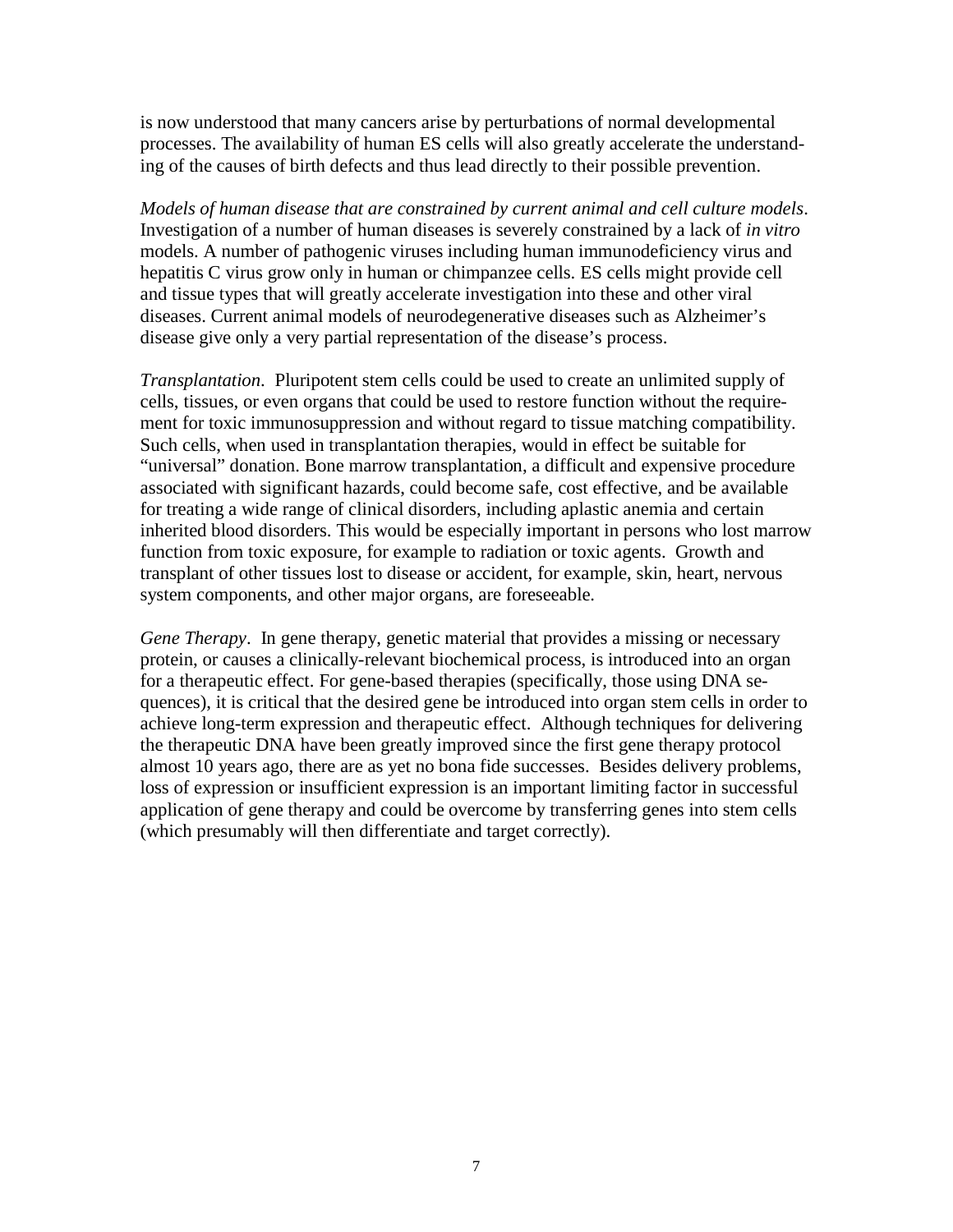is now understood that many cancers arise by perturbations of normal developmental processes. The availability of human ES cells will also greatly accelerate the understanding of the causes of birth defects and thus lead directly to their possible prevention.

*Models of human disease that are constrained by current animal and cell culture models*. Investigation of a number of human diseases is severely constrained by a lack of *in vitro* models. A number of pathogenic viruses including human immunodeficiency virus and hepatitis C virus grow only in human or chimpanzee cells. ES cells might provide cell and tissue types that will greatly accelerate investigation into these and other viral diseases. Current animal models of neurodegenerative diseases such as Alzheimer's disease give only a very partial representation of the disease's process.

*Transplantation*. Pluripotent stem cells could be used to create an unlimited supply of cells, tissues, or even organs that could be used to restore function without the requirement for toxic immunosuppression and without regard to tissue matching compatibility. Such cells, when used in transplantation therapies, would in effect be suitable for "universal" donation. Bone marrow transplantation, a difficult and expensive procedure associated with significant hazards, could become safe, cost effective, and be available for treating a wide range of clinical disorders, including aplastic anemia and certain inherited blood disorders. This would be especially important in persons who lost marrow function from toxic exposure, for example to radiation or toxic agents. Growth and transplant of other tissues lost to disease or accident, for example, skin, heart, nervous system components, and other major organs, are foreseeable.

*Gene Therapy*. In gene therapy, genetic material that provides a missing or necessary protein, or causes a clinically-relevant biochemical process, is introduced into an organ for a therapeutic effect. For gene-based therapies (specifically, those using DNA sequences), it is critical that the desired gene be introduced into organ stem cells in order to achieve long-term expression and therapeutic effect. Although techniques for delivering the therapeutic DNA have been greatly improved since the first gene therapy protocol almost 10 years ago, there are as yet no bona fide successes. Besides delivery problems, loss of expression or insufficient expression is an important limiting factor in successful application of gene therapy and could be overcome by transferring genes into stem cells (which presumably will then differentiate and target correctly).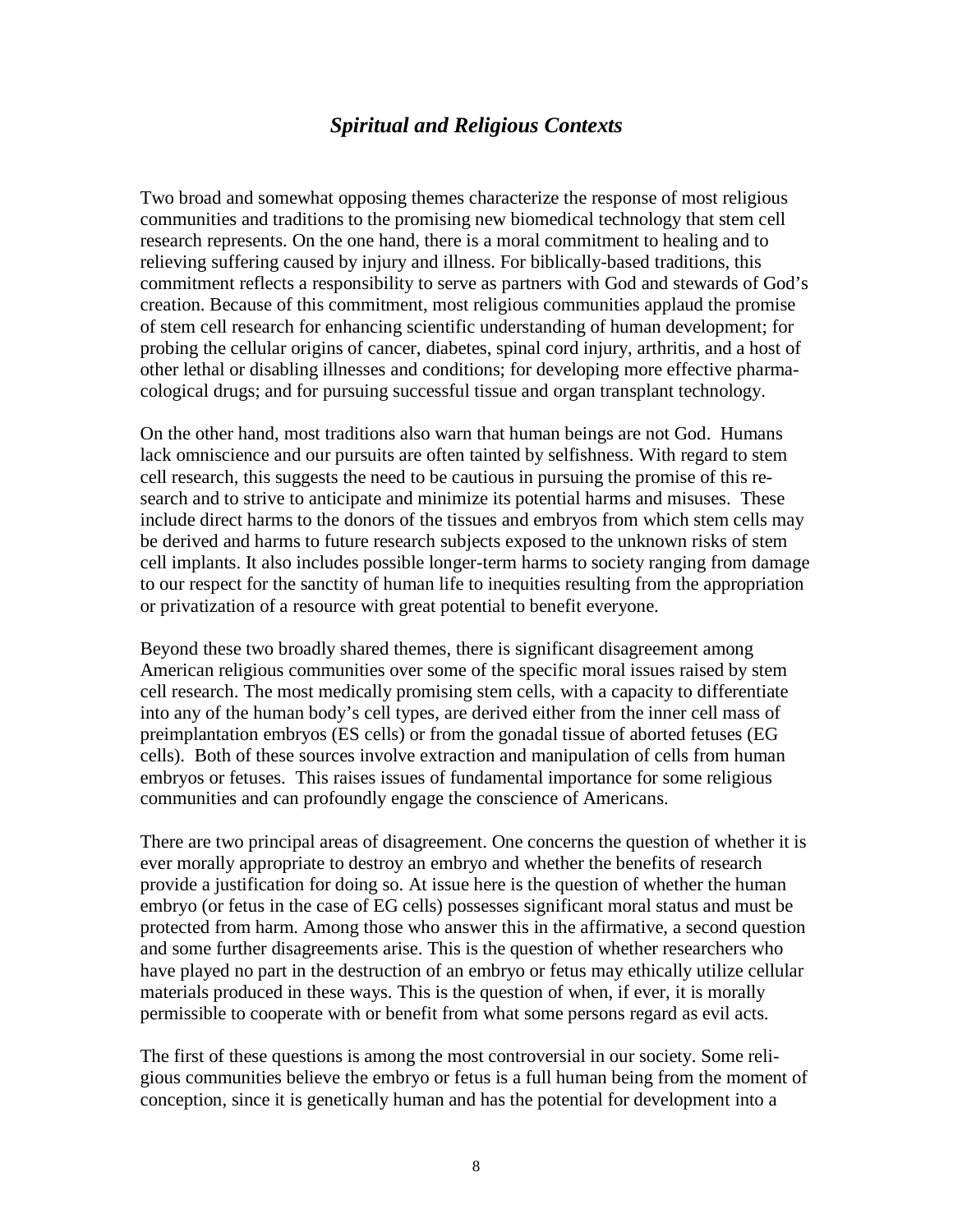# *Spiritual and Religious Contexts*

Two broad and somewhat opposing themes characterize the response of most religious communities and traditions to the promising new biomedical technology that stem cell research represents. On the one hand, there is a moral commitment to healing and to relieving suffering caused by injury and illness. For biblically-based traditions, this commitment reflects a responsibility to serve as partners with God and stewards of God's creation. Because of this commitment, most religious communities applaud the promise of stem cell research for enhancing scientific understanding of human development; for probing the cellular origins of cancer, diabetes, spinal cord injury, arthritis, and a host of other lethal or disabling illnesses and conditions; for developing more effective pharmacological drugs; and for pursuing successful tissue and organ transplant technology.

On the other hand, most traditions also warn that human beings are not God. Humans lack omniscience and our pursuits are often tainted by selfishness. With regard to stem cell research, this suggests the need to be cautious in pursuing the promise of this research and to strive to anticipate and minimize its potential harms and misuses. These include direct harms to the donors of the tissues and embryos from which stem cells may be derived and harms to future research subjects exposed to the unknown risks of stem cell implants. It also includes possible longer-term harms to society ranging from damage to our respect for the sanctity of human life to inequities resulting from the appropriation or privatization of a resource with great potential to benefit everyone.

Beyond these two broadly shared themes, there is significant disagreement among American religious communities over some of the specific moral issues raised by stem cell research. The most medically promising stem cells, with a capacity to differentiate into any of the human body's cell types, are derived either from the inner cell mass of preimplantation embryos (ES cells) or from the gonadal tissue of aborted fetuses (EG cells). Both of these sources involve extraction and manipulation of cells from human embryos or fetuses. This raises issues of fundamental importance for some religious communities and can profoundly engage the conscience of Americans.

There are two principal areas of disagreement. One concerns the question of whether it is ever morally appropriate to destroy an embryo and whether the benefits of research provide a justification for doing so. At issue here is the question of whether the human embryo (or fetus in the case of EG cells) possesses significant moral status and must be protected from harm. Among those who answer this in the affirmative, a second question and some further disagreements arise. This is the question of whether researchers who have played no part in the destruction of an embryo or fetus may ethically utilize cellular materials produced in these ways. This is the question of when, if ever, it is morally permissible to cooperate with or benefit from what some persons regard as evil acts.

The first of these questions is among the most controversial in our society. Some religious communities believe the embryo or fetus is a full human being from the moment of conception, since it is genetically human and has the potential for development into a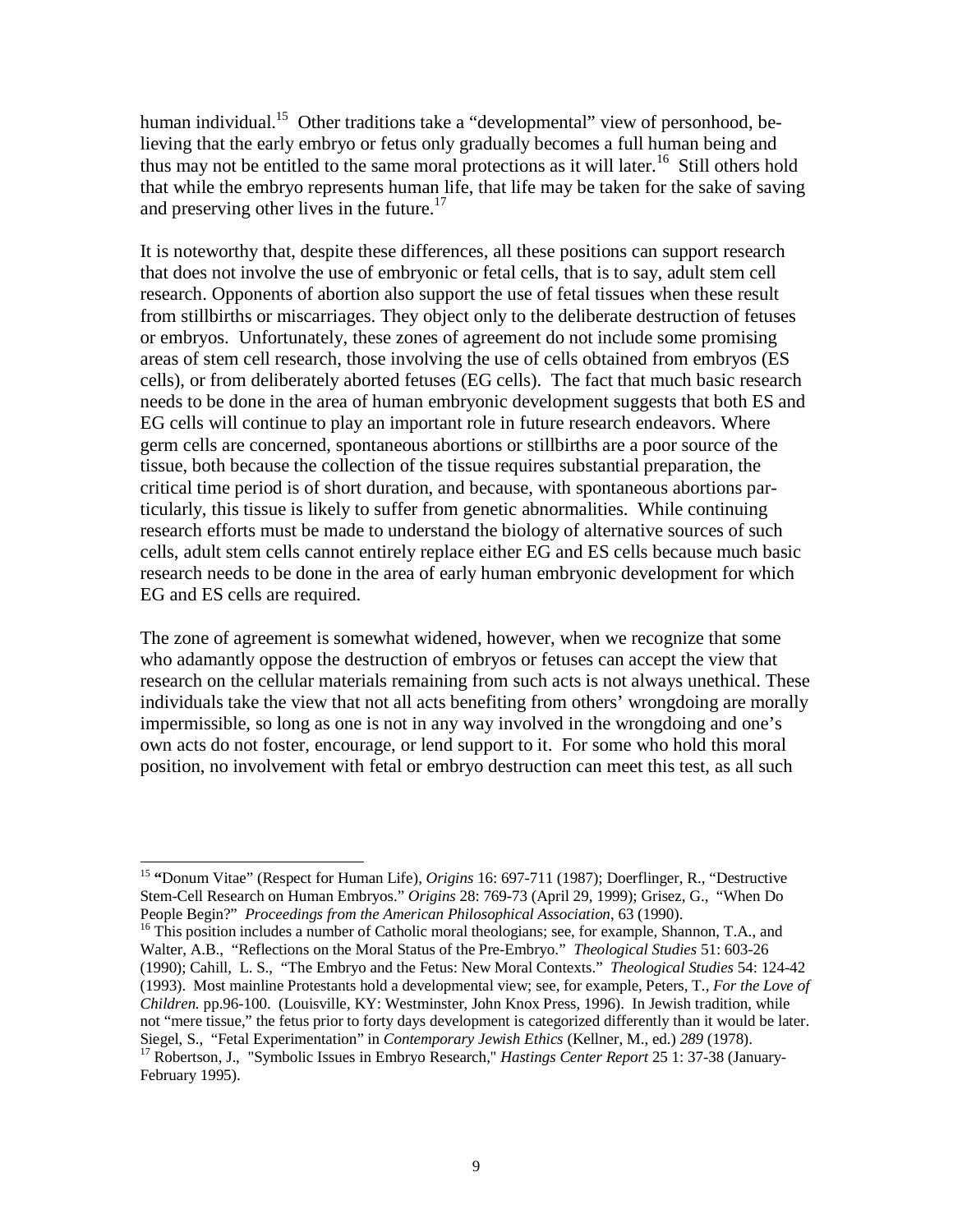human individual.<sup>15</sup> Other traditions take a "developmental" view of personhood, believing that the early embryo or fetus only gradually becomes a full human being and thus may not be entitled to the same moral protections as it will later.<sup>16</sup> Still others hold that while the embryo represents human life, that life may be taken for the sake of saving and preserving other lives in the future. $17$ 

It is noteworthy that, despite these differences, all these positions can support research that does not involve the use of embryonic or fetal cells, that is to say, adult stem cell research. Opponents of abortion also support the use of fetal tissues when these result from stillbirths or miscarriages. They object only to the deliberate destruction of fetuses or embryos. Unfortunately, these zones of agreement do not include some promising areas of stem cell research, those involving the use of cells obtained from embryos (ES cells), or from deliberately aborted fetuses (EG cells). The fact that much basic research needs to be done in the area of human embryonic development suggests that both ES and EG cells will continue to play an important role in future research endeavors. Where germ cells are concerned, spontaneous abortions or stillbirths are a poor source of the tissue, both because the collection of the tissue requires substantial preparation, the critical time period is of short duration, and because, with spontaneous abortions particularly, this tissue is likely to suffer from genetic abnormalities. While continuing research efforts must be made to understand the biology of alternative sources of such cells, adult stem cells cannot entirely replace either EG and ES cells because much basic research needs to be done in the area of early human embryonic development for which EG and ES cells are required.

The zone of agreement is somewhat widened, however, when we recognize that some who adamantly oppose the destruction of embryos or fetuses can accept the view that research on the cellular materials remaining from such acts is not always unethical. These individuals take the view that not all acts benefiting from others' wrongdoing are morally impermissible, so long as one is not in any way involved in the wrongdoing and one's own acts do not foster, encourage, or lend support to it. For some who hold this moral position, no involvement with fetal or embryo destruction can meet this test, as all such

<sup>15</sup> **"**Donum Vitae" (Respect for Human Life), *Origins* 16: 697-711 (1987); Doerflinger, R., "Destructive Stem-Cell Research on Human Embryos." *Origins* 28: 769-73 (April 29, 1999); Grisez, G., "When Do People Begin?" *Proceedings from the American Philosophical Association*, 63 (1990).<br><sup>16</sup> This position includes a number of Catholic moral theologians; see, for example, Shannon, T.A., and

Walter, A.B., "Reflections on the Moral Status of the Pre-Embryo." *Theological Studies* 51: 603-26 (1990); Cahill, L. S., "The Embryo and the Fetus: New Moral Contexts." *Theological Studies* 54: 124-42 (1993). Most mainline Protestants hold a developmental view; see, for example, Peters, T*., For the Love of Children.* pp.96-100. (Louisville, KY: Westminster, John Knox Press, 1996). In Jewish tradition, while not "mere tissue," the fetus prior to forty days development is categorized differently than it would be later. Siegel, S., "Fetal Experimentation" in *Contemporary Jewish Ethics* (Kellner, M., ed.) *289* (1978). 17 Robertson, J., "Symbolic Issues in Embryo Research," *Hastings Center Report* 25 1: 37-38 (January-

February 1995).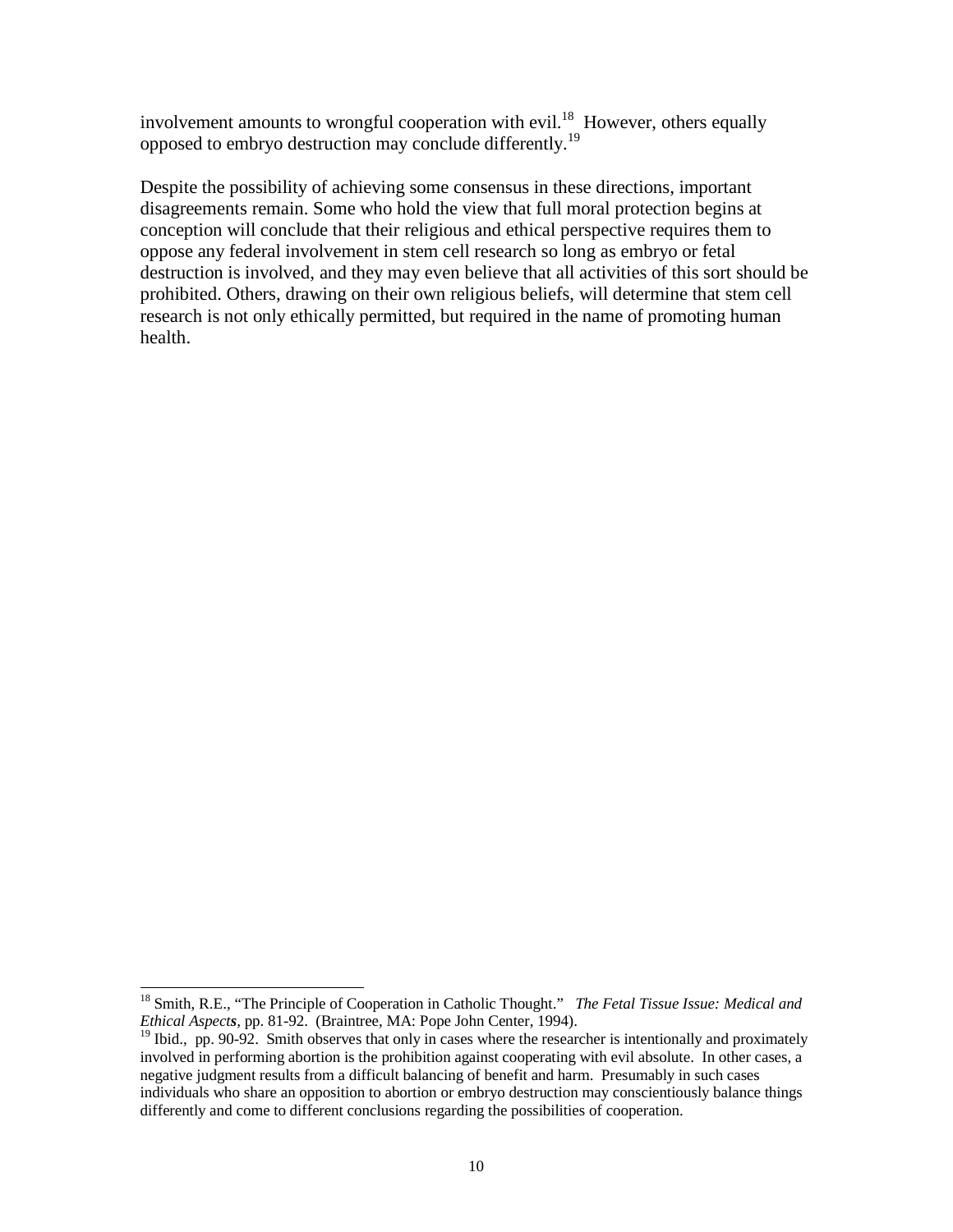involvement amounts to wrongful cooperation with evil. $18$  However, others equally opposed to embryo destruction may conclude differently.<sup>19</sup>

Despite the possibility of achieving some consensus in these directions, important disagreements remain. Some who hold the view that full moral protection begins at conception will conclude that their religious and ethical perspective requires them to oppose any federal involvement in stem cell research so long as embryo or fetal destruction is involved, and they may even believe that all activities of this sort should be prohibited. Others, drawing on their own religious beliefs, will determine that stem cell research is not only ethically permitted, but required in the name of promoting human health.

 $\overline{a}$ 18 Smith, R.E., "The Principle of Cooperation in Catholic Thought." *The Fetal Tissue Issue: Medical and Ethical Aspects,* pp. 81-92. (Braintree, MA: Pope John Center, 1994).

 $19$  Ibid., pp. 90-92. Smith observes that only in cases where the researcher is intentionally and proximately involved in performing abortion is the prohibition against cooperating with evil absolute. In other cases, a negative judgment results from a difficult balancing of benefit and harm. Presumably in such cases individuals who share an opposition to abortion or embryo destruction may conscientiously balance things differently and come to different conclusions regarding the possibilities of cooperation.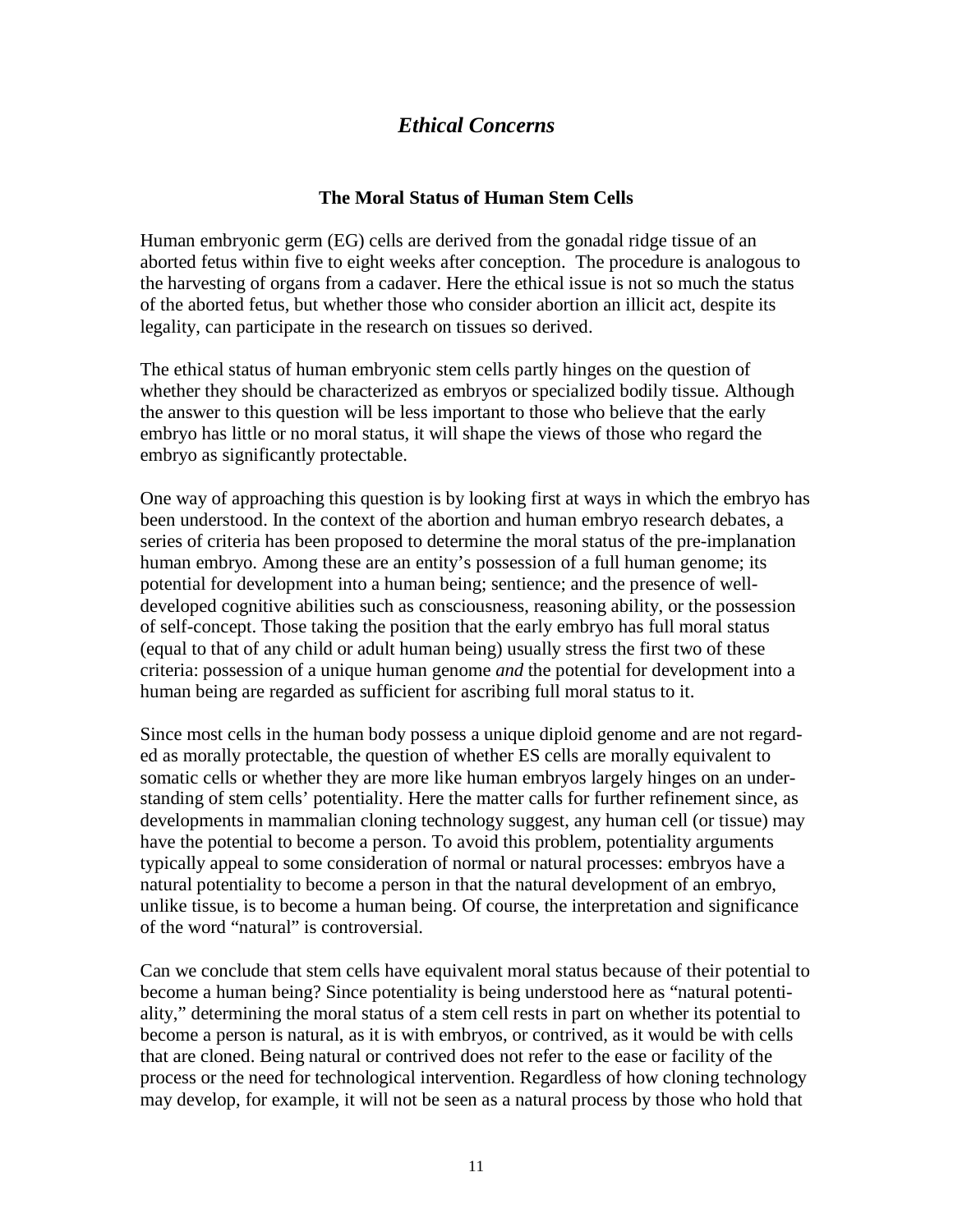# *Ethical Concerns*

### **The Moral Status of Human Stem Cells**

Human embryonic germ (EG) cells are derived from the gonadal ridge tissue of an aborted fetus within five to eight weeks after conception. The procedure is analogous to the harvesting of organs from a cadaver. Here the ethical issue is not so much the status of the aborted fetus, but whether those who consider abortion an illicit act, despite its legality, can participate in the research on tissues so derived.

The ethical status of human embryonic stem cells partly hinges on the question of whether they should be characterized as embryos or specialized bodily tissue. Although the answer to this question will be less important to those who believe that the early embryo has little or no moral status, it will shape the views of those who regard the embryo as significantly protectable.

One way of approaching this question is by looking first at ways in which the embryo has been understood. In the context of the abortion and human embryo research debates, a series of criteria has been proposed to determine the moral status of the pre-implanation human embryo. Among these are an entity's possession of a full human genome; its potential for development into a human being; sentience; and the presence of welldeveloped cognitive abilities such as consciousness, reasoning ability, or the possession of self-concept. Those taking the position that the early embryo has full moral status (equal to that of any child or adult human being) usually stress the first two of these criteria: possession of a unique human genome *and* the potential for development into a human being are regarded as sufficient for ascribing full moral status to it.

Since most cells in the human body possess a unique diploid genome and are not regarded as morally protectable, the question of whether ES cells are morally equivalent to somatic cells or whether they are more like human embryos largely hinges on an understanding of stem cells' potentiality. Here the matter calls for further refinement since, as developments in mammalian cloning technology suggest, any human cell (or tissue) may have the potential to become a person. To avoid this problem, potentiality arguments typically appeal to some consideration of normal or natural processes: embryos have a natural potentiality to become a person in that the natural development of an embryo, unlike tissue, is to become a human being. Of course, the interpretation and significance of the word "natural" is controversial.

Can we conclude that stem cells have equivalent moral status because of their potential to become a human being? Since potentiality is being understood here as "natural potentiality," determining the moral status of a stem cell rests in part on whether its potential to become a person is natural, as it is with embryos, or contrived, as it would be with cells that are cloned. Being natural or contrived does not refer to the ease or facility of the process or the need for technological intervention. Regardless of how cloning technology may develop, for example, it will not be seen as a natural process by those who hold that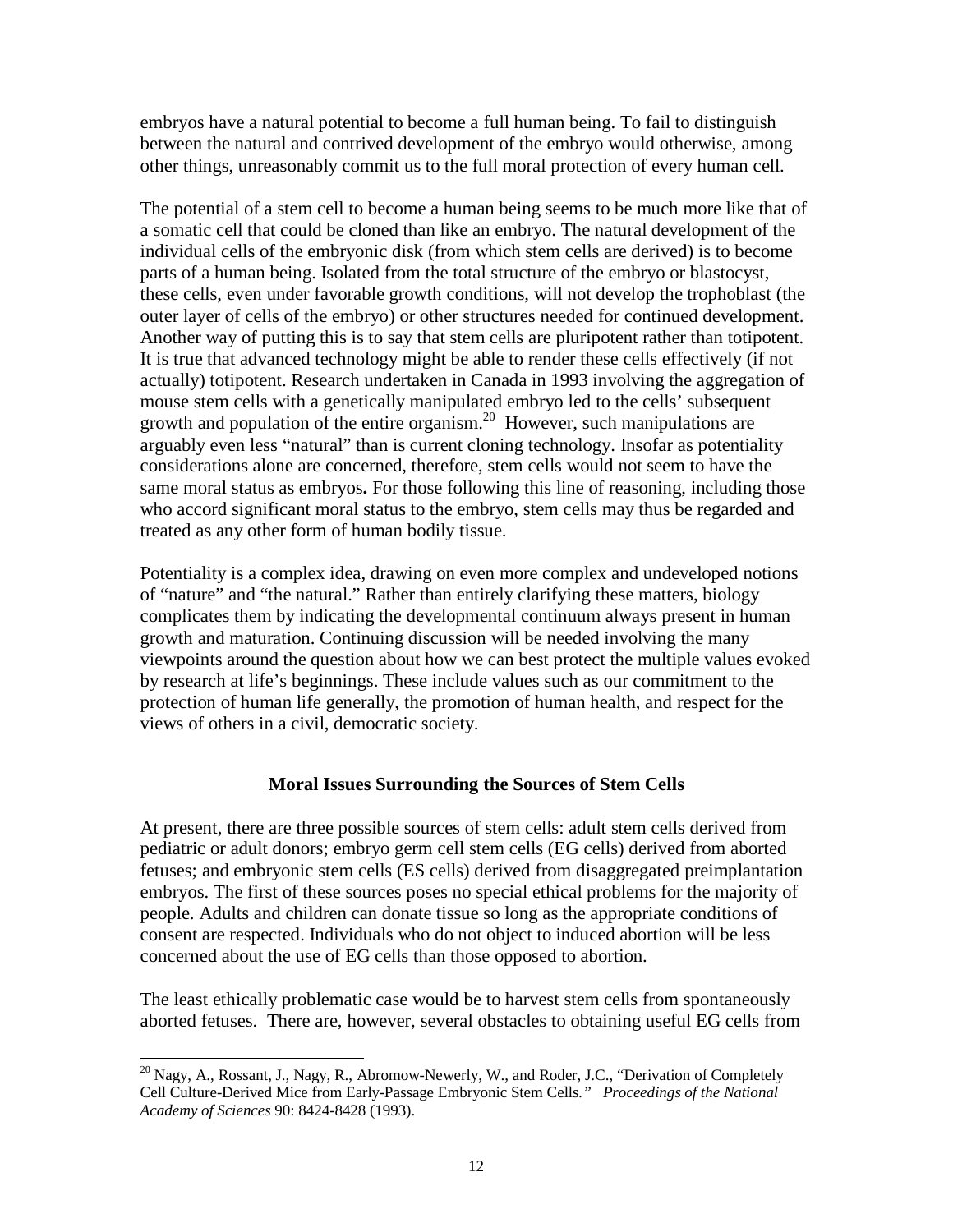embryos have a natural potential to become a full human being. To fail to distinguish between the natural and contrived development of the embryo would otherwise, among other things, unreasonably commit us to the full moral protection of every human cell.

The potential of a stem cell to become a human being seems to be much more like that of a somatic cell that could be cloned than like an embryo. The natural development of the individual cells of the embryonic disk (from which stem cells are derived) is to become parts of a human being. Isolated from the total structure of the embryo or blastocyst, these cells, even under favorable growth conditions, will not develop the trophoblast (the outer layer of cells of the embryo) or other structures needed for continued development. Another way of putting this is to say that stem cells are pluripotent rather than totipotent. It is true that advanced technology might be able to render these cells effectively (if not actually) totipotent. Research undertaken in Canada in 1993 involving the aggregation of mouse stem cells with a genetically manipulated embryo led to the cells' subsequent growth and population of the entire organism.<sup>20</sup> However, such manipulations are arguably even less "natural" than is current cloning technology. Insofar as potentiality considerations alone are concerned, therefore, stem cells would not seem to have the same moral status as embryos**.** For those following this line of reasoning, including those who accord significant moral status to the embryo, stem cells may thus be regarded and treated as any other form of human bodily tissue.

Potentiality is a complex idea, drawing on even more complex and undeveloped notions of "nature" and "the natural." Rather than entirely clarifying these matters, biology complicates them by indicating the developmental continuum always present in human growth and maturation. Continuing discussion will be needed involving the many viewpoints around the question about how we can best protect the multiple values evoked by research at life's beginnings. These include values such as our commitment to the protection of human life generally, the promotion of human health, and respect for the views of others in a civil, democratic society.

#### **Moral Issues Surrounding the Sources of Stem Cells**

At present, there are three possible sources of stem cells: adult stem cells derived from pediatric or adult donors; embryo germ cell stem cells (EG cells) derived from aborted fetuses; and embryonic stem cells (ES cells) derived from disaggregated preimplantation embryos. The first of these sources poses no special ethical problems for the majority of people. Adults and children can donate tissue so long as the appropriate conditions of consent are respected. Individuals who do not object to induced abortion will be less concerned about the use of EG cells than those opposed to abortion.

The least ethically problematic case would be to harvest stem cells from spontaneously aborted fetuses. There are, however, several obstacles to obtaining useful EG cells from

 $^{20}$  Nagy, A., Rossant, J., Nagy, R., Abromow-Newerly, W., and Roder, J.C., "Derivation of Completely Cell Culture-Derived Mice from Early-Passage Embryonic Stem Cells*." Proceedings of the National Academy of Sciences* 90: 8424-8428 (1993).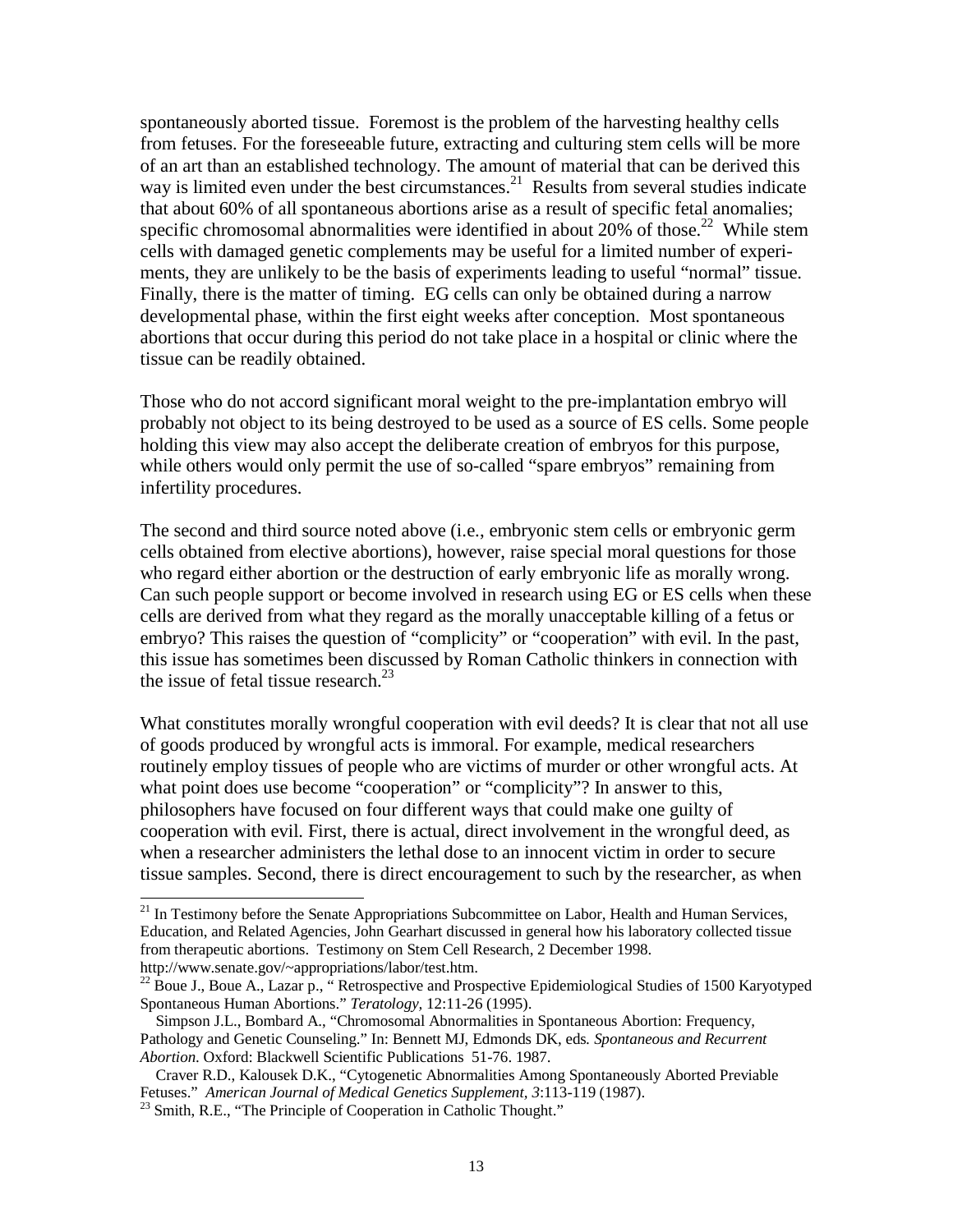spontaneously aborted tissue. Foremost is the problem of the harvesting healthy cells from fetuses. For the foreseeable future, extracting and culturing stem cells will be more of an art than an established technology. The amount of material that can be derived this way is limited even under the best circumstances.<sup>21</sup> Results from several studies indicate that about 60% of all spontaneous abortions arise as a result of specific fetal anomalies; specific chromosomal abnormalities were identified in about 20% of those.<sup>22</sup> While stem cells with damaged genetic complements may be useful for a limited number of experiments, they are unlikely to be the basis of experiments leading to useful "normal" tissue. Finally, there is the matter of timing.EG cells can only be obtained during a narrow developmental phase, within the first eight weeks after conception. Most spontaneous abortions that occur during this period do not take place in a hospital or clinic where the tissue can be readily obtained.

Those who do not accord significant moral weight to the pre-implantation embryo will probably not object to its being destroyed to be used as a source of ES cells. Some people holding this view may also accept the deliberate creation of embryos for this purpose, while others would only permit the use of so-called "spare embryos" remaining from infertility procedures.

The second and third source noted above (i.e., embryonic stem cells or embryonic germ cells obtained from elective abortions), however, raise special moral questions for those who regard either abortion or the destruction of early embryonic life as morally wrong. Can such people support or become involved in research using EG or ES cells when these cells are derived from what they regard as the morally unacceptable killing of a fetus or embryo? This raises the question of "complicity" or "cooperation" with evil. In the past, this issue has sometimes been discussed by Roman Catholic thinkers in connection with the issue of fetal tissue research. $^{23}$ 

What constitutes morally wrongful cooperation with evil deeds? It is clear that not all use of goods produced by wrongful acts is immoral. For example, medical researchers routinely employ tissues of people who are victims of murder or other wrongful acts. At what point does use become "cooperation" or "complicity"? In answer to this, philosophers have focused on four different ways that could make one guilty of cooperation with evil. First, there is actual, direct involvement in the wrongful deed, as when a researcher administers the lethal dose to an innocent victim in order to secure tissue samples. Second, there is direct encouragement to such by the researcher, as when

<sup>&</sup>lt;sup>21</sup> In Testimony before the Senate Appropriations Subcommittee on Labor, Health and Human Services, Education, and Related Agencies, John Gearhart discussed in general how his laboratory collected tissue from therapeutic abortions. Testimony on Stem Cell Research, 2 December 1998. http://www.senate.gov/~appropriations/labor/test.htm.

<sup>&</sup>lt;sup>22</sup> Boue J., Boue A., Lazar p., "Retrospective and Prospective Epidemiological Studies of 1500 Karyotyped Spontaneous Human Abortions." *Teratology,* 12:11-26 (1995).

Simpson J.L., Bombard A., "Chromosomal Abnormalities in Spontaneous Abortion: Frequency, Pathology and Genetic Counseling." In: Bennett MJ, Edmonds DK, eds*. Spontaneous and Recurrent Abortion*. Oxford: Blackwell Scientific Publications 51-76. 1987.

Craver R.D., Kalousek D.K., "Cytogenetic Abnormalities Among Spontaneously Aborted Previable Fetuses." *American Journal of Medical Genetics Supplement,* 3:113-119 (1987).<br><sup>23</sup> Smith, R.E., "The Principle of Cooperation in Catholic Thought."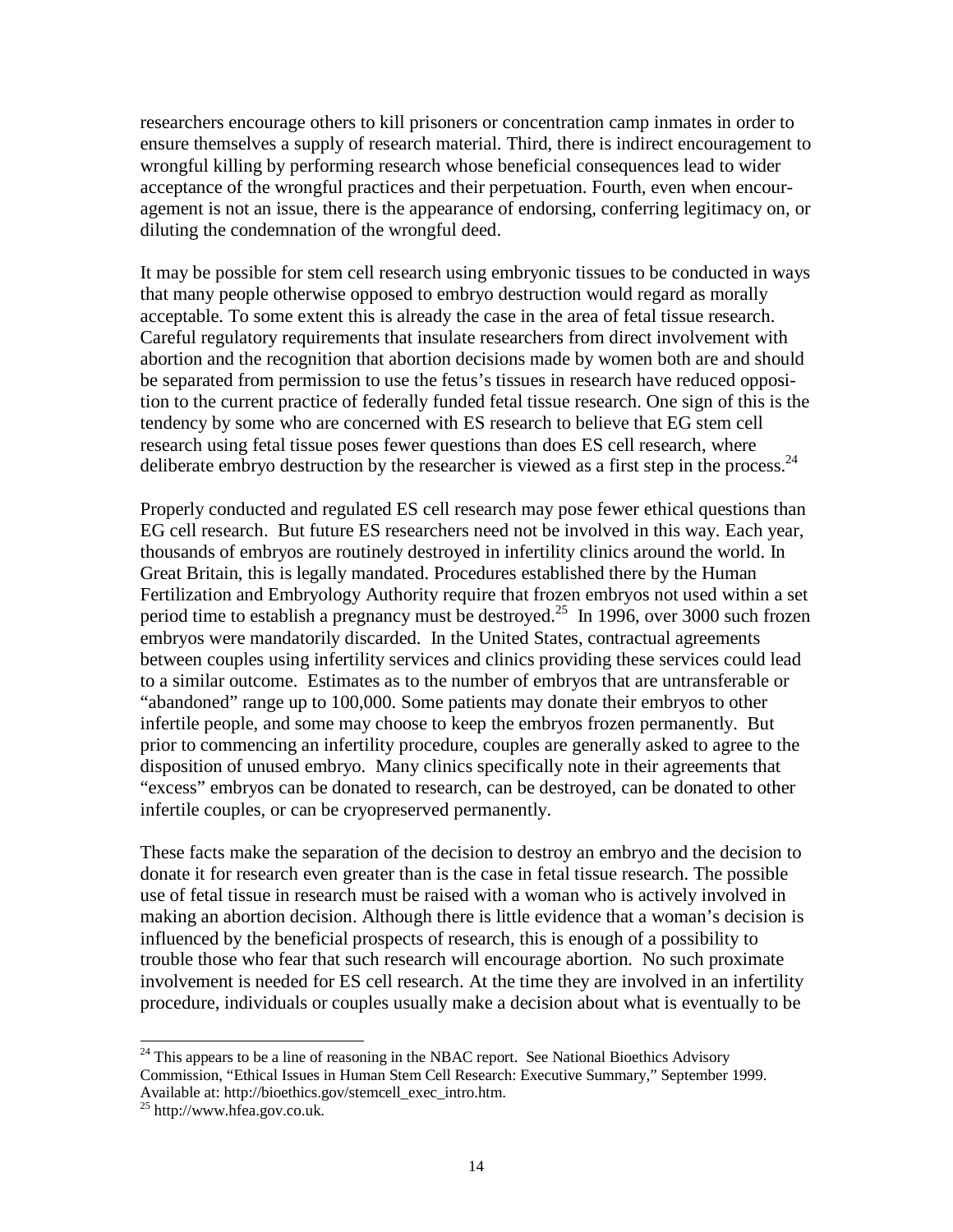researchers encourage others to kill prisoners or concentration camp inmates in order to ensure themselves a supply of research material. Third, there is indirect encouragement to wrongful killing by performing research whose beneficial consequences lead to wider acceptance of the wrongful practices and their perpetuation. Fourth, even when encouragement is not an issue, there is the appearance of endorsing, conferring legitimacy on, or diluting the condemnation of the wrongful deed.

It may be possible for stem cell research using embryonic tissues to be conducted in ways that many people otherwise opposed to embryo destruction would regard as morally acceptable. To some extent this is already the case in the area of fetal tissue research. Careful regulatory requirements that insulate researchers from direct involvement with abortion and the recognition that abortion decisions made by women both are and should be separated from permission to use the fetus's tissues in research have reduced opposition to the current practice of federally funded fetal tissue research. One sign of this is the tendency by some who are concerned with ES research to believe that EG stem cell research using fetal tissue poses fewer questions than does ES cell research, where deliberate embryo destruction by the researcher is viewed as a first step in the process.<sup>24</sup>

Properly conducted and regulated ES cell research may pose fewer ethical questions than EG cell research. But future ES researchers need not be involved in this way. Each year, thousands of embryos are routinely destroyed in infertility clinics around the world. In Great Britain, this is legally mandated. Procedures established there by the Human Fertilization and Embryology Authority require that frozen embryos not used within a set period time to establish a pregnancy must be destroyed.<sup>25</sup> In 1996, over 3000 such frozen embryos were mandatorily discarded. In the United States, contractual agreements between couples using infertility services and clinics providing these services could lead to a similar outcome. Estimates as to the number of embryos that are untransferable or "abandoned" range up to 100,000. Some patients may donate their embryos to other infertile people, and some may choose to keep the embryos frozen permanently. But prior to commencing an infertility procedure, couples are generally asked to agree to the disposition of unused embryo. Many clinics specifically note in their agreements that "excess" embryos can be donated to research, can be destroyed, can be donated to other infertile couples, or can be cryopreserved permanently.

These facts make the separation of the decision to destroy an embryo and the decision to donate it for research even greater than is the case in fetal tissue research. The possible use of fetal tissue in research must be raised with a woman who is actively involved in making an abortion decision. Although there is little evidence that a woman's decision is influenced by the beneficial prospects of research, this is enough of a possibility to trouble those who fear that such research will encourage abortion. No such proximate involvement is needed for ES cell research. At the time they are involved in an infertility procedure, individuals or couples usually make a decision about what is eventually to be

 $\overline{a}$ <sup>24</sup> This appears to be a line of reasoning in the NBAC report. See National Bioethics Advisory Commission, "Ethical Issues in Human Stem Cell Research: Executive Summary," September 1999. Available at: http://bioethics.gov/stemcell\_exec\_intro.htm.

 $25$  http://www.hfea.gov.co.uk.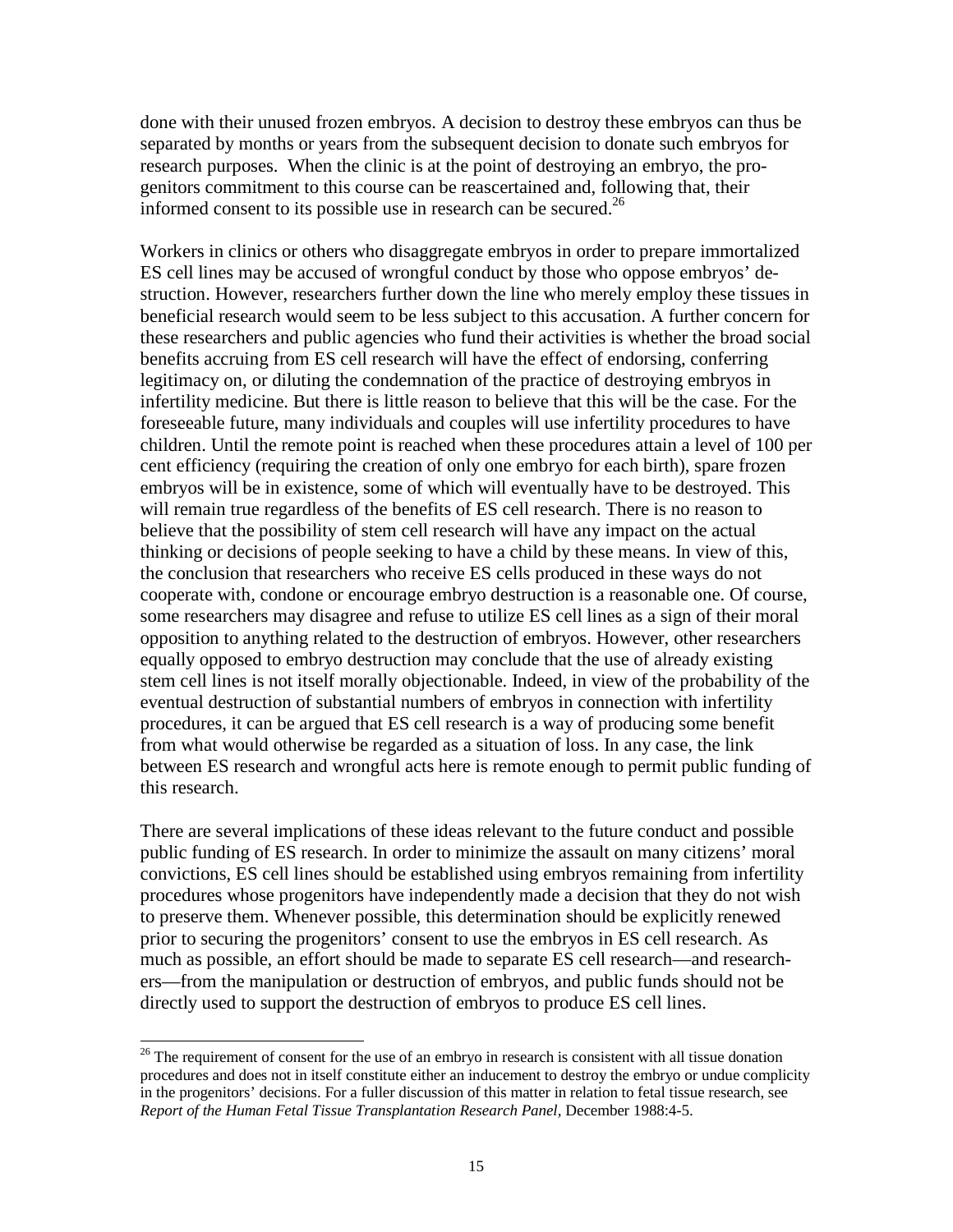done with their unused frozen embryos. A decision to destroy these embryos can thus be separated by months or years from the subsequent decision to donate such embryos for research purposes. When the clinic is at the point of destroying an embryo, the progenitors commitment to this course can be reascertained and, following that, their informed consent to its possible use in research can be secured.<sup>26</sup>

Workers in clinics or others who disaggregate embryos in order to prepare immortalized ES cell lines may be accused of wrongful conduct by those who oppose embryos' destruction. However, researchers further down the line who merely employ these tissues in beneficial research would seem to be less subject to this accusation. A further concern for these researchers and public agencies who fund their activities is whether the broad social benefits accruing from ES cell research will have the effect of endorsing, conferring legitimacy on, or diluting the condemnation of the practice of destroying embryos in infertility medicine. But there is little reason to believe that this will be the case. For the foreseeable future, many individuals and couples will use infertility procedures to have children. Until the remote point is reached when these procedures attain a level of 100 per cent efficiency (requiring the creation of only one embryo for each birth), spare frozen embryos will be in existence, some of which will eventually have to be destroyed. This will remain true regardless of the benefits of ES cell research. There is no reason to believe that the possibility of stem cell research will have any impact on the actual thinking or decisions of people seeking to have a child by these means. In view of this, the conclusion that researchers who receive ES cells produced in these ways do not cooperate with, condone or encourage embryo destruction is a reasonable one. Of course, some researchers may disagree and refuse to utilize ES cell lines as a sign of their moral opposition to anything related to the destruction of embryos. However, other researchers equally opposed to embryo destruction may conclude that the use of already existing stem cell lines is not itself morally objectionable. Indeed, in view of the probability of the eventual destruction of substantial numbers of embryos in connection with infertility procedures, it can be argued that ES cell research is a way of producing some benefit from what would otherwise be regarded as a situation of loss. In any case, the link between ES research and wrongful acts here is remote enough to permit public funding of this research.

There are several implications of these ideas relevant to the future conduct and possible public funding of ES research. In order to minimize the assault on many citizens' moral convictions, ES cell lines should be established using embryos remaining from infertility procedures whose progenitors have independently made a decision that they do not wish to preserve them. Whenever possible, this determination should be explicitly renewed prior to securing the progenitors' consent to use the embryos in ES cell research. As much as possible, an effort should be made to separate ES cell research—and researchers—from the manipulation or destruction of embryos, and public funds should not be directly used to support the destruction of embryos to produce ES cell lines.

 $\overline{a}$  $26$  The requirement of consent for the use of an embryo in research is consistent with all tissue donation procedures and does not in itself constitute either an inducement to destroy the embryo or undue complicity in the progenitors' decisions. For a fuller discussion of this matter in relation to fetal tissue research, see *Report of the Human Fetal Tissue Transplantation Research Panel,* December 1988:4-5.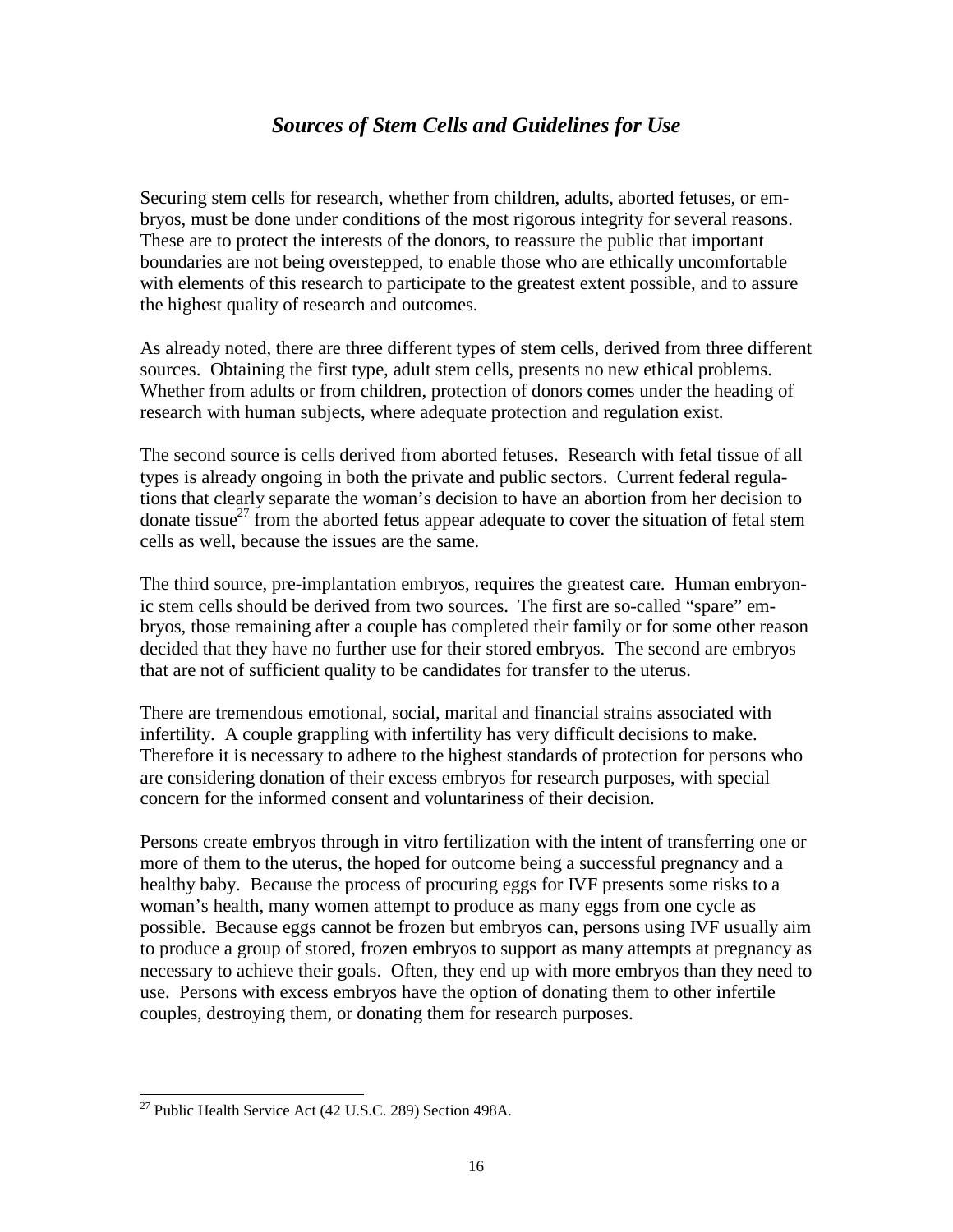# *Sources of Stem Cells and Guidelines for Use*

Securing stem cells for research, whether from children, adults, aborted fetuses, or embryos, must be done under conditions of the most rigorous integrity for several reasons. These are to protect the interests of the donors, to reassure the public that important boundaries are not being overstepped, to enable those who are ethically uncomfortable with elements of this research to participate to the greatest extent possible, and to assure the highest quality of research and outcomes.

As already noted, there are three different types of stem cells, derived from three different sources. Obtaining the first type, adult stem cells, presents no new ethical problems. Whether from adults or from children, protection of donors comes under the heading of research with human subjects, where adequate protection and regulation exist.

The second source is cells derived from aborted fetuses. Research with fetal tissue of all types is already ongoing in both the private and public sectors. Current federal regulations that clearly separate the woman's decision to have an abortion from her decision to donate tissue<sup>27</sup> from the aborted fetus appear adequate to cover the situation of fetal stem cells as well, because the issues are the same.

The third source, pre-implantation embryos, requires the greatest care. Human embryonic stem cells should be derived from two sources. The first are so-called "spare" embryos, those remaining after a couple has completed their family or for some other reason decided that they have no further use for their stored embryos. The second are embryos that are not of sufficient quality to be candidates for transfer to the uterus.

There are tremendous emotional, social, marital and financial strains associated with infertility. A couple grappling with infertility has very difficult decisions to make. Therefore it is necessary to adhere to the highest standards of protection for persons who are considering donation of their excess embryos for research purposes, with special concern for the informed consent and voluntariness of their decision.

Persons create embryos through in vitro fertilization with the intent of transferring one or more of them to the uterus, the hoped for outcome being a successful pregnancy and a healthy baby. Because the process of procuring eggs for IVF presents some risks to a woman's health, many women attempt to produce as many eggs from one cycle as possible. Because eggs cannot be frozen but embryos can, persons using IVF usually aim to produce a group of stored, frozen embryos to support as many attempts at pregnancy as necessary to achieve their goals. Often, they end up with more embryos than they need to use. Persons with excess embryos have the option of donating them to other infertile couples, destroying them, or donating them for research purposes.

<sup>&</sup>lt;sup>27</sup> Public Health Service Act (42 U.S.C. 289) Section 498A.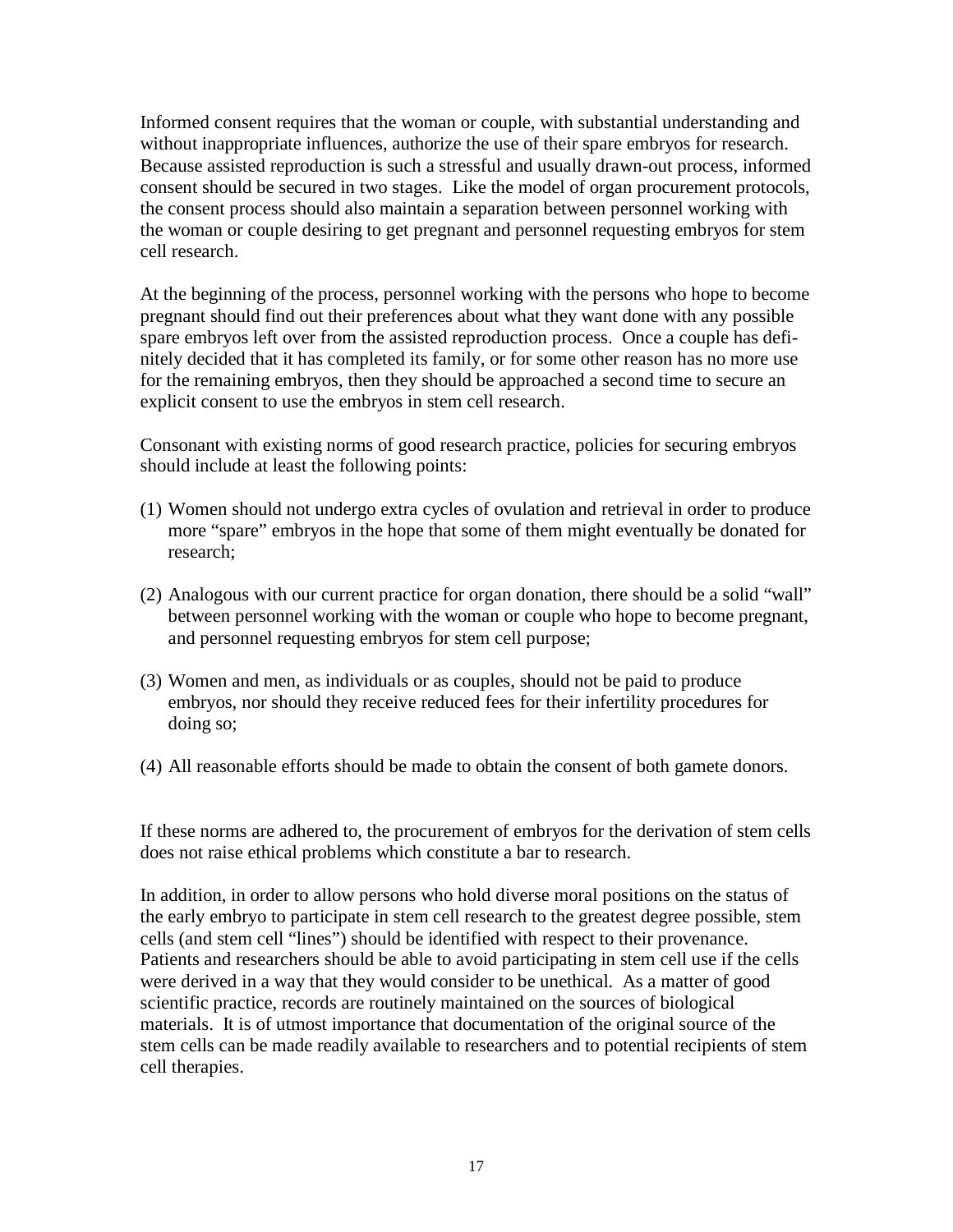Informed consent requires that the woman or couple, with substantial understanding and without inappropriate influences, authorize the use of their spare embryos for research. Because assisted reproduction is such a stressful and usually drawn-out process, informed consent should be secured in two stages. Like the model of organ procurement protocols, the consent process should also maintain a separation between personnel working with the woman or couple desiring to get pregnant and personnel requesting embryos for stem cell research.

At the beginning of the process, personnel working with the persons who hope to become pregnant should find out their preferences about what they want done with any possible spare embryos left over from the assisted reproduction process. Once a couple has definitely decided that it has completed its family, or for some other reason has no more use for the remaining embryos, then they should be approached a second time to secure an explicit consent to use the embryos in stem cell research.

Consonant with existing norms of good research practice, policies for securing embryos should include at least the following points:

- (1) Women should not undergo extra cycles of ovulation and retrieval in order to produce more "spare" embryos in the hope that some of them might eventually be donated for research;
- (2) Analogous with our current practice for organ donation, there should be a solid "wall" between personnel working with the woman or couple who hope to become pregnant, and personnel requesting embryos for stem cell purpose;
- (3) Women and men, as individuals or as couples, should not be paid to produce embryos, nor should they receive reduced fees for their infertility procedures for doing so;
- (4) All reasonable efforts should be made to obtain the consent of both gamete donors.

If these norms are adhered to, the procurement of embryos for the derivation of stem cells does not raise ethical problems which constitute a bar to research.

In addition, in order to allow persons who hold diverse moral positions on the status of the early embryo to participate in stem cell research to the greatest degree possible, stem cells (and stem cell "lines") should be identified with respect to their provenance. Patients and researchers should be able to avoid participating in stem cell use if the cells were derived in a way that they would consider to be unethical. As a matter of good scientific practice, records are routinely maintained on the sources of biological materials. It is of utmost importance that documentation of the original source of the stem cells can be made readily available to researchers and to potential recipients of stem cell therapies.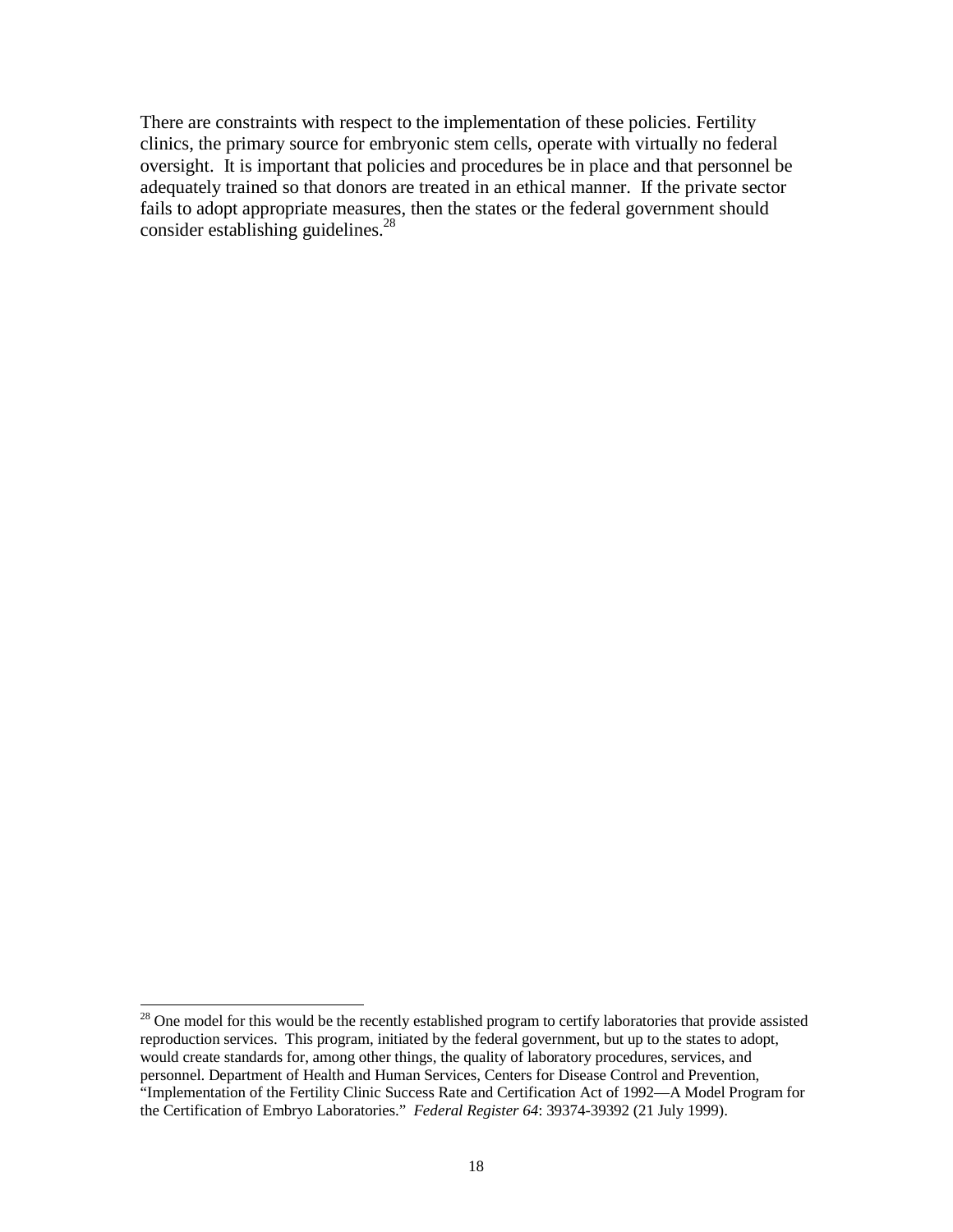There are constraints with respect to the implementation of these policies. Fertility clinics, the primary source for embryonic stem cells, operate with virtually no federal oversight. It is important that policies and procedures be in place and that personnel be adequately trained so that donors are treated in an ethical manner. If the private sector fails to adopt appropriate measures, then the states or the federal government should consider establishing guidelines.<sup>28</sup>

 $\overline{a}$ <sup>28</sup> One model for this would be the recently established program to certify laboratories that provide assisted reproduction services. This program, initiated by the federal government, but up to the states to adopt, would create standards for, among other things, the quality of laboratory procedures, services, and personnel. Department of Health and Human Services, Centers for Disease Control and Prevention, "Implementation of the Fertility Clinic Success Rate and Certification Act of 1992—A Model Program for the Certification of Embryo Laboratories." *Federal Register 64*: 39374-39392 (21 July 1999).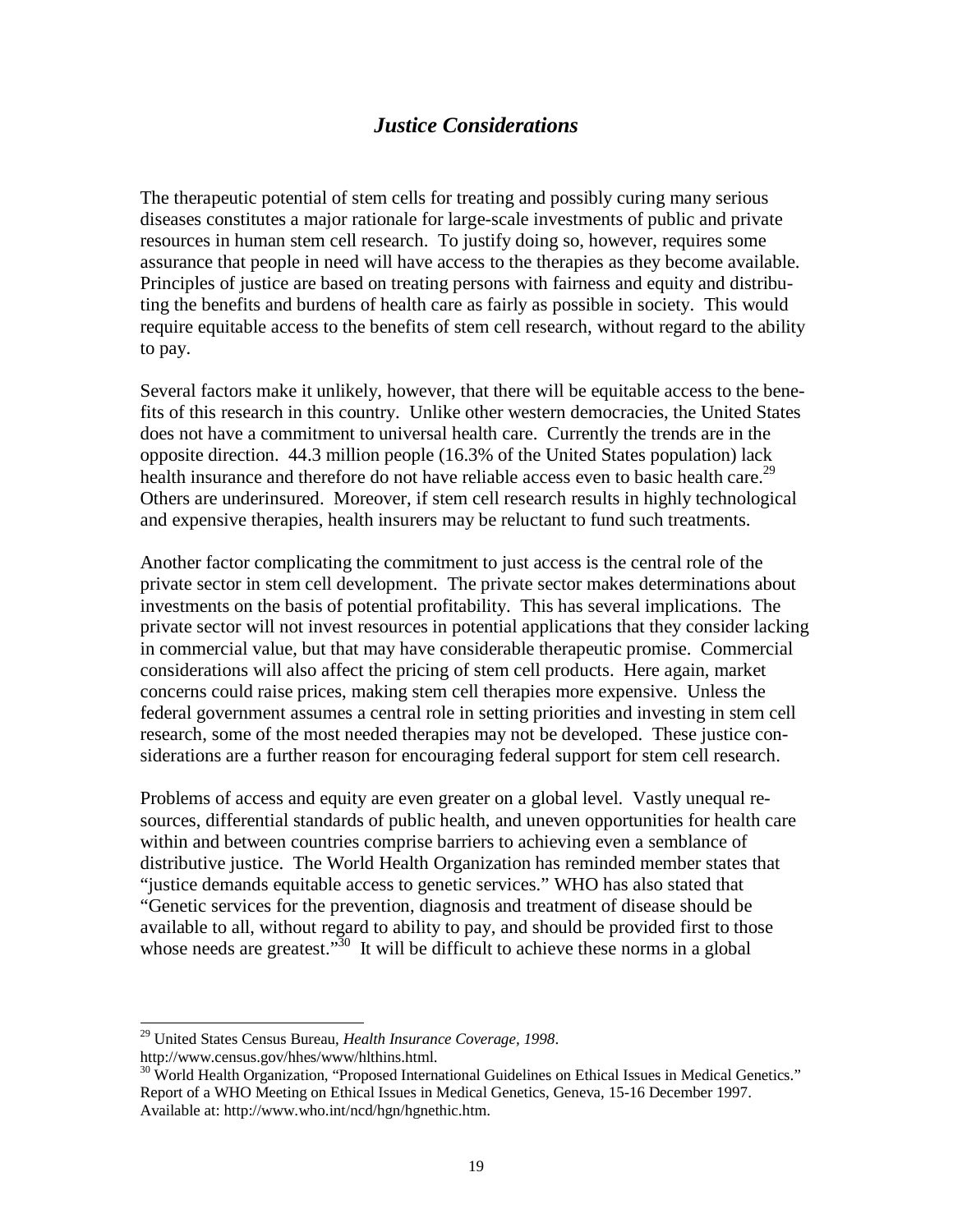### *Justice Considerations*

The therapeutic potential of stem cells for treating and possibly curing many serious diseases constitutes a major rationale for large-scale investments of public and private resources in human stem cell research. To justify doing so, however, requires some assurance that people in need will have access to the therapies as they become available. Principles of justice are based on treating persons with fairness and equity and distributing the benefits and burdens of health care as fairly as possible in society. This would require equitable access to the benefits of stem cell research, without regard to the ability to pay.

Several factors make it unlikely, however, that there will be equitable access to the benefits of this research in this country. Unlike other western democracies, the United States does not have a commitment to universal health care. Currently the trends are in the opposite direction. 44.3 million people (16.3% of the United States population) lack health insurance and therefore do not have reliable access even to basic health care.<sup>29</sup> Others are underinsured. Moreover, if stem cell research results in highly technological and expensive therapies, health insurers may be reluctant to fund such treatments.

Another factor complicating the commitment to just access is the central role of the private sector in stem cell development. The private sector makes determinations about investments on the basis of potential profitability. This has several implications. The private sector will not invest resources in potential applications that they consider lacking in commercial value, but that may have considerable therapeutic promise. Commercial considerations will also affect the pricing of stem cell products. Here again, market concerns could raise prices, making stem cell therapies more expensive. Unless the federal government assumes a central role in setting priorities and investing in stem cell research, some of the most needed therapies may not be developed. These justice considerations are a further reason for encouraging federal support for stem cell research.

Problems of access and equity are even greater on a global level. Vastly unequal resources, differential standards of public health, and uneven opportunities for health care within and between countries comprise barriers to achieving even a semblance of distributive justice. The World Health Organization has reminded member states that "justice demands equitable access to genetic services." WHO has also stated that "Genetic services for the prevention, diagnosis and treatment of disease should be available to all, without regard to ability to pay, and should be provided first to those whose needs are greatest."<sup>30</sup> It will be difficult to achieve these norms in a global

<sup>29</sup> United States Census Bureau, *Health Insurance Coverage, 1998*.

http://www.census.gov/hhes/www/hlthins.html.

<sup>&</sup>lt;sup>30</sup> World Health Organization, "Proposed International Guidelines on Ethical Issues in Medical Genetics." Report of a WHO Meeting on Ethical Issues in Medical Genetics, Geneva, 15-16 December 1997. Available at: http://www.who.int/ncd/hgn/hgnethic.htm.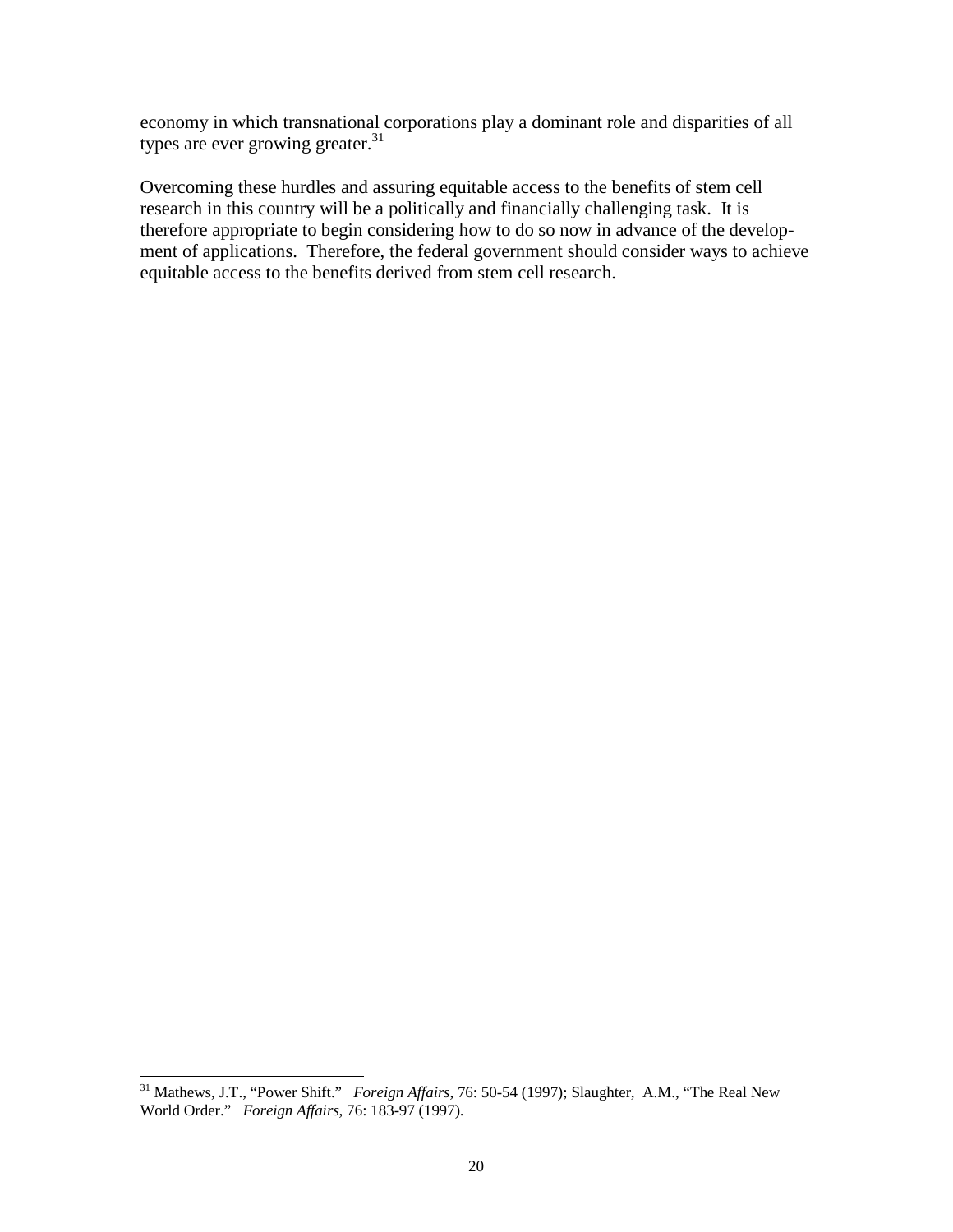economy in which transnational corporations play a dominant role and disparities of all types are ever growing greater. $31$ 

Overcoming these hurdles and assuring equitable access to the benefits of stem cell research in this country will be a politically and financially challenging task. It is therefore appropriate to begin considering how to do so now in advance of the development of applications. Therefore, the federal government should consider ways to achieve equitable access to the benefits derived from stem cell research.

 $\overline{a}$ 31 Mathews, J.T., "Power Shift." *Foreign Affairs,* 76: 50-54 (1997); Slaughter, A.M., "The Real New World Order." *Foreign Affairs,* 76: 183-97 (1997).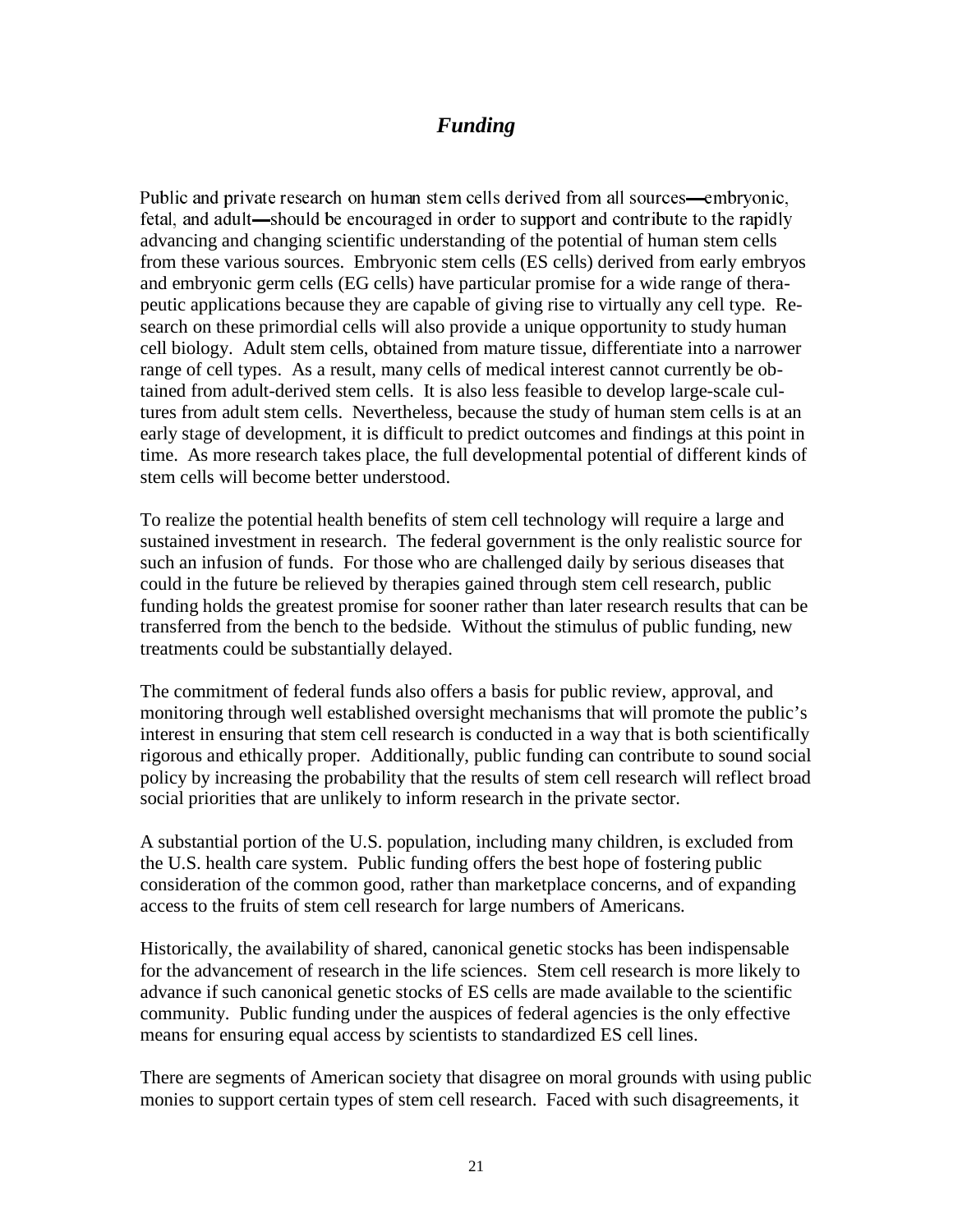# *Funding*

Public and private research on human stem cells derived from all sources—embryonic, fetal, and adult—should be encouraged in order to support and contribute to the rapidly advancing and changing scientific understanding of the potential of human stem cells from these various sources. Embryonic stem cells (ES cells) derived from early embryos and embryonic germ cells (EG cells) have particular promise for a wide range of therapeutic applications because they are capable of giving rise to virtually any cell type. Research on these primordial cells will also provide a unique opportunity to study human cell biology. Adult stem cells, obtained from mature tissue, differentiate into a narrower range of cell types. As a result, many cells of medical interest cannot currently be obtained from adult-derived stem cells. It is also less feasible to develop large-scale cultures from adult stem cells. Nevertheless, because the study of human stem cells is at an early stage of development, it is difficult to predict outcomes and findings at this point in time. As more research takes place, the full developmental potential of different kinds of stem cells will become better understood.

To realize the potential health benefits of stem cell technology will require a large and sustained investment in research. The federal government is the only realistic source for such an infusion of funds. For those who are challenged daily by serious diseases that could in the future be relieved by therapies gained through stem cell research, public funding holds the greatest promise for sooner rather than later research results that can be transferred from the bench to the bedside. Without the stimulus of public funding, new treatments could be substantially delayed.

The commitment of federal funds also offers a basis for public review, approval, and monitoring through well established oversight mechanisms that will promote the public's interest in ensuring that stem cell research is conducted in a way that is both scientifically rigorous and ethically proper. Additionally, public funding can contribute to sound social policy by increasing the probability that the results of stem cell research will reflect broad social priorities that are unlikely to inform research in the private sector.

A substantial portion of the U.S. population, including many children, is excluded from the U.S. health care system. Public funding offers the best hope of fostering public consideration of the common good, rather than marketplace concerns, and of expanding access to the fruits of stem cell research for large numbers of Americans.

Historically, the availability of shared, canonical genetic stocks has been indispensable for the advancement of research in the life sciences. Stem cell research is more likely to advance if such canonical genetic stocks of ES cells are made available to the scientific community. Public funding under the auspices of federal agencies is the only effective means for ensuring equal access by scientists to standardized ES cell lines.

There are segments of American society that disagree on moral grounds with using public monies to support certain types of stem cell research. Faced with such disagreements, it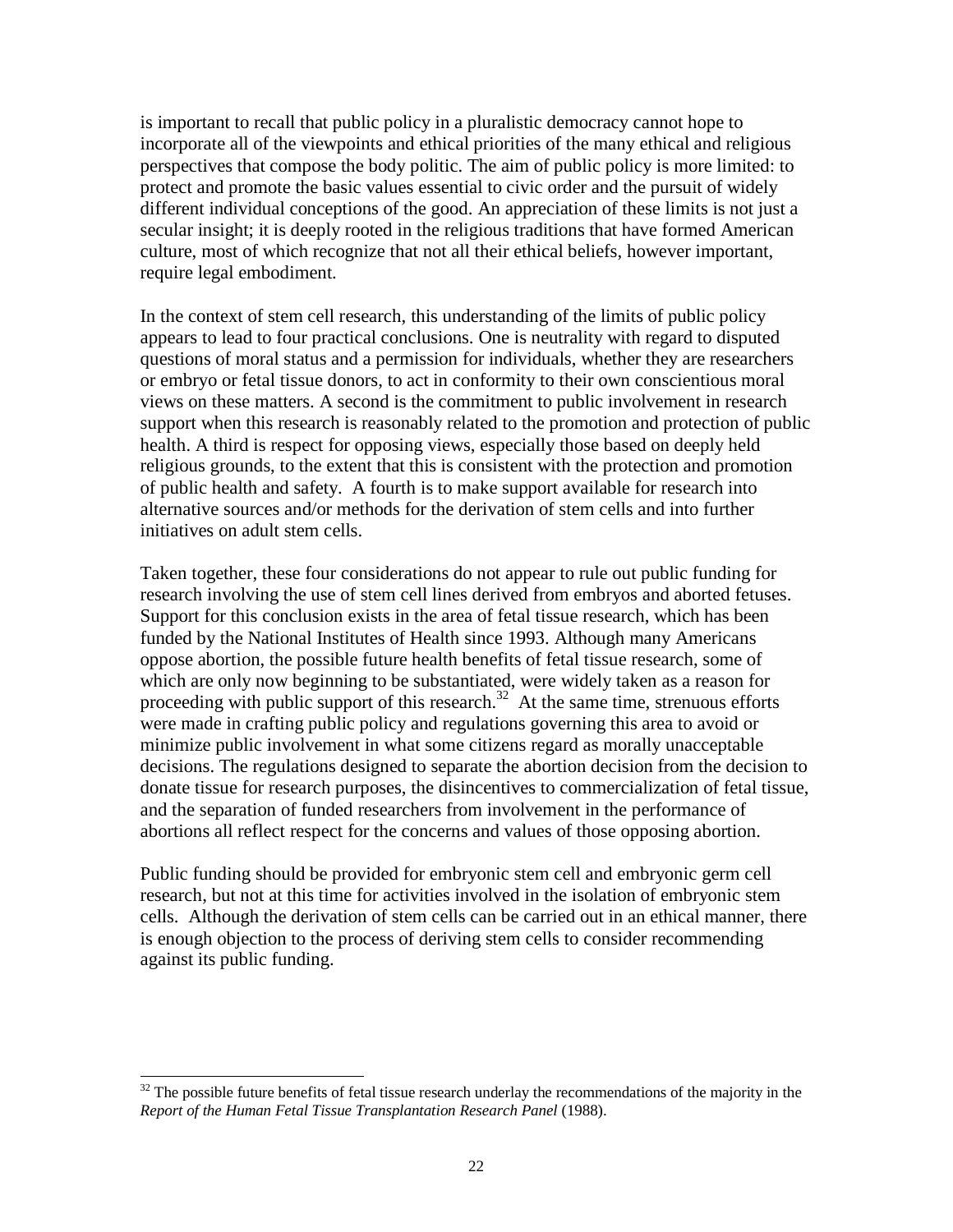is important to recall that public policy in a pluralistic democracy cannot hope to incorporate all of the viewpoints and ethical priorities of the many ethical and religious perspectives that compose the body politic. The aim of public policy is more limited: to protect and promote the basic values essential to civic order and the pursuit of widely different individual conceptions of the good. An appreciation of these limits is not just a secular insight; it is deeply rooted in the religious traditions that have formed American culture, most of which recognize that not all their ethical beliefs, however important, require legal embodiment.

In the context of stem cell research, this understanding of the limits of public policy appears to lead to four practical conclusions. One is neutrality with regard to disputed questions of moral status and a permission for individuals, whether they are researchers or embryo or fetal tissue donors, to act in conformity to their own conscientious moral views on these matters. A second is the commitment to public involvement in research support when this research is reasonably related to the promotion and protection of public health. A third is respect for opposing views, especially those based on deeply held religious grounds, to the extent that this is consistent with the protection and promotion of public health and safety. A fourth is to make support available for research into alternative sources and/or methods for the derivation of stem cells and into further initiatives on adult stem cells.

Taken together, these four considerations do not appear to rule out public funding for research involving the use of stem cell lines derived from embryos and aborted fetuses. Support for this conclusion exists in the area of fetal tissue research, which has been funded by the National Institutes of Health since 1993. Although many Americans oppose abortion, the possible future health benefits of fetal tissue research, some of which are only now beginning to be substantiated, were widely taken as a reason for proceeding with public support of this research. $32$  At the same time, strenuous efforts were made in crafting public policy and regulations governing this area to avoid or minimize public involvement in what some citizens regard as morally unacceptable decisions. The regulations designed to separate the abortion decision from the decision to donate tissue for research purposes, the disincentives to commercialization of fetal tissue, and the separation of funded researchers from involvement in the performance of abortions all reflect respect for the concerns and values of those opposing abortion.

Public funding should be provided for embryonic stem cell and embryonic germ cell research, but not at this time for activities involved in the isolation of embryonic stem cells. Although the derivation of stem cells can be carried out in an ethical manner, there is enough objection to the process of deriving stem cells to consider recommending against its public funding.

 $32$  The possible future benefits of fetal tissue research underlay the recommendations of the majority in the *Report of the Human Fetal Tissue Transplantation Research Panel* (1988).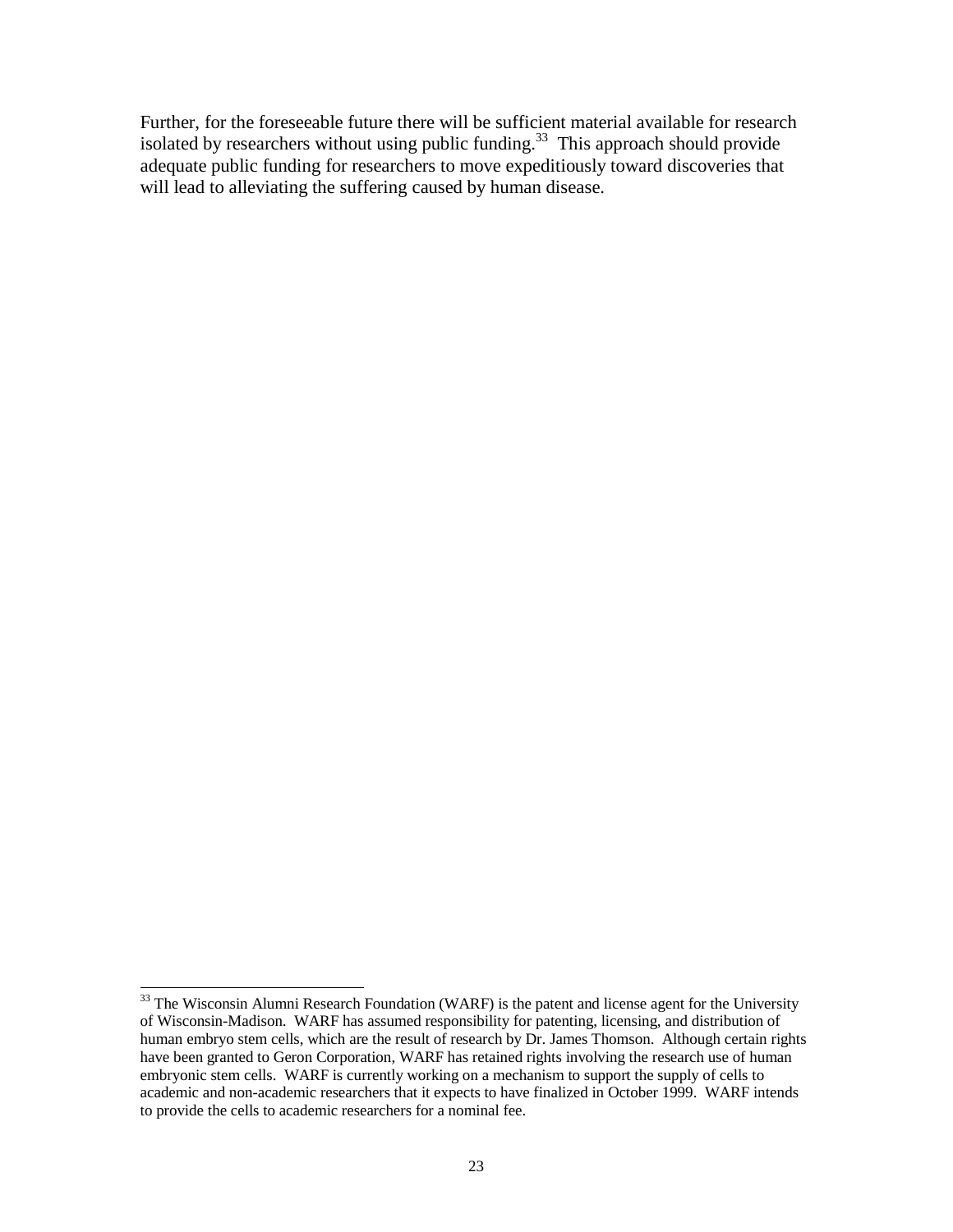Further, for the foreseeable future there will be sufficient material available for research isolated by researchers without using public funding.<sup>33</sup> This approach should provide adequate public funding for researchers to move expeditiously toward discoveries that will lead to alleviating the suffering caused by human disease.

 $\overline{a}$ <sup>33</sup> The Wisconsin Alumni Research Foundation (WARF) is the patent and license agent for the University of Wisconsin-Madison. WARF has assumed responsibility for patenting, licensing, and distribution of human embryo stem cells, which are the result of research by Dr. James Thomson. Although certain rights have been granted to Geron Corporation, WARF has retained rights involving the research use of human embryonic stem cells. WARF is currently working on a mechanism to support the supply of cells to academic and non-academic researchers that it expects to have finalized in October 1999. WARF intends to provide the cells to academic researchers for a nominal fee.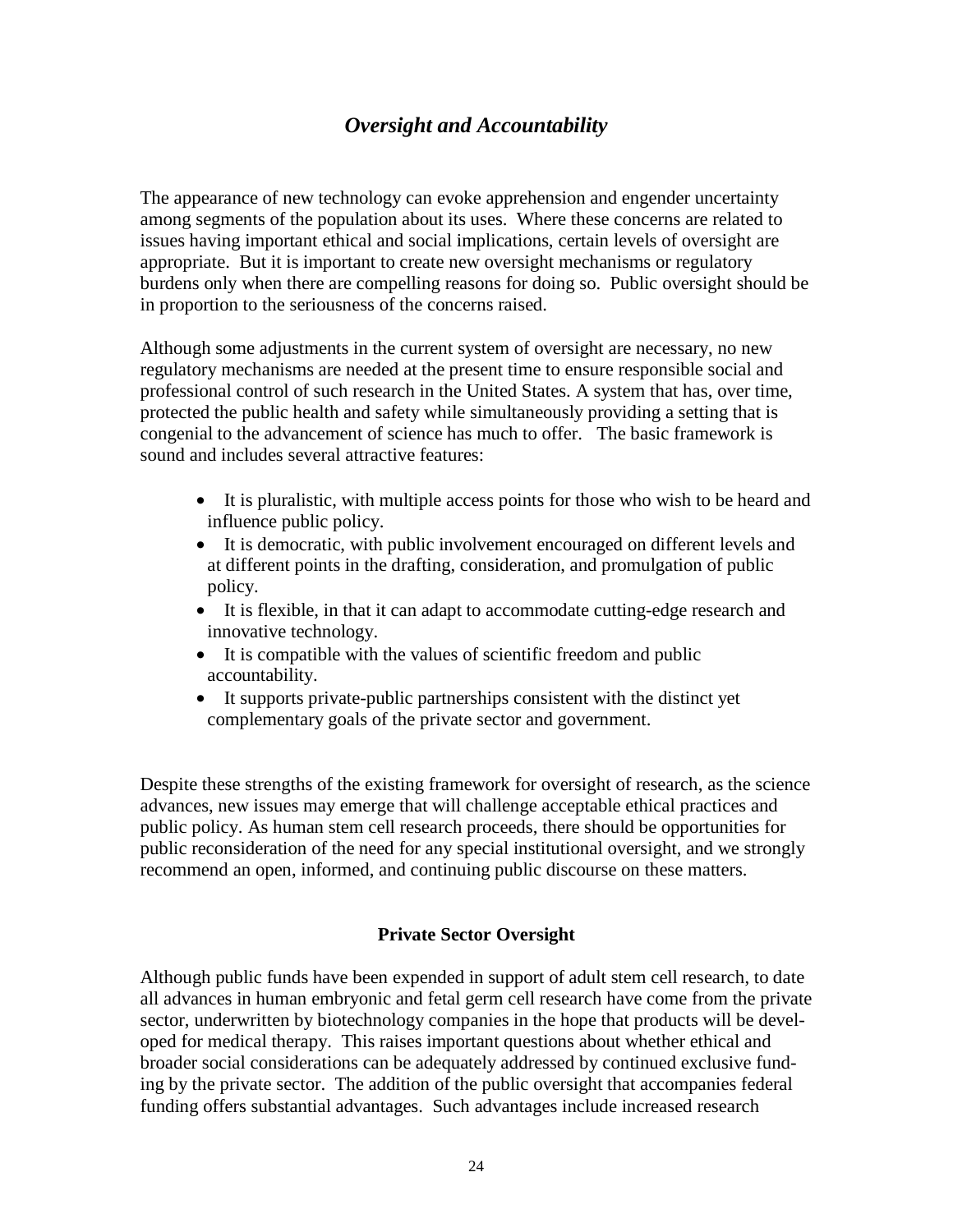# *Oversight and Accountability*

The appearance of new technology can evoke apprehension and engender uncertainty among segments of the population about its uses. Where these concerns are related to issues having important ethical and social implications, certain levels of oversight are appropriate. But it is important to create new oversight mechanisms or regulatory burdens only when there are compelling reasons for doing so. Public oversight should be in proportion to the seriousness of the concerns raised.

Although some adjustments in the current system of oversight are necessary, no new regulatory mechanisms are needed at the present time to ensure responsible social and professional control of such research in the United States. A system that has, over time, protected the public health and safety while simultaneously providing a setting that is congenial to the advancement of science has much to offer. The basic framework is sound and includes several attractive features:

- It is pluralistic, with multiple access points for those who wish to be heard and influence public policy.
- It is democratic, with public involvement encouraged on different levels and at different points in the drafting, consideration, and promulgation of public policy.
- It is flexible, in that it can adapt to accommodate cutting-edge research and innovative technology.
- It is compatible with the values of scientific freedom and public accountability.
- It supports private-public partnerships consistent with the distinct yet complementary goals of the private sector and government.

Despite these strengths of the existing framework for oversight of research, as the science advances, new issues may emerge that will challenge acceptable ethical practices and public policy. As human stem cell research proceeds, there should be opportunities for public reconsideration of the need for any special institutional oversight, and we strongly recommend an open, informed, and continuing public discourse on these matters.

#### **Private Sector Oversight**

Although public funds have been expended in support of adult stem cell research, to date all advances in human embryonic and fetal germ cell research have come from the private sector, underwritten by biotechnology companies in the hope that products will be developed for medical therapy. This raises important questions about whether ethical and broader social considerations can be adequately addressed by continued exclusive funding by the private sector. The addition of the public oversight that accompanies federal funding offers substantial advantages. Such advantages include increased research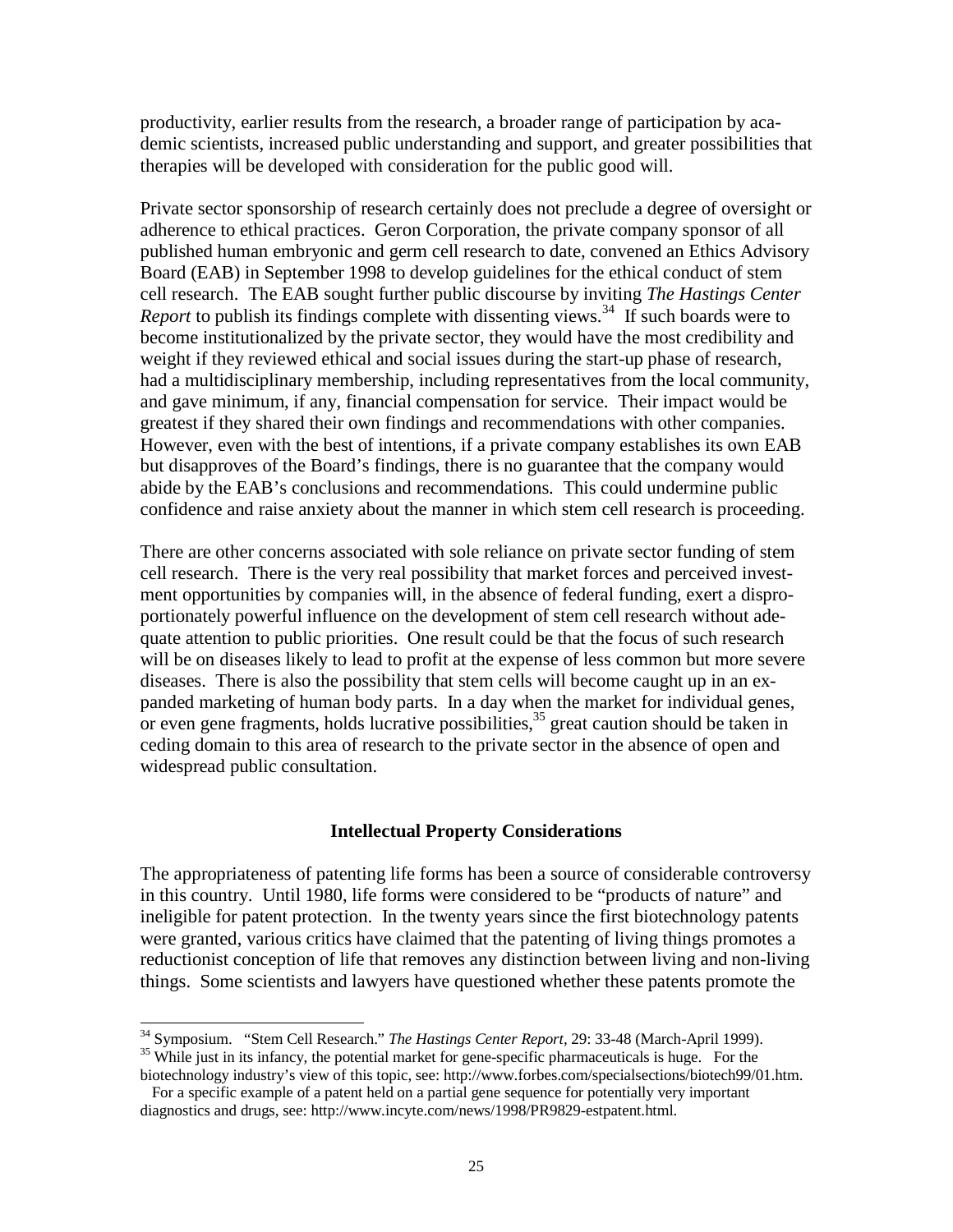productivity, earlier results from the research, a broader range of participation by academic scientists, increased public understanding and support, and greater possibilities that therapies will be developed with consideration for the public good will.

Private sector sponsorship of research certainly does not preclude a degree of oversight or adherence to ethical practices. Geron Corporation, the private company sponsor of all published human embryonic and germ cell research to date, convened an Ethics Advisory Board (EAB) in September 1998 to develop guidelines for the ethical conduct of stem cell research. The EAB sought further public discourse by inviting *The Hastings Center Report* to publish its findings complete with dissenting views.<sup>34</sup> If such boards were to become institutionalized by the private sector, they would have the most credibility and weight if they reviewed ethical and social issues during the start-up phase of research, had a multidisciplinary membership, including representatives from the local community, and gave minimum, if any, financial compensation for service. Their impact would be greatest if they shared their own findings and recommendations with other companies. However, even with the best of intentions, if a private company establishes its own EAB but disapproves of the Board's findings, there is no guarantee that the company would abide by the EAB's conclusions and recommendations. This could undermine public confidence and raise anxiety about the manner in which stem cell research is proceeding.

There are other concerns associated with sole reliance on private sector funding of stem cell research. There is the very real possibility that market forces and perceived investment opportunities by companies will, in the absence of federal funding, exert a disproportionately powerful influence on the development of stem cell research without adequate attention to public priorities. One result could be that the focus of such research will be on diseases likely to lead to profit at the expense of less common but more severe diseases. There is also the possibility that stem cells will become caught up in an expanded marketing of human body parts. In a day when the market for individual genes, or even gene fragments, holds lucrative possibilities,  $35$  great caution should be taken in ceding domain to this area of research to the private sector in the absence of open and widespread public consultation.

#### **Intellectual Property Considerations**

The appropriateness of patenting life forms has been a source of considerable controversy in this country. Until 1980, life forms were considered to be "products of nature" and ineligible for patent protection. In the twenty years since the first biotechnology patents were granted, various critics have claimed that the patenting of living things promotes a reductionist conception of life that removes any distinction between living and non-living things. Some scientists and lawyers have questioned whether these patents promote the

<sup>&</sup>lt;sup>34</sup> Symposium. "Stem Cell Research." *The Hastings Center Report*, 29: 33-48 (March-April 1999).<br><sup>35</sup> While just in its infancy, the potential market for gene-specific pharmaceuticals is huge. For the biotechnology industry's view of this topic, see: http://www.forbes.com/specialsections/biotech99/01.htm.

For a specific example of a patent held on a partial gene sequence for potentially very important diagnostics and drugs, see: http://www.incyte.com/news/1998/PR9829-estpatent.html.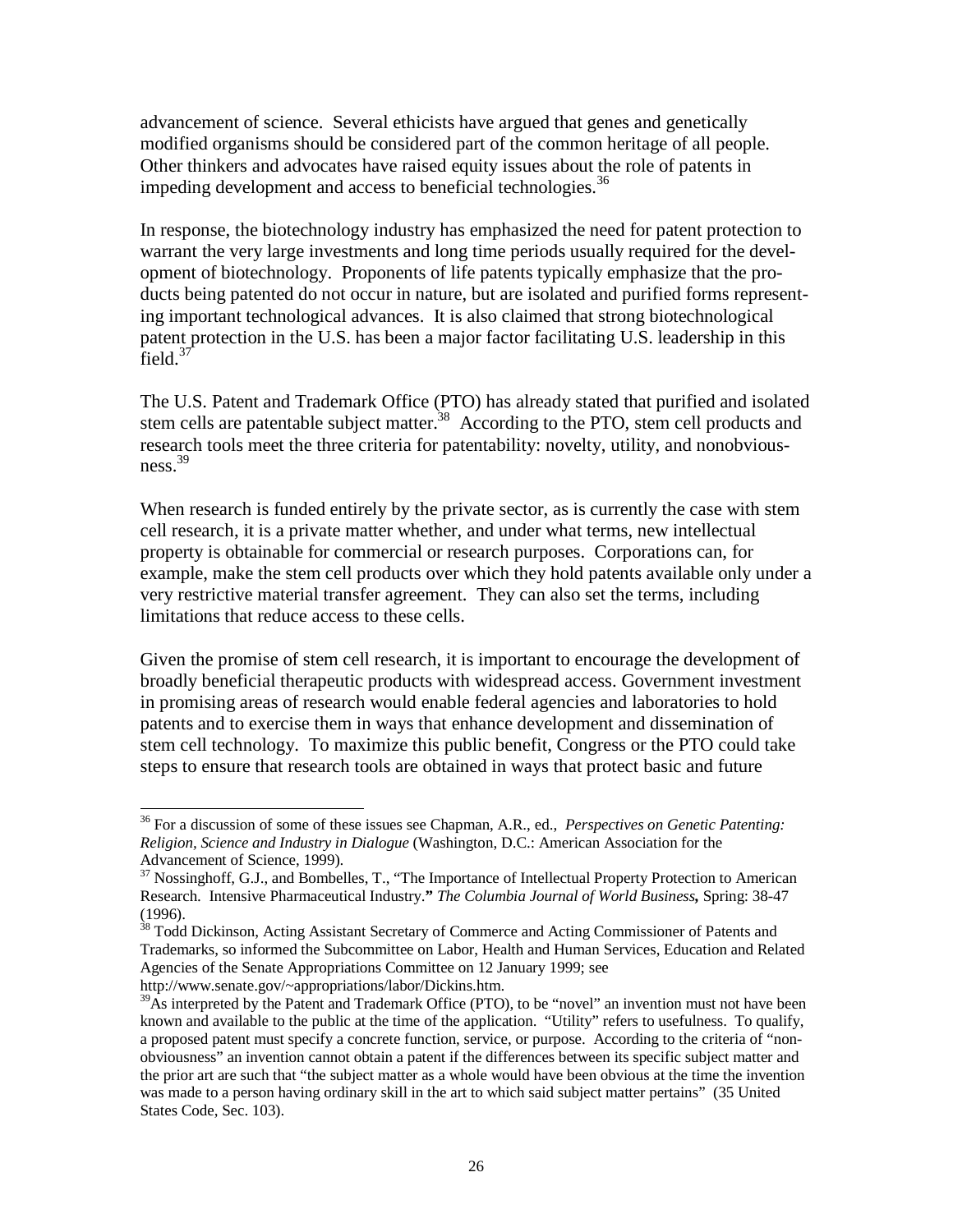advancement of science. Several ethicists have argued that genes and genetically modified organisms should be considered part of the common heritage of all people. Other thinkers and advocates have raised equity issues about the role of patents in impeding development and access to beneficial technologies.<sup>36</sup>

In response, the biotechnology industry has emphasized the need for patent protection to warrant the very large investments and long time periods usually required for the development of biotechnology. Proponents of life patents typically emphasize that the products being patented do not occur in nature, but are isolated and purified forms representing important technological advances. It is also claimed that strong biotechnological patent protection in the U.S. has been a major factor facilitating U.S. leadership in this  $\mathrm{field}$ <sup>37</sup>

The U.S. Patent and Trademark Office (PTO) has already stated that purified and isolated stem cells are patentable subject matter.<sup>38</sup> According to the PTO, stem cell products and research tools meet the three criteria for patentability: novelty, utility, and nonobvious $ness.<sup>39</sup>$ 

When research is funded entirely by the private sector, as is currently the case with stem cell research, it is a private matter whether, and under what terms, new intellectual property is obtainable for commercial or research purposes. Corporations can, for example, make the stem cell products over which they hold patents available only under a very restrictive material transfer agreement. They can also set the terms, including limitations that reduce access to these cells.

Given the promise of stem cell research, it is important to encourage the development of broadly beneficial therapeutic products with widespread access. Government investment in promising areas of research would enable federal agencies and laboratories to hold patents and to exercise them in ways that enhance development and dissemination of stem cell technology. To maximize this public benefit, Congress or the PTO could take steps to ensure that research tools are obtained in ways that protect basic and future

<sup>36</sup> For a discussion of some of these issues see Chapman, A.R., ed., *Perspectives on Genetic Patenting: Religion, Science and Industry in Dialogue* (Washington, D.C.: American Association for the Advancement of Science, 1999).

<sup>&</sup>lt;sup>37</sup> Nossinghoff, G.J., and Bombelles, T., "The Importance of Intellectual Property Protection to American Research. Intensive Pharmaceutical Industry.**"** *The Columbia Journal of World Business,* Spring: 38-47 (1996).

<sup>&</sup>lt;sup>38</sup> Todd Dickinson, Acting Assistant Secretary of Commerce and Acting Commissioner of Patents and Trademarks, so informed the Subcommittee on Labor, Health and Human Services, Education and Related Agencies of the Senate Appropriations Committee on 12 January 1999; see http://www.senate.gov/~appropriations/labor/Dickins.htm.

 $39\text{As interpreted by the Patent and Trademark Office (PTO), to be "novel" an invention must not have been$ known and available to the public at the time of the application. "Utility" refers to usefulness. To qualify, a proposed patent must specify a concrete function, service, or purpose. According to the criteria of "nonobviousness" an invention cannot obtain a patent if the differences between its specific subject matter and the prior art are such that "the subject matter as a whole would have been obvious at the time the invention was made to a person having ordinary skill in the art to which said subject matter pertains" (35 United States Code, Sec. 103).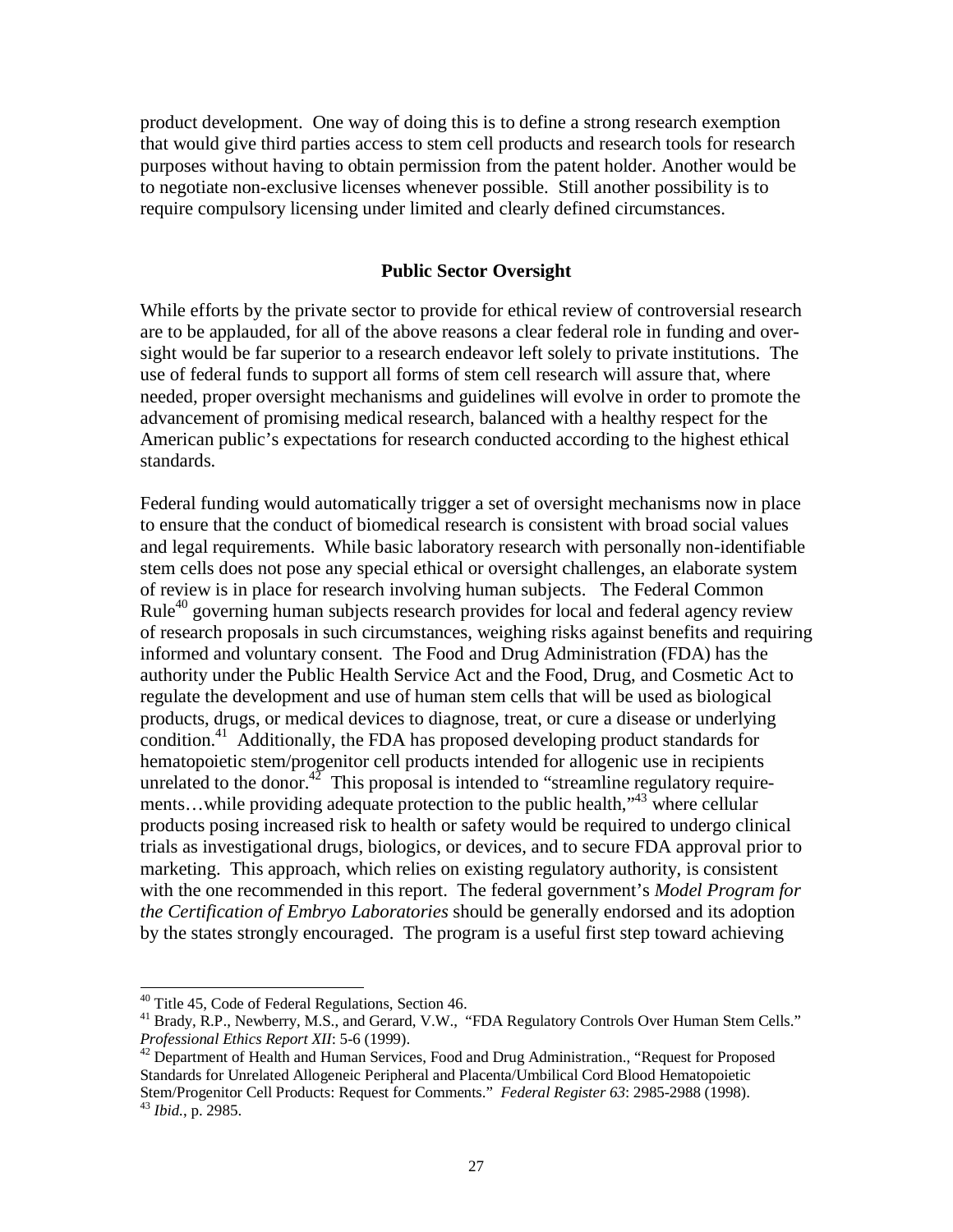product development. One way of doing this is to define a strong research exemption that would give third parties access to stem cell products and research tools for research purposes without having to obtain permission from the patent holder. Another would be to negotiate non-exclusive licenses whenever possible. Still another possibility is to require compulsory licensing under limited and clearly defined circumstances.

#### **Public Sector Oversight**

While efforts by the private sector to provide for ethical review of controversial research are to be applauded, for all of the above reasons a clear federal role in funding and oversight would be far superior to a research endeavor left solely to private institutions. The use of federal funds to support all forms of stem cell research will assure that, where needed, proper oversight mechanisms and guidelines will evolve in order to promote the advancement of promising medical research, balanced with a healthy respect for the American public's expectations for research conducted according to the highest ethical standards.

Federal funding would automatically trigger a set of oversight mechanisms now in place to ensure that the conduct of biomedical research is consistent with broad social values and legal requirements. While basic laboratory research with personally non-identifiable stem cells does not pose any special ethical or oversight challenges, an elaborate system of review is in place for research involving human subjects. The Federal Common Rule<sup>40</sup> governing human subjects research provides for local and federal agency review of research proposals in such circumstances, weighing risks against benefits and requiring informed and voluntary consent. The Food and Drug Administration (FDA) has the authority under the Public Health Service Act and the Food, Drug, and Cosmetic Act to regulate the development and use of human stem cells that will be used as biological products, drugs, or medical devices to diagnose, treat, or cure a disease or underlying condition.41 Additionally, the FDA has proposed developing product standards for hematopoietic stem/progenitor cell products intended for allogenic use in recipients unrelated to the donor.<sup>42</sup> This proposal is intended to "streamline regulatory requirements...while providing adequate protection to the public health,"<sup>43</sup> where cellular products posing increased risk to health or safety would be required to undergo clinical trials as investigational drugs, biologics, or devices, and to secure FDA approval prior to marketing. This approach, which relies on existing regulatory authority, is consistent with the one recommended in this report. The federal government's *Model Program for the Certification of Embryo Laboratories* should be generally endorsed and its adoption by the states strongly encouraged. The program is a useful first step toward achieving

<sup>&</sup>lt;sup>40</sup> Title 45, Code of Federal Regulations, Section 46.

<sup>&</sup>lt;sup>41</sup> Brady, R.P., Newberry, M.S., and Gerard, V.W., "FDA Regulatory Controls Over Human Stem Cells."<br>*Professional Ethics Report XII*: 5-6 (1999).

*Professional Ethics Report III: 5-6 (1997)*. Standards for Unrelated Allogeneic Peripheral and Placenta/Umbilical Cord Blood Hematopoietic Stem/Progenitor Cell Products: Request for Comments." *Federal Register 63*: 2985-2988 (1998). <sup>43</sup> *Ibid.*, p. 2985.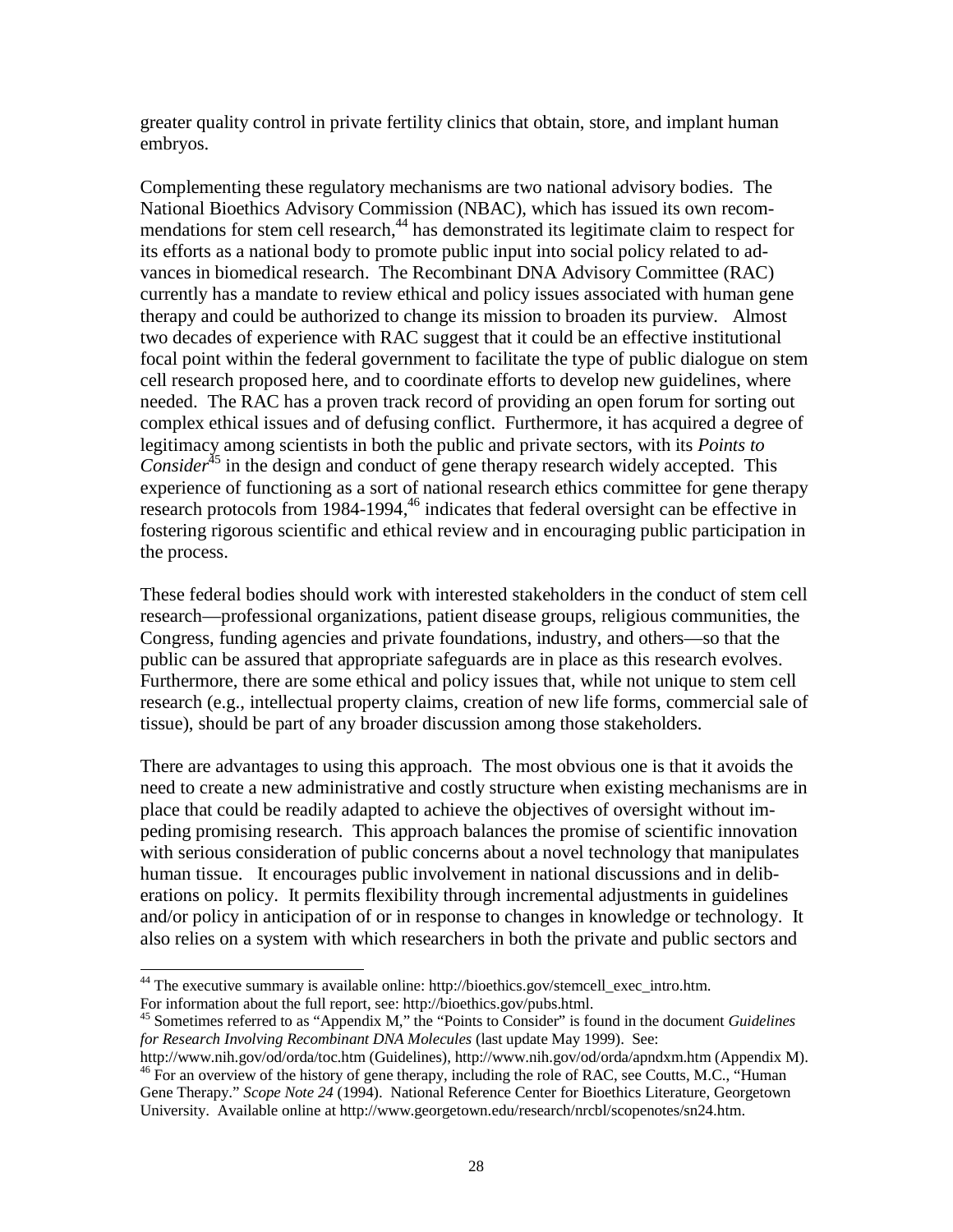greater quality control in private fertility clinics that obtain, store, and implant human embryos.

Complementing these regulatory mechanisms are two national advisory bodies. The National Bioethics Advisory Commission (NBAC), which has issued its own recommendations for stem cell research,<sup>44</sup> has demonstrated its legitimate claim to respect for its efforts as a national body to promote public input into social policy related to advances in biomedical research. The Recombinant DNA Advisory Committee (RAC) currently has a mandate to review ethical and policy issues associated with human gene therapy and could be authorized to change its mission to broaden its purview. Almost two decades of experience with RAC suggest that it could be an effective institutional focal point within the federal government to facilitate the type of public dialogue on stem cell research proposed here, and to coordinate efforts to develop new guidelines, where needed. The RAC has a proven track record of providing an open forum for sorting out complex ethical issues and of defusing conflict. Furthermore, it has acquired a degree of legitimacy among scientists in both the public and private sectors, with its *Points to Consider*<sup>45</sup> in the design and conduct of gene therapy research widely accepted. This experience of functioning as a sort of national research ethics committee for gene therapy research protocols from 1984-1994,<sup>46</sup> indicates that federal oversight can be effective in fostering rigorous scientific and ethical review and in encouraging public participation in the process.

These federal bodies should work with interested stakeholders in the conduct of stem cell research—professional organizations, patient disease groups, religious communities, the Congress, funding agencies and private foundations, industry, and others—so that the public can be assured that appropriate safeguards are in place as this research evolves. Furthermore, there are some ethical and policy issues that, while not unique to stem cell research (e.g., intellectual property claims, creation of new life forms, commercial sale of tissue), should be part of any broader discussion among those stakeholders.

There are advantages to using this approach. The most obvious one is that it avoids the need to create a new administrative and costly structure when existing mechanisms are in place that could be readily adapted to achieve the objectives of oversight without impeding promising research. This approach balances the promise of scientific innovation with serious consideration of public concerns about a novel technology that manipulates human tissue. It encourages public involvement in national discussions and in deliberations on policy. It permits flexibility through incremental adjustments in guidelines and/or policy in anticipation of or in response to changes in knowledge or technology. It also relies on a system with which researchers in both the private and public sectors and

 $\overline{a}$ <sup>44</sup> The executive summary is available online: http://bioethics.gov/stemcell\_exec\_intro.htm. For information about the full report, see: http://bioethics.gov/pubs.html.

<sup>45</sup> Sometimes referred to as "Appendix M," the "Points to Consider" is found in the document *Guidelines for Research Involving Recombinant DNA Molecules* (last update May 1999). See:

http://www.nih.gov/od/orda/toc.htm (Guidelines), http://www.nih.gov/od/orda/apndxm.htm (Appendix M). <sup>46</sup> For an overview of the history of gene therapy, including the role of RAC, see Coutts, M.C., "Human" Gene Therapy." *Scope Note 24* (1994). National Reference Center for Bioethics Literature, Georgetown University. Available online at http://www.georgetown.edu/research/nrcbl/scopenotes/sn24.htm.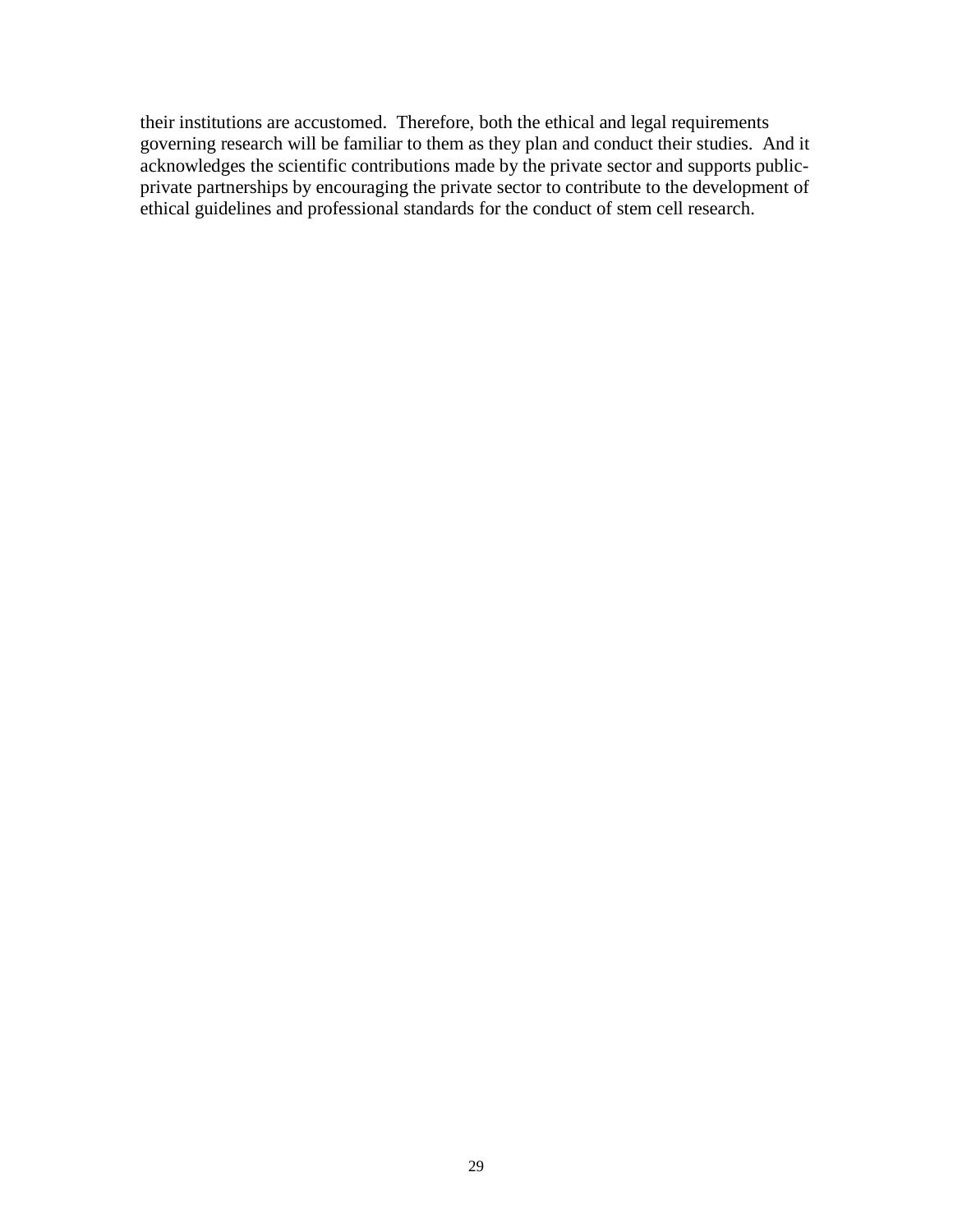their institutions are accustomed. Therefore, both the ethical and legal requirements governing research will be familiar to them as they plan and conduct their studies. And it acknowledges the scientific contributions made by the private sector and supports publicprivate partnerships by encouraging the private sector to contribute to the development of ethical guidelines and professional standards for the conduct of stem cell research.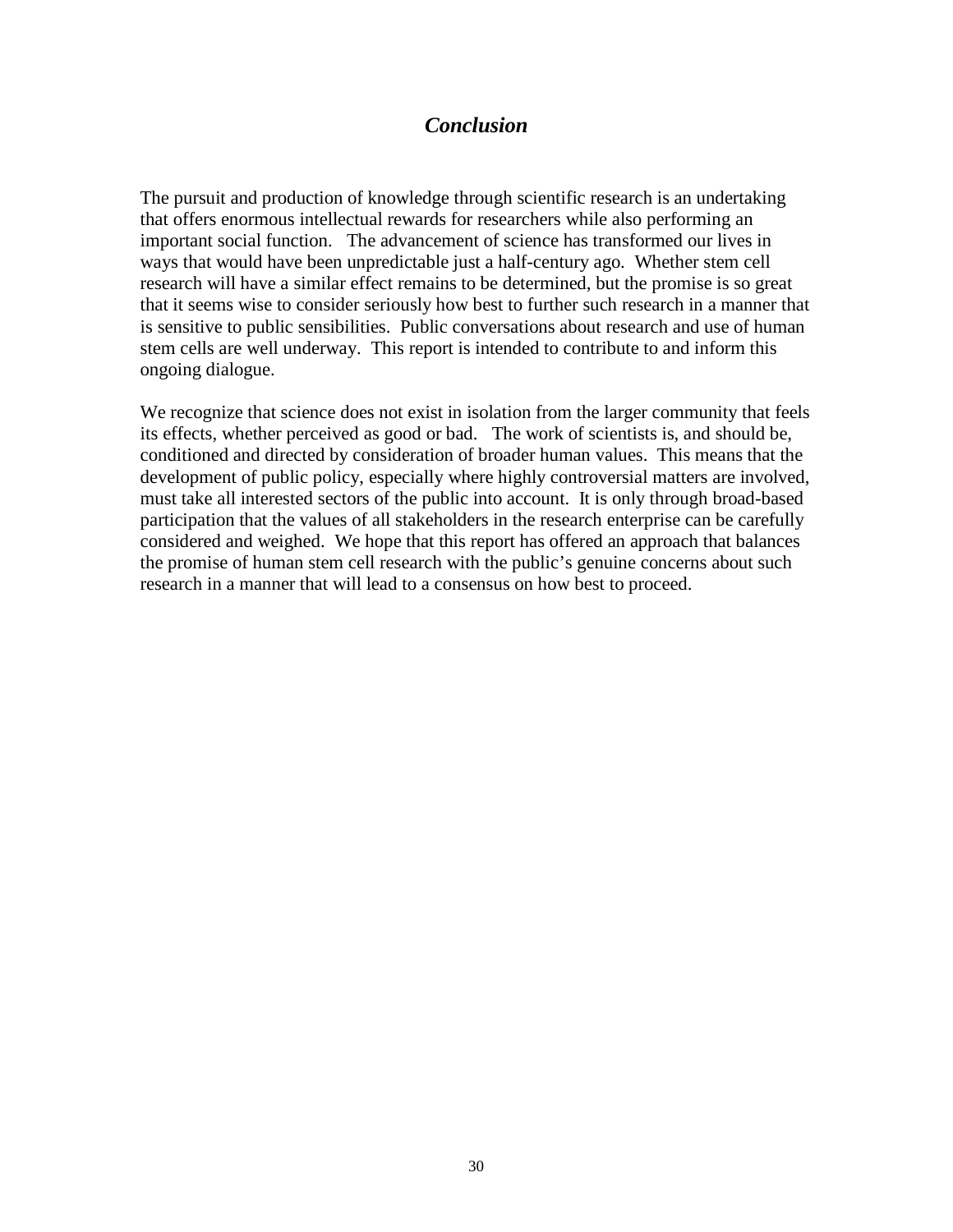### *Conclusion*

The pursuit and production of knowledge through scientific research is an undertaking that offers enormous intellectual rewards for researchers while also performing an important social function. The advancement of science has transformed our lives in ways that would have been unpredictable just a half-century ago. Whether stem cell research will have a similar effect remains to be determined, but the promise is so great that it seems wise to consider seriously how best to further such research in a manner that is sensitive to public sensibilities. Public conversations about research and use of human stem cells are well underway. This report is intended to contribute to and inform this ongoing dialogue.

We recognize that science does not exist in isolation from the larger community that feels its effects, whether perceived as good or bad. The work of scientists is, and should be, conditioned and directed by consideration of broader human values. This means that the development of public policy, especially where highly controversial matters are involved, must take all interested sectors of the public into account. It is only through broad-based participation that the values of all stakeholders in the research enterprise can be carefully considered and weighed. We hope that this report has offered an approach that balances the promise of human stem cell research with the public's genuine concerns about such research in a manner that will lead to a consensus on how best to proceed.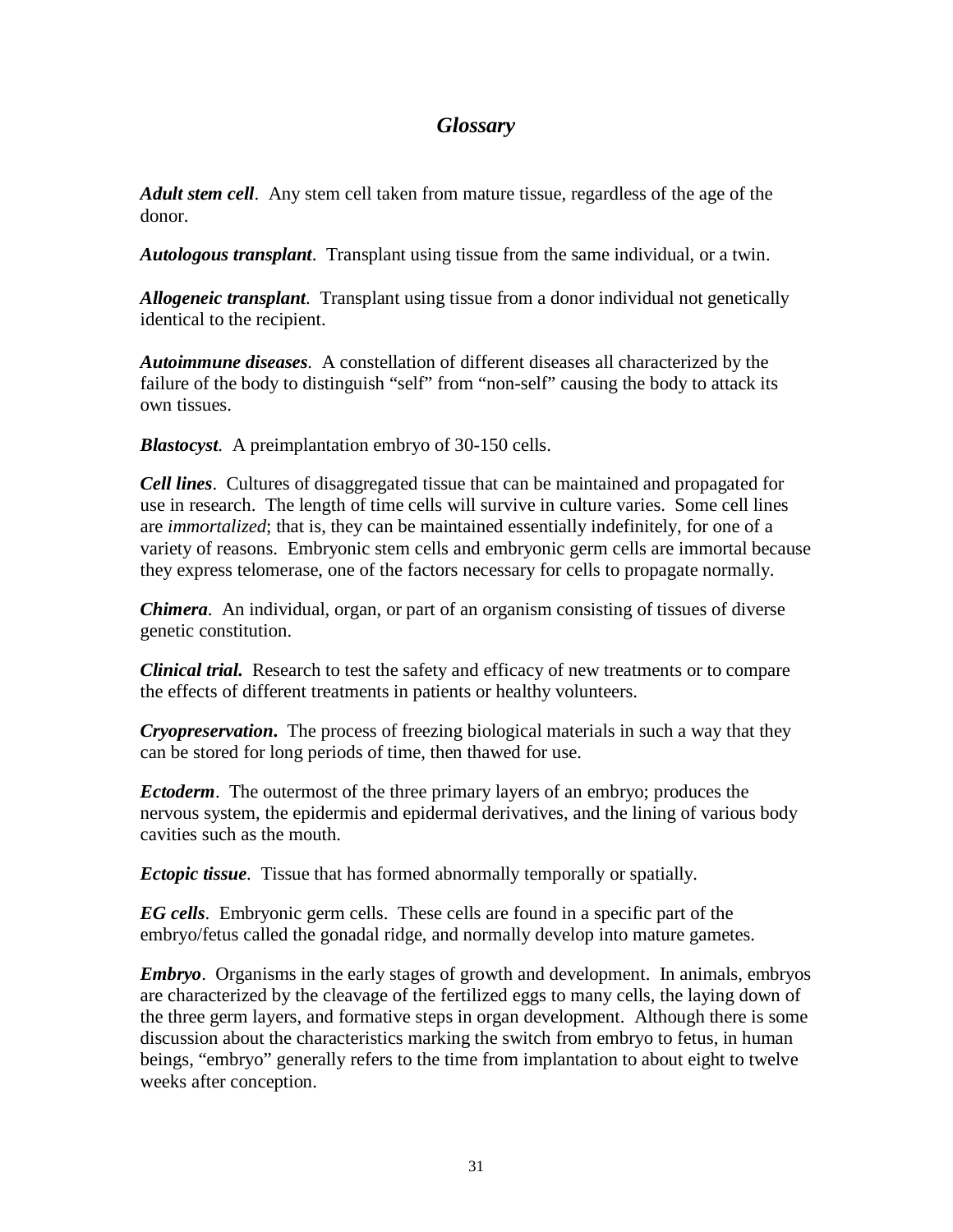# *Glossary*

*Adult stem cell*.Any stem cell taken from mature tissue, regardless of the age of the donor.

*Autologous transplant*. Transplant using tissue from the same individual, or a twin.

*Allogeneic transplant*. Transplant using tissue from a donor individual not genetically identical to the recipient.

*Autoimmune diseases.* A constellation of different diseases all characterized by the failure of the body to distinguish "self" from "non-self" causing the body to attack its own tissues.

*Blastocyst*. A preimplantation embryo of 30-150 cells.

*Cell lines*. Cultures of disaggregated tissue that can be maintained and propagated for use in research. The length of time cells will survive in culture varies. Some cell lines are *immortalized*; that is, they can be maintained essentially indefinitely, for one of a variety of reasons. Embryonic stem cells and embryonic germ cells are immortal because they express telomerase, one of the factors necessary for cells to propagate normally.

*Chimera*. An individual, organ, or part of an organism consisting of tissues of diverse genetic constitution.

*Clinical trial.* Research to test the safety and efficacy of new treatments or to compare the effects of different treatments in patients or healthy volunteers.

*Cryopreservation***.** The process of freezing biological materials in such a way that they can be stored for long periods of time, then thawed for use.

*Ectoderm*. The outermost of the three primary layers of an embryo; produces the nervous system, the epidermis and epidermal derivatives, and the lining of various body cavities such as the mouth.

*Ectopic tissue*. Tissue that has formed abnormally temporally or spatially.

*EG cells*. Embryonic germ cells. These cells are found in a specific part of the embryo/fetus called the gonadal ridge, and normally develop into mature gametes.

*Embryo*. Organisms in the early stages of growth and development. In animals, embryos are characterized by the cleavage of the fertilized eggs to many cells, the laying down of the three germ layers, and formative steps in organ development. Although there is some discussion about the characteristics marking the switch from embryo to fetus, in human beings, "embryo" generally refers to the time from implantation to about eight to twelve weeks after conception.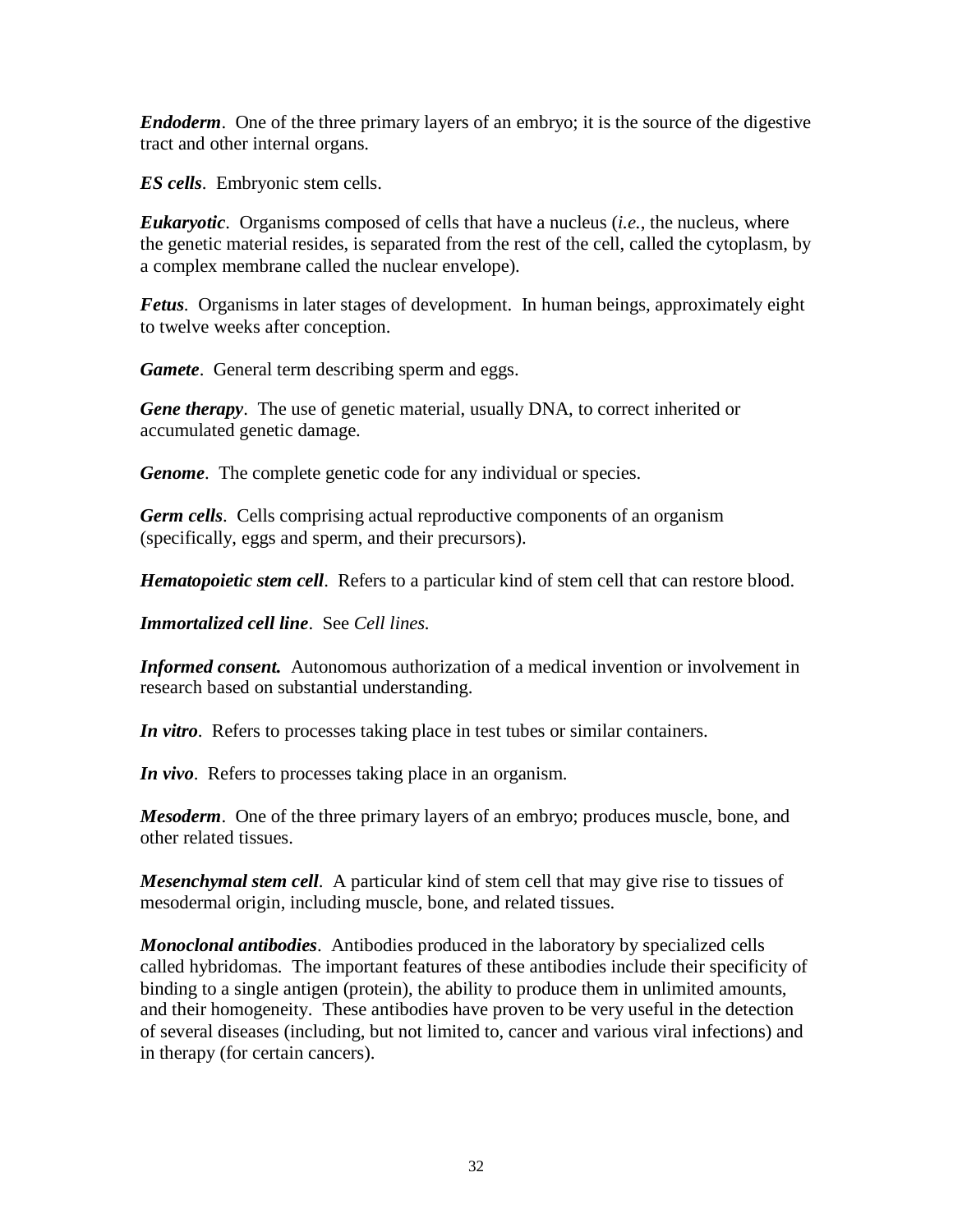*Endoderm*. One of the three primary layers of an embryo; it is the source of the digestive tract and other internal organs.

*ES cells*. Embryonic stem cells.

*Eukaryotic*. Organisms composed of cells that have a nucleus (*i.e.*, the nucleus, where the genetic material resides, is separated from the rest of the cell, called the cytoplasm, by a complex membrane called the nuclear envelope).

*Fetus*. Organisms in later stages of development. In human beings, approximately eight to twelve weeks after conception.

*Gamete*. General term describing sperm and eggs.

*Gene therapy*. The use of genetic material, usually DNA, to correct inherited or accumulated genetic damage.

*Genome*. The complete genetic code for any individual or species.

*Germ cells*. Cells comprising actual reproductive components of an organism (specifically, eggs and sperm, and their precursors).

*Hematopoietic stem cell*. Refers to a particular kind of stem cell that can restore blood.

*Immortalized cell line*. See *Cell lines.*

*Informed consent.* Autonomous authorization of a medical invention or involvement in research based on substantial understanding.

*In vitro*. Refers to processes taking place in test tubes or similar containers.

*In vivo*. Refers to processes taking place in an organism.

*Mesoderm*. One of the three primary layers of an embryo; produces muscle, bone, and other related tissues.

*Mesenchymal stem cell*. A particular kind of stem cell that may give rise to tissues of mesodermal origin, including muscle, bone, and related tissues.

*Monoclonal antibodies*. Antibodies produced in the laboratory by specialized cells called hybridomas. The important features of these antibodies include their specificity of binding to a single antigen (protein), the ability to produce them in unlimited amounts, and their homogeneity. These antibodies have proven to be very useful in the detection of several diseases (including, but not limited to, cancer and various viral infections) and in therapy (for certain cancers).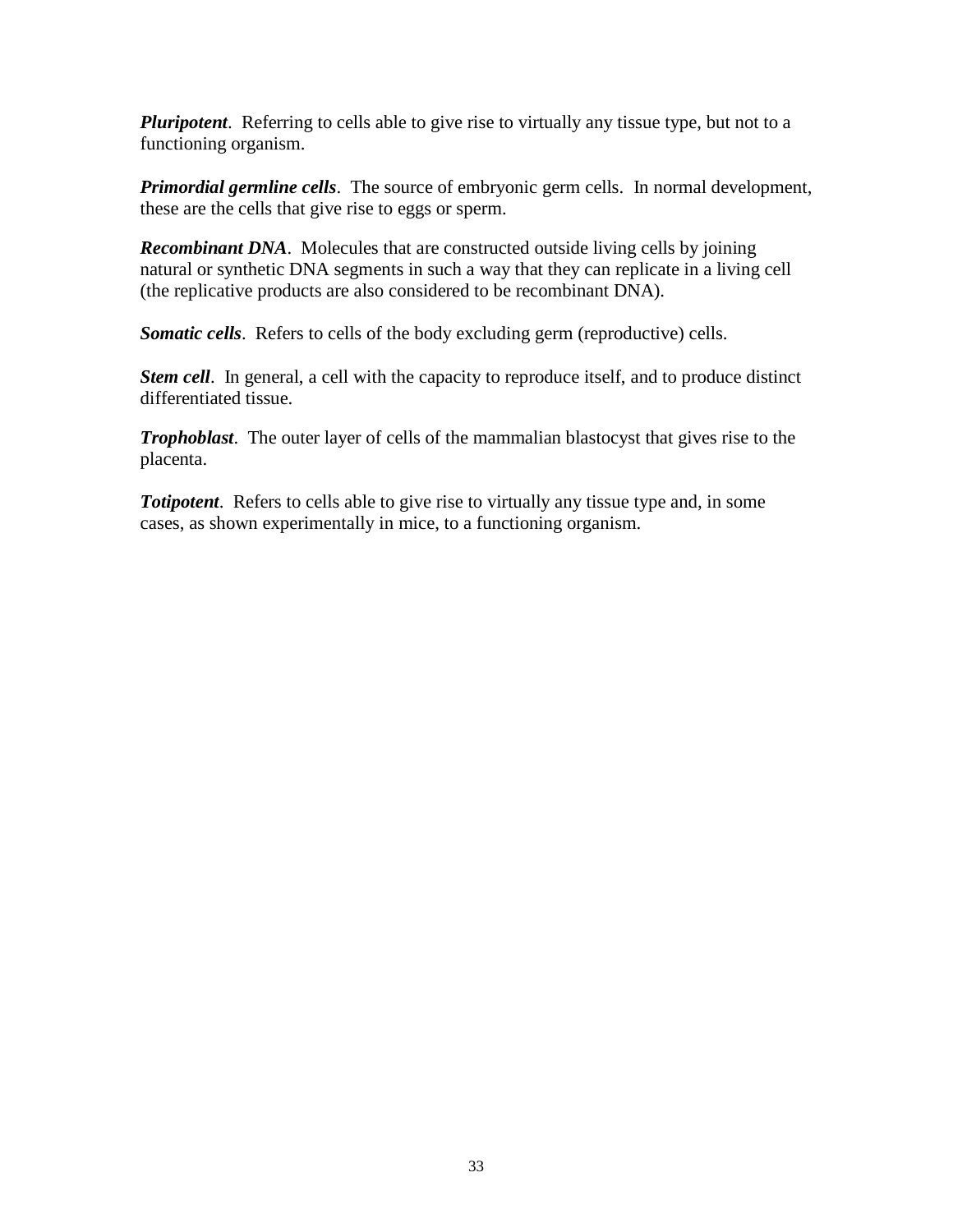*Pluripotent*. Referring to cells able to give rise to virtually any tissue type, but not to a functioning organism.

*Primordial germline cells*. The source of embryonic germ cells. In normal development, these are the cells that give rise to eggs or sperm.

*Recombinant DNA*. Molecules that are constructed outside living cells by joining natural or synthetic DNA segments in such a way that they can replicate in a living cell (the replicative products are also considered to be recombinant DNA).

*Somatic cells*. Refers to cells of the body excluding germ (reproductive) cells.

*Stem cell.* In general, a cell with the capacity to reproduce itself, and to produce distinct differentiated tissue.

*Trophoblast*. The outer layer of cells of the mammalian blastocyst that gives rise to the placenta.

**Totipotent**. Refers to cells able to give rise to virtually any tissue type and, in some cases, as shown experimentally in mice, to a functioning organism.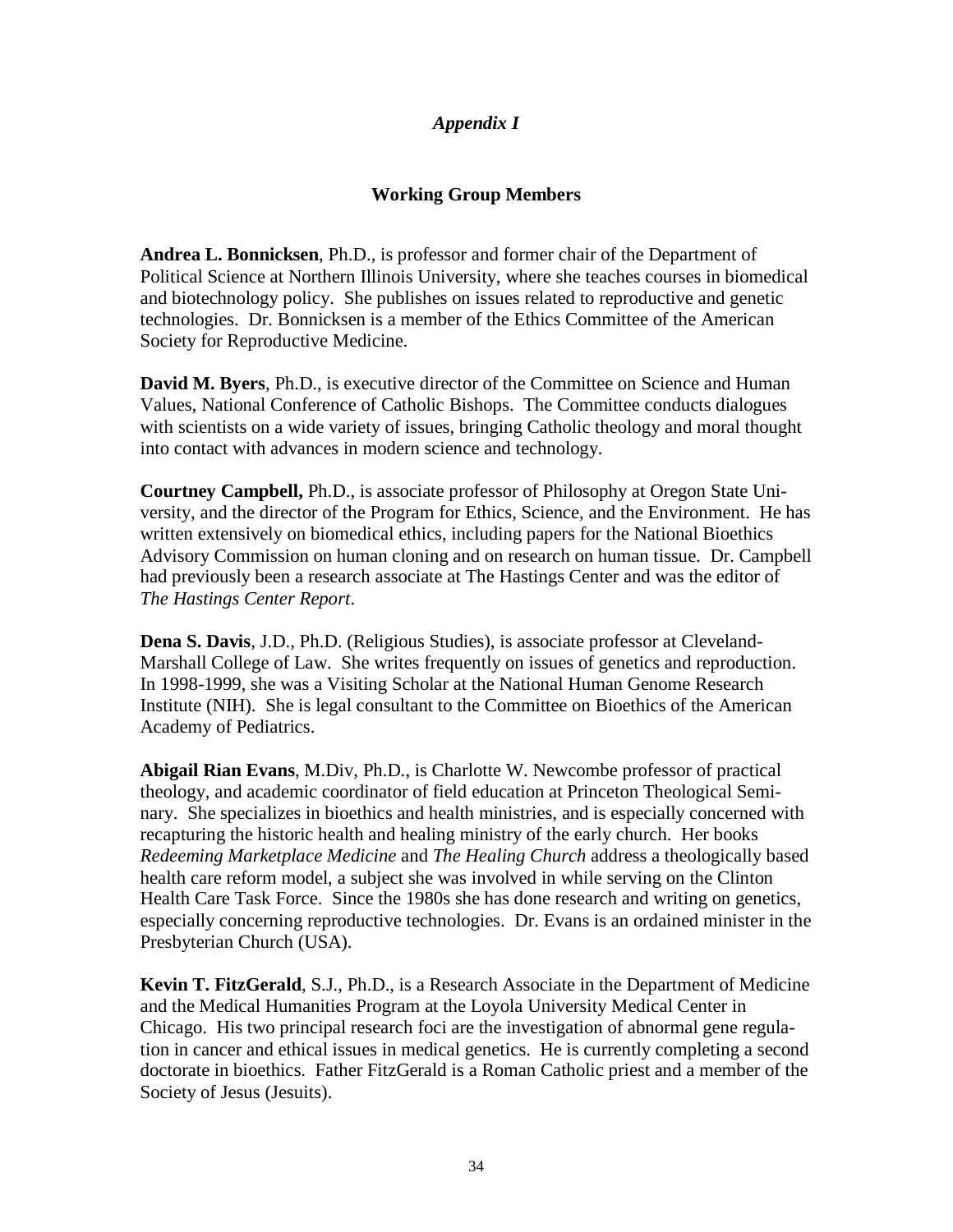### *Appendix I*

### **Working Group Members**

**Andrea L. Bonnicksen**, Ph.D., is professor and former chair of the Department of Political Science at Northern Illinois University, where she teaches courses in biomedical and biotechnology policy. She publishes on issues related to reproductive and genetic technologies. Dr. Bonnicksen is a member of the Ethics Committee of the American Society for Reproductive Medicine.

**David M. Byers**, Ph.D., is executive director of the Committee on Science and Human Values, National Conference of Catholic Bishops. The Committee conducts dialogues with scientists on a wide variety of issues, bringing Catholic theology and moral thought into contact with advances in modern science and technology.

**Courtney Campbell,** Ph.D., is associate professor of Philosophy at Oregon State University, and the director of the Program for Ethics, Science, and the Environment. He has written extensively on biomedical ethics, including papers for the National Bioethics Advisory Commission on human cloning and on research on human tissue. Dr. Campbell had previously been a research associate at The Hastings Center and was the editor of *The Hastings Center Report*.

**Dena S. Davis**, J.D., Ph.D. (Religious Studies), is associate professor at Cleveland-Marshall College of Law. She writes frequently on issues of genetics and reproduction. In 1998-1999, she was a Visiting Scholar at the National Human Genome Research Institute (NIH). She is legal consultant to the Committee on Bioethics of the American Academy of Pediatrics.

**Abigail Rian Evans**, M.Div, Ph.D., is Charlotte W. Newcombe professor of practical theology, and academic coordinator of field education at Princeton Theological Seminary. She specializes in bioethics and health ministries, and is especially concerned with recapturing the historic health and healing ministry of the early church. Her books *Redeeming Marketplace Medicine* and *The Healing Church* address a theologically based health care reform model, a subject she was involved in while serving on the Clinton Health Care Task Force. Since the 1980s she has done research and writing on genetics, especially concerning reproductive technologies. Dr. Evans is an ordained minister in the Presbyterian Church (USA).

**Kevin T. FitzGerald**, S.J., Ph.D., is a Research Associate in the Department of Medicine and the Medical Humanities Program at the Loyola University Medical Center in Chicago. His two principal research foci are the investigation of abnormal gene regulation in cancer and ethical issues in medical genetics. He is currently completing a second doctorate in bioethics. Father FitzGerald is a Roman Catholic priest and a member of the Society of Jesus (Jesuits).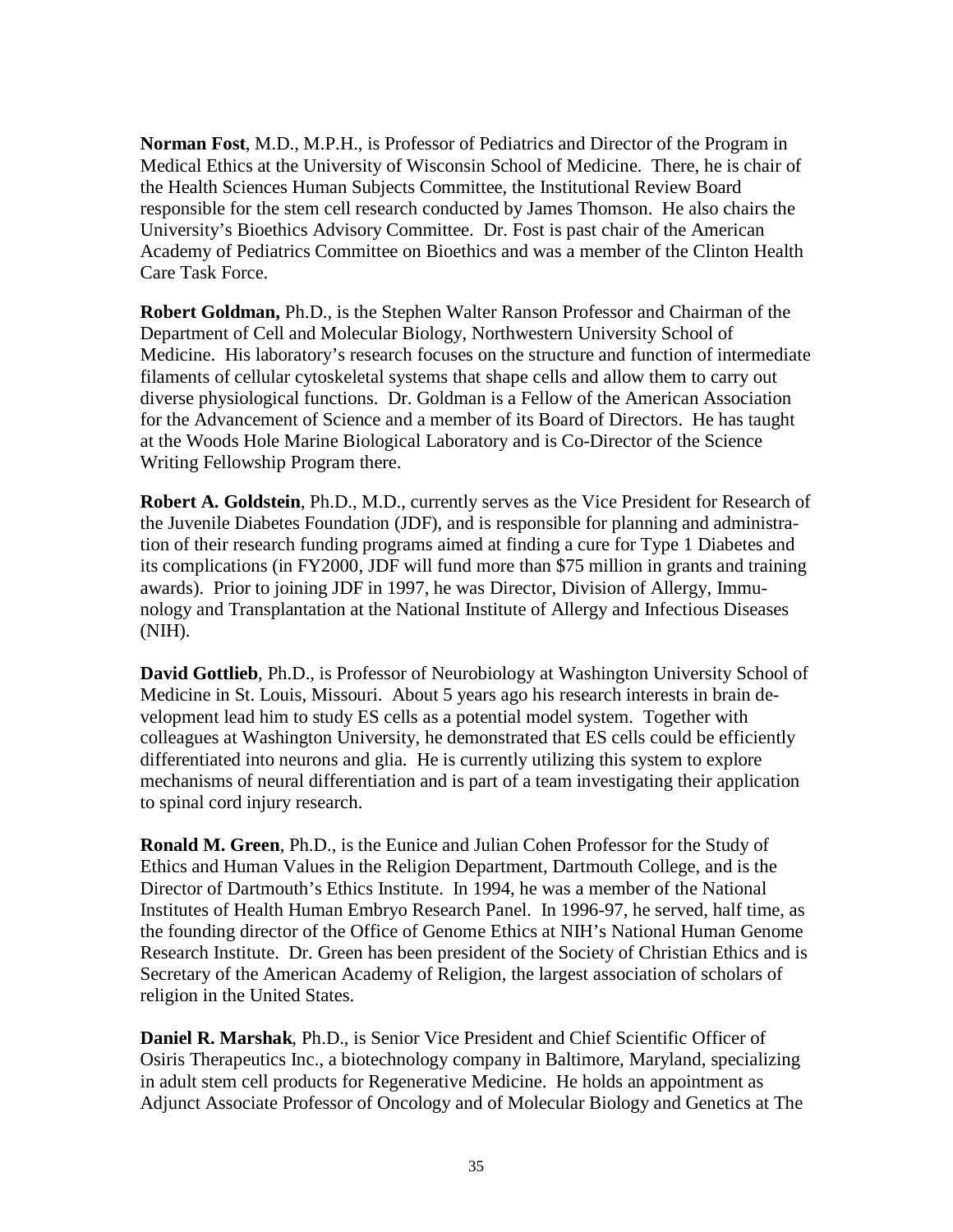**Norman Fost**, M.D., M.P.H., is Professor of Pediatrics and Director of the Program in Medical Ethics at the University of Wisconsin School of Medicine. There, he is chair of the Health Sciences Human Subjects Committee, the Institutional Review Board responsible for the stem cell research conducted by James Thomson. He also chairs the University's Bioethics Advisory Committee. Dr. Fost is past chair of the American Academy of Pediatrics Committee on Bioethics and was a member of the Clinton Health Care Task Force.

**Robert Goldman,** Ph.D., is the Stephen Walter Ranson Professor and Chairman of the Department of Cell and Molecular Biology, Northwestern University School of Medicine. His laboratory's research focuses on the structure and function of intermediate filaments of cellular cytoskeletal systems that shape cells and allow them to carry out diverse physiological functions. Dr. Goldman is a Fellow of the American Association for the Advancement of Science and a member of its Board of Directors. He has taught at the Woods Hole Marine Biological Laboratory and is Co-Director of the Science Writing Fellowship Program there.

**Robert A. Goldstein**, Ph.D., M.D., currently serves as the Vice President for Research of the Juvenile Diabetes Foundation (JDF), and is responsible for planning and administration of their research funding programs aimed at finding a cure for Type 1 Diabetes and its complications (in FY2000, JDF will fund more than \$75 million in grants and training awards). Prior to joining JDF in 1997, he was Director, Division of Allergy, Immunology and Transplantation at the National Institute of Allergy and Infectious Diseases (NIH).

**David Gottlieb**, Ph.D., is Professor of Neurobiology at Washington University School of Medicine in St. Louis, Missouri. About 5 years ago his research interests in brain development lead him to study ES cells as a potential model system. Together with colleagues at Washington University, he demonstrated that ES cells could be efficiently differentiated into neurons and glia. He is currently utilizing this system to explore mechanisms of neural differentiation and is part of a team investigating their application to spinal cord injury research.

**Ronald M. Green**, Ph.D., is the Eunice and Julian Cohen Professor for the Study of Ethics and Human Values in the Religion Department, Dartmouth College, and is the Director of Dartmouth's Ethics Institute. In 1994, he was a member of the National Institutes of Health Human Embryo Research Panel. In 1996-97, he served, half time, as the founding director of the Office of Genome Ethics at NIH's National Human Genome Research Institute. Dr. Green has been president of the Society of Christian Ethics and is Secretary of the American Academy of Religion, the largest association of scholars of religion in the United States.

**Daniel R. Marshak**, Ph.D., is Senior Vice President and Chief Scientific Officer of Osiris Therapeutics Inc., a biotechnology company in Baltimore, Maryland, specializing in adult stem cell products for Regenerative Medicine. He holds an appointment as Adjunct Associate Professor of Oncology and of Molecular Biology and Genetics at The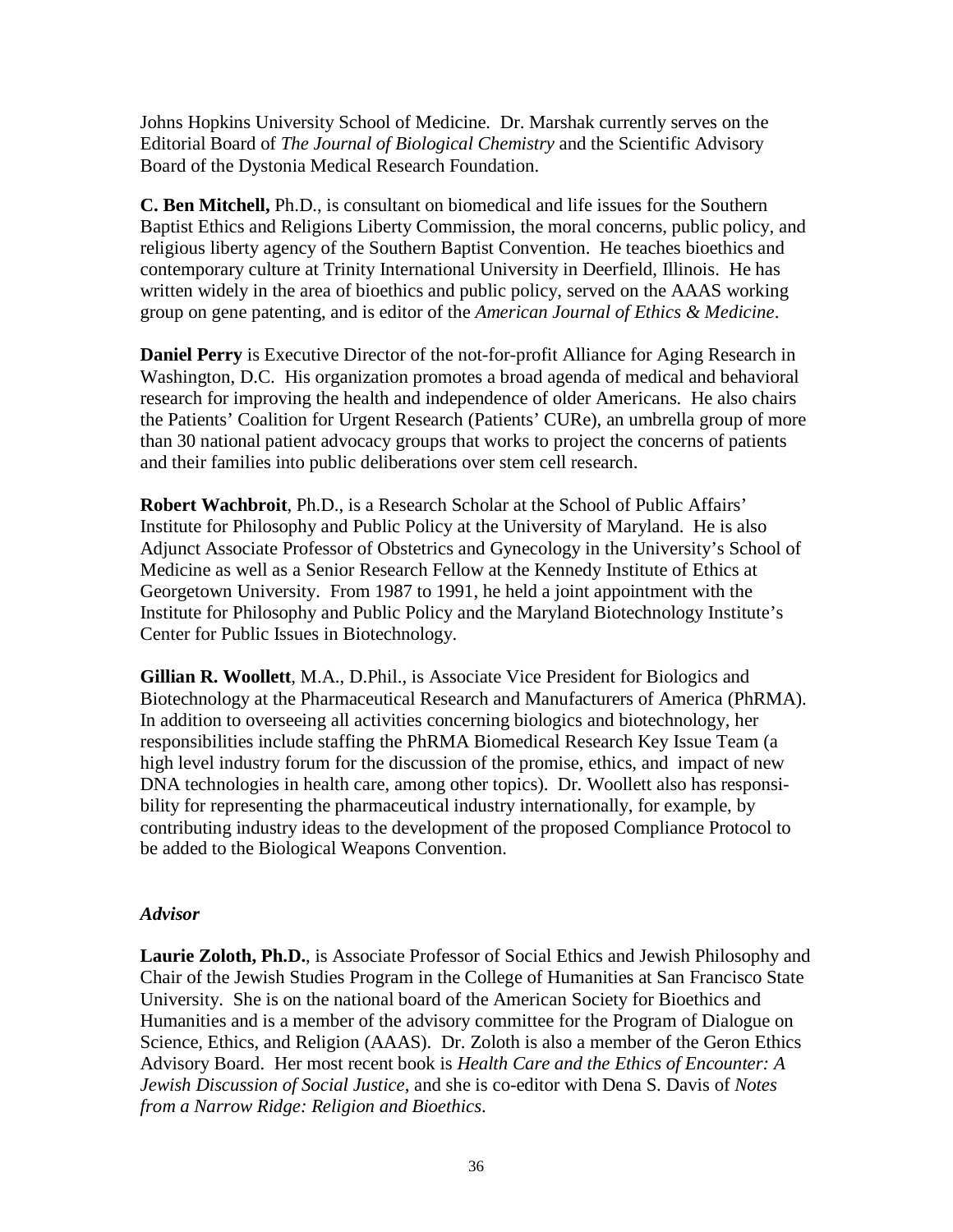Johns Hopkins University School of Medicine. Dr. Marshak currently serves on the Editorial Board of *The Journal of Biological Chemistry* and the Scientific Advisory Board of the Dystonia Medical Research Foundation.

**C. Ben Mitchell,** Ph.D., is consultant on biomedical and life issues for the Southern Baptist Ethics and Religions Liberty Commission, the moral concerns, public policy, and religious liberty agency of the Southern Baptist Convention. He teaches bioethics and contemporary culture at Trinity International University in Deerfield, Illinois. He has written widely in the area of bioethics and public policy, served on the AAAS working group on gene patenting, and is editor of the *American Journal of Ethics & Medicine*.

**Daniel Perry** is Executive Director of the not-for-profit Alliance for Aging Research in Washington, D.C. His organization promotes a broad agenda of medical and behavioral research for improving the health and independence of older Americans. He also chairs the Patients' Coalition for Urgent Research (Patients' CURe), an umbrella group of more than 30 national patient advocacy groups that works to project the concerns of patients and their families into public deliberations over stem cell research.

**Robert Wachbroit**, Ph.D., is a Research Scholar at the School of Public Affairs' Institute for Philosophy and Public Policy at the University of Maryland. He is also Adjunct Associate Professor of Obstetrics and Gynecology in the University's School of Medicine as well as a Senior Research Fellow at the Kennedy Institute of Ethics at Georgetown University. From 1987 to 1991, he held a joint appointment with the Institute for Philosophy and Public Policy and the Maryland Biotechnology Institute's Center for Public Issues in Biotechnology.

**Gillian R. Woollett**, M.A., D.Phil., is Associate Vice President for Biologics and Biotechnology at the Pharmaceutical Research and Manufacturers of America (PhRMA). In addition to overseeing all activities concerning biologics and biotechnology, her responsibilities include staffing the PhRMA Biomedical Research Key Issue Team (a high level industry forum for the discussion of the promise, ethics, and impact of new DNA technologies in health care, among other topics). Dr. Woollett also has responsibility for representing the pharmaceutical industry internationally, for example, by contributing industry ideas to the development of the proposed Compliance Protocol to be added to the Biological Weapons Convention.

#### *Advisor*

**Laurie Zoloth, Ph.D.**, is Associate Professor of Social Ethics and Jewish Philosophy and Chair of the Jewish Studies Program in the College of Humanities at San Francisco State University. She is on the national board of the American Society for Bioethics and Humanities and is a member of the advisory committee for the Program of Dialogue on Science, Ethics, and Religion (AAAS). Dr. Zoloth is also a member of the Geron Ethics Advisory Board. Her most recent book is *Health Care and the Ethics of Encounter: A Jewish Discussion of Social Justice*, and she is co-editor with Dena S. Davis of *Notes from a Narrow Ridge: Religion and Bioethics*.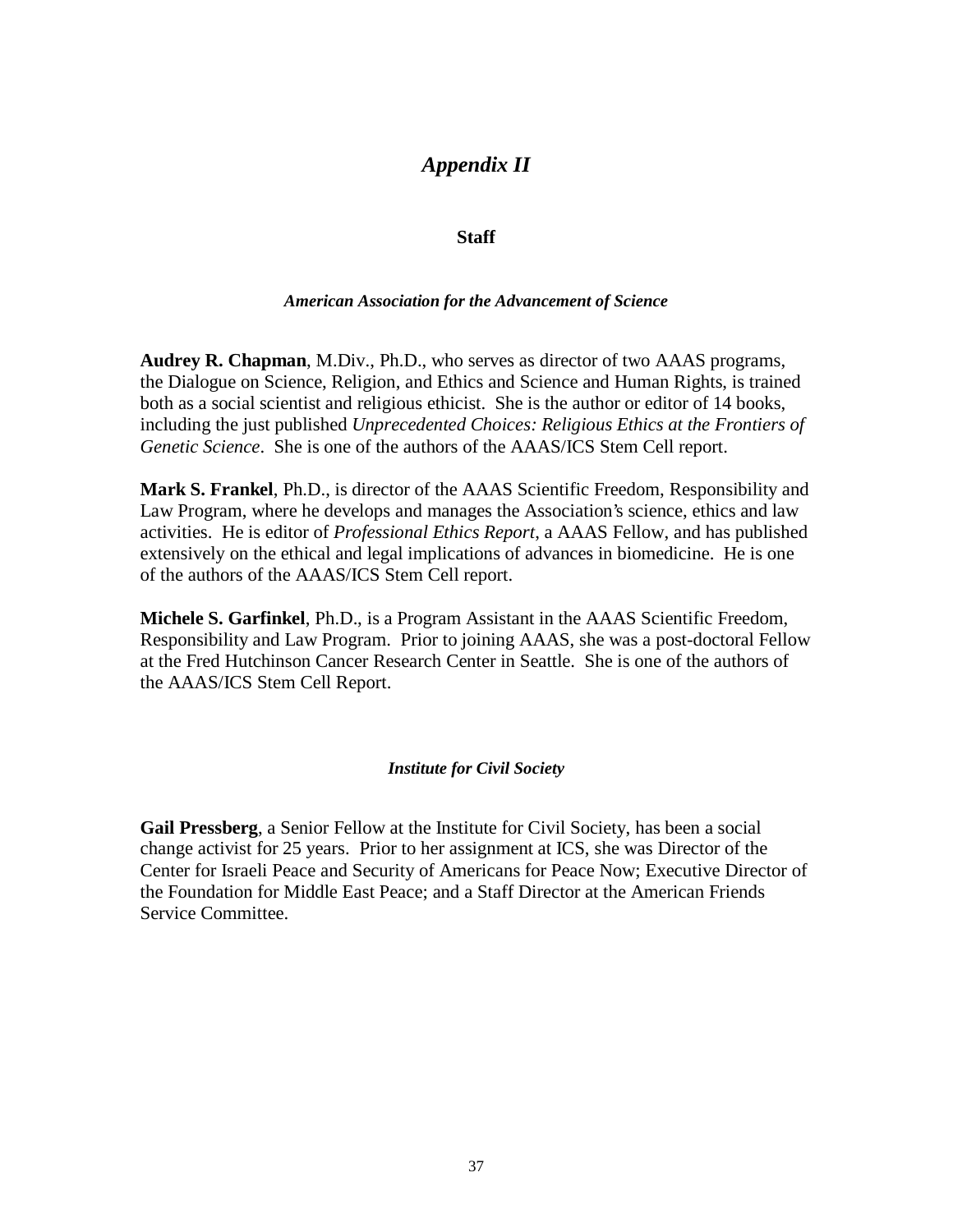# *Appendix II*

### **Staff**

#### *American Association for the Advancement of Science*

**Audrey R. Chapman**, M.Div., Ph.D., who serves as director of two AAAS programs, the Dialogue on Science, Religion, and Ethics and Science and Human Rights, is trained both as a social scientist and religious ethicist. She is the author or editor of 14 books, including the just published *Unprecedented Choices: Religious Ethics at the Frontiers of Genetic Science*. She is one of the authors of the AAAS/ICS Stem Cell report.

**Mark S. Frankel**, Ph.D., is director of the AAAS Scientific Freedom, Responsibility and Law Program, where he develops and manages the Association's science, ethics and law activities. He is editor of *Professional Ethics Report*, a AAAS Fellow, and has published extensively on the ethical and legal implications of advances in biomedicine. He is one of the authors of the AAAS/ICS Stem Cell report.

**Michele S. Garfinkel**, Ph.D., is a Program Assistant in the AAAS Scientific Freedom, Responsibility and Law Program. Prior to joining AAAS, she was a post-doctoral Fellow at the Fred Hutchinson Cancer Research Center in Seattle. She is one of the authors of the AAAS/ICS Stem Cell Report.

#### *Institute for Civil Society*

**Gail Pressberg**, a Senior Fellow at the Institute for Civil Society, has been a social change activist for 25 years. Prior to her assignment at ICS, she was Director of the Center for Israeli Peace and Security of Americans for Peace Now; Executive Director of the Foundation for Middle East Peace; and a Staff Director at the American Friends Service Committee.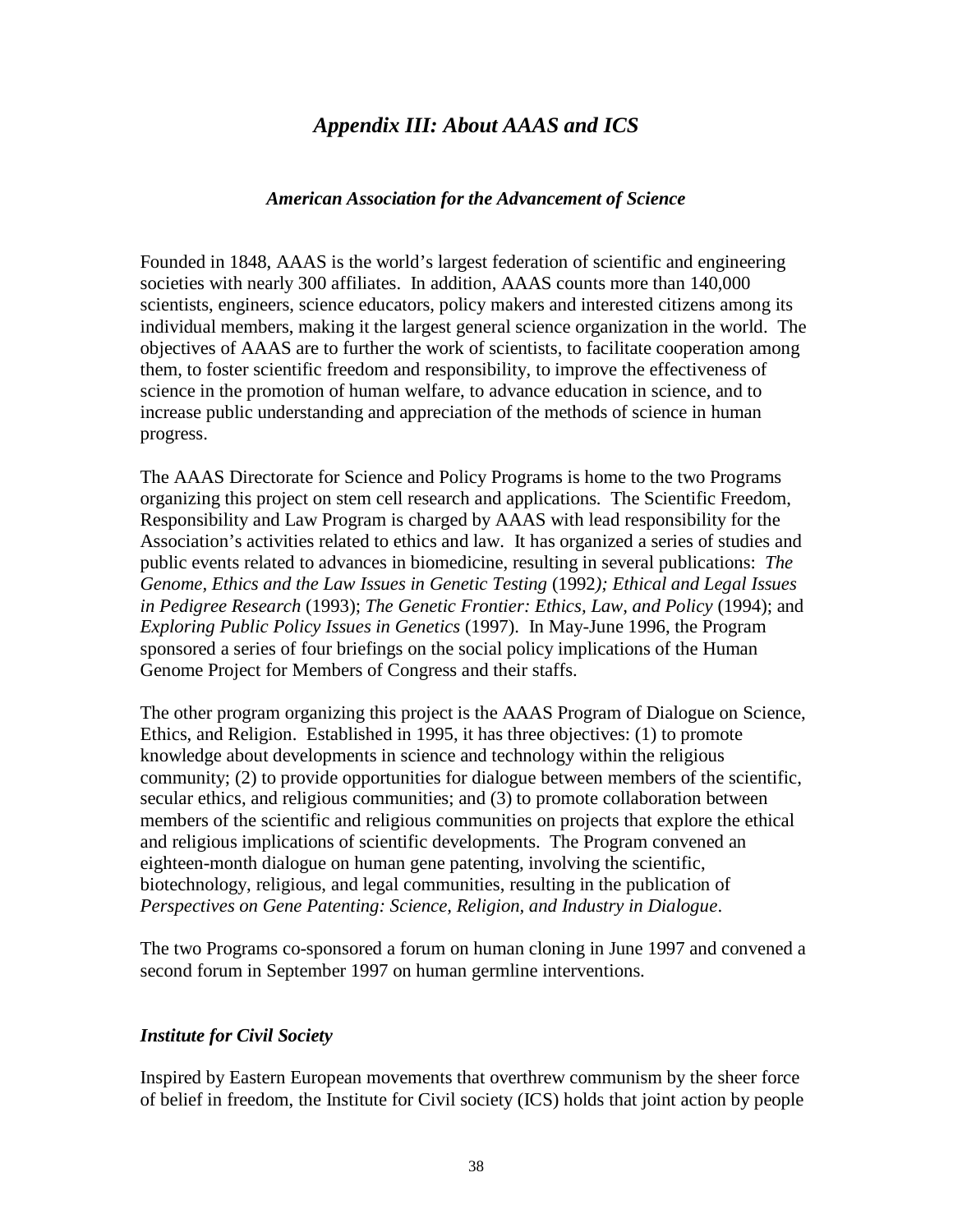# *Appendix III: About AAAS and ICS*

#### *American Association for the Advancement of Science*

Founded in 1848, AAAS is the world's largest federation of scientific and engineering societies with nearly 300 affiliates. In addition, AAAS counts more than 140,000 scientists, engineers, science educators, policy makers and interested citizens among its individual members, making it the largest general science organization in the world. The objectives of AAAS are to further the work of scientists, to facilitate cooperation among them, to foster scientific freedom and responsibility, to improve the effectiveness of science in the promotion of human welfare, to advance education in science, and to increase public understanding and appreciation of the methods of science in human progress.

The AAAS Directorate for Science and Policy Programs is home to the two Programs organizing this project on stem cell research and applications. The Scientific Freedom, Responsibility and Law Program is charged by AAAS with lead responsibility for the Association's activities related to ethics and law. It has organized a series of studies and public events related to advances in biomedicine, resulting in several publications: *The Genome, Ethics and the Law Issues in Genetic Testing* (1992*); Ethical and Legal Issues in Pedigree Research* (1993); *The Genetic Frontier: Ethics, Law, and Policy* (1994); and *Exploring Public Policy Issues in Genetics* (1997). In May-June 1996, the Program sponsored a series of four briefings on the social policy implications of the Human Genome Project for Members of Congress and their staffs.

The other program organizing this project is the AAAS Program of Dialogue on Science, Ethics, and Religion. Established in 1995, it has three objectives: (1) to promote knowledge about developments in science and technology within the religious community; (2) to provide opportunities for dialogue between members of the scientific, secular ethics, and religious communities; and (3) to promote collaboration between members of the scientific and religious communities on projects that explore the ethical and religious implications of scientific developments. The Program convened an eighteen-month dialogue on human gene patenting, involving the scientific, biotechnology, religious, and legal communities, resulting in the publication of *Perspectives on Gene Patenting: Science, Religion, and Industry in Dialogue*.

The two Programs co-sponsored a forum on human cloning in June 1997 and convened a second forum in September 1997 on human germline interventions.

#### *Institute for Civil Society*

Inspired by Eastern European movements that overthrew communism by the sheer force of belief in freedom, the Institute for Civil society (ICS) holds that joint action by people